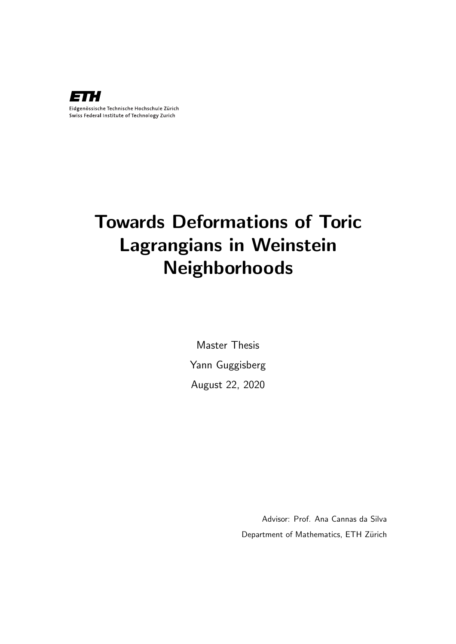

# Towards Deformations of Toric Lagrangians in Weinstein Neighborhoods

Master Thesis Yann Guggisberg August 22, 2020

> Advisor: Prof. Ana Cannas da Silva Department of Mathematics, ETH Zürich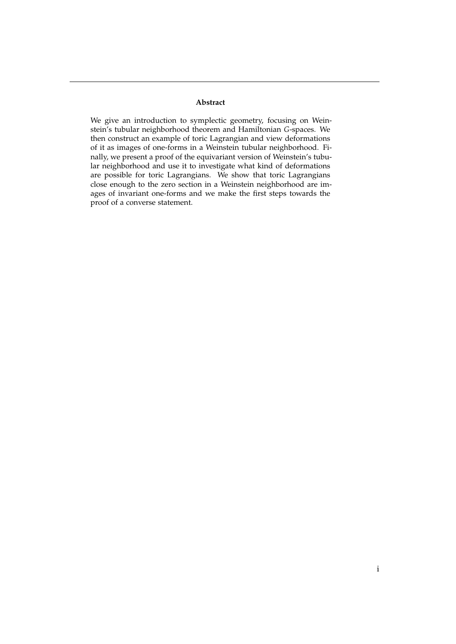#### **Abstract**

We give an introduction to symplectic geometry, focusing on Weinstein's tubular neighborhood theorem and Hamiltonian *G*-spaces. We then construct an example of toric Lagrangian and view deformations of it as images of one-forms in a Weinstein tubular neighborhood. Finally, we present a proof of the equivariant version of Weinstein's tubular neighborhood and use it to investigate what kind of deformations are possible for toric Lagrangians. We show that toric Lagrangians close enough to the zero section in a Weinstein neighborhood are images of invariant one-forms and we make the first steps towards the proof of a converse statement.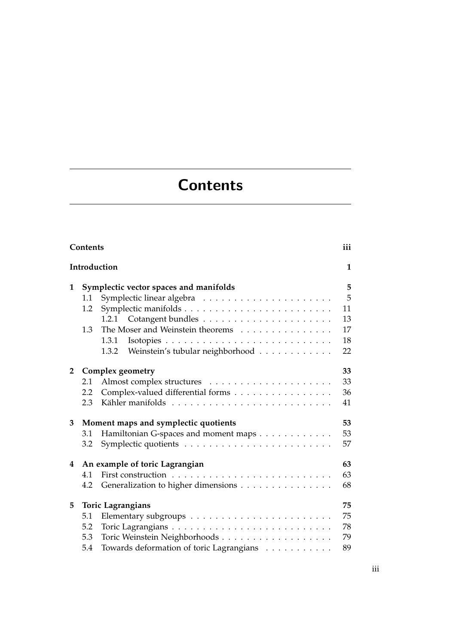# **Contents**

<span id="page-4-0"></span>

|              | Contents                               |                                          | iii          |  |
|--------------|----------------------------------------|------------------------------------------|--------------|--|
|              |                                        | Introduction                             | $\mathbf{1}$ |  |
| 1            | Symplectic vector spaces and manifolds |                                          |              |  |
|              | 1.1                                    |                                          | 5            |  |
|              | 1.2                                    |                                          | 11           |  |
|              |                                        |                                          | 13           |  |
|              | 1.3                                    | The Moser and Weinstein theorems         | 17           |  |
|              |                                        | 1.3.1                                    | 18           |  |
|              |                                        | 1.3.2 Weinstein's tubular neighborhood   | 22           |  |
| $\mathbf{2}$ |                                        | <b>Complex geometry</b>                  | 33           |  |
|              | 2.1                                    |                                          | 33           |  |
|              | 2.2                                    | Complex-valued differential forms        | 36           |  |
|              | 2.3                                    |                                          | 41           |  |
| 3            |                                        | Moment maps and symplectic quotients     | 53           |  |
|              | 3.1                                    | Hamiltonian G-spaces and moment maps     | 53           |  |
|              | 3.2                                    |                                          | 57           |  |
| 4            |                                        | An example of toric Lagrangian           | 63           |  |
|              | 4.1                                    |                                          | 63           |  |
|              | 4.2                                    | Generalization to higher dimensions      | 68           |  |
| 5            |                                        | <b>Toric Lagrangians</b>                 | 75           |  |
|              | 5.1                                    |                                          | 75           |  |
|              | 5.2                                    |                                          | 78           |  |
|              | 5.3                                    |                                          | 79           |  |
|              | 5.4                                    | Towards deformation of toric Lagrangians | 89           |  |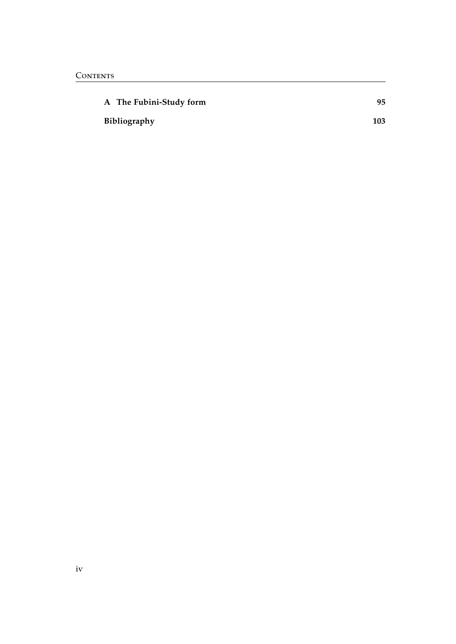| A The Fubini-Study form | 95  |
|-------------------------|-----|
| Bibliography            | 103 |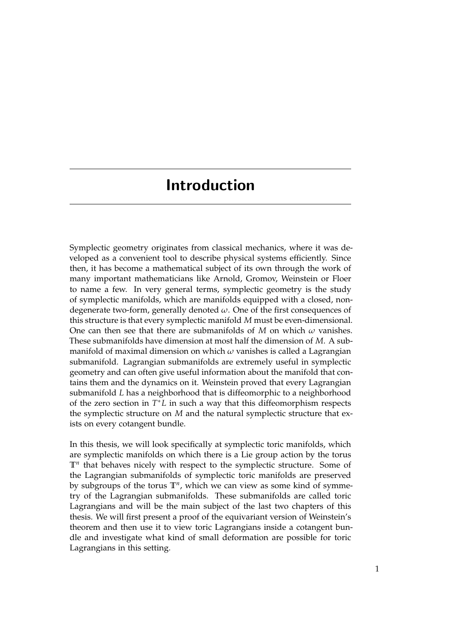# <span id="page-6-0"></span>Introduction

Symplectic geometry originates from classical mechanics, where it was developed as a convenient tool to describe physical systems efficiently. Since then, it has become a mathematical subject of its own through the work of many important mathematicians like Arnold, Gromov, Weinstein or Floer to name a few. In very general terms, symplectic geometry is the study of symplectic manifolds, which are manifolds equipped with a closed, nondegenerate two-form, generally denoted *ω*. One of the first consequences of this structure is that every symplectic manifold *M* must be even-dimensional. One can then see that there are submanifolds of *M* on which  $\omega$  vanishes. These submanifolds have dimension at most half the dimension of *M*. A submanifold of maximal dimension on which *ω* vanishes is called a Lagrangian submanifold. Lagrangian submanifolds are extremely useful in symplectic geometry and can often give useful information about the manifold that contains them and the dynamics on it. Weinstein proved that every Lagrangian submanifold *L* has a neighborhood that is diffeomorphic to a neighborhood of the zero section in *T* <sup>∗</sup>*L* in such a way that this diffeomorphism respects the symplectic structure on *M* and the natural symplectic structure that exists on every cotangent bundle.

In this thesis, we will look specifically at symplectic toric manifolds, which are symplectic manifolds on which there is a Lie group action by the torus **T***<sup>n</sup>* that behaves nicely with respect to the symplectic structure. Some of the Lagrangian submanifolds of symplectic toric manifolds are preserved by subgroups of the torus **T***<sup>n</sup>* , which we can view as some kind of symmetry of the Lagrangian submanifolds. These submanifolds are called toric Lagrangians and will be the main subject of the last two chapters of this thesis. We will first present a proof of the equivariant version of Weinstein's theorem and then use it to view toric Lagrangians inside a cotangent bundle and investigate what kind of small deformation are possible for toric Lagrangians in this setting.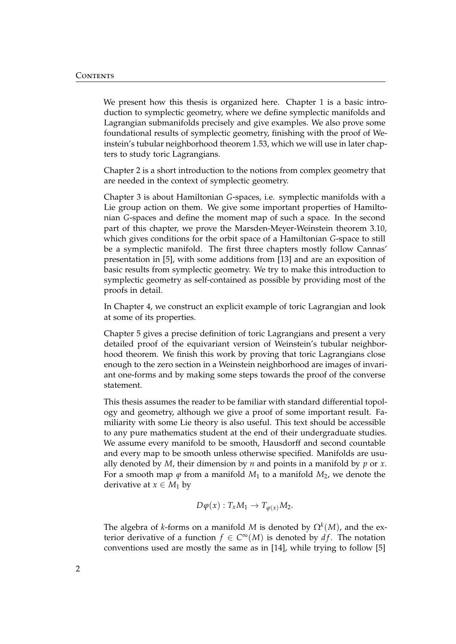We present how this thesis is organized here. Chapter [1](#page-10-0) is a basic introduction to symplectic geometry, where we define symplectic manifolds and Lagrangian submanifolds precisely and give examples. We also prove some foundational results of symplectic geometry, finishing with the proof of Weinstein's tubular neighborhood theorem [1.53,](#page-37-0) which we will use in later chapters to study toric Lagrangians.

Chapter [2](#page-38-0) is a short introduction to the notions from complex geometry that are needed in the context of symplectic geometry.

Chapter [3](#page-58-0) is about Hamiltonian *G*-spaces, i.e. symplectic manifolds with a Lie group action on them. We give some important properties of Hamiltonian *G*-spaces and define the moment map of such a space. In the second part of this chapter, we prove the Marsden-Meyer-Weinstein theorem [3.10,](#page-63-0) which gives conditions for the orbit space of a Hamiltonian *G*-space to still be a symplectic manifold. The first three chapters mostly follow Cannas' presentation in [\[5\]](#page-108-1), with some additions from [\[13\]](#page-109-0) and are an exposition of basic results from symplectic geometry. We try to make this introduction to symplectic geometry as self-contained as possible by providing most of the proofs in detail.

In Chapter [4,](#page-68-0) we construct an explicit example of toric Lagrangian and look at some of its properties.

Chapter [5](#page-80-0) gives a precise definition of toric Lagrangians and present a very detailed proof of the equivariant version of Weinstein's tubular neighborhood theorem. We finish this work by proving that toric Lagrangians close enough to the zero section in a Weinstein neighborhood are images of invariant one-forms and by making some steps towards the proof of the converse statement.

This thesis assumes the reader to be familiar with standard differential topology and geometry, although we give a proof of some important result. Familiarity with some Lie theory is also useful. This text should be accessible to any pure mathematics student at the end of their undergraduate studies. We assume every manifold to be smooth, Hausdorff and second countable and every map to be smooth unless otherwise specified. Manifolds are usually denoted by *M*, their dimension by *n* and points in a manifold by *p* or *x*. For a smooth map  $\varphi$  from a manifold  $M_1$  to a manifold  $M_2$ , we denote the derivative at  $x \in M_1$  by

$$
D\varphi(x): T_xM_1 \to T_{\varphi(x)}M_2.
$$

The algebra of *k*-forms on a manifold *M* is denoted by  $\Omega^k(M)$ , and the exterior derivative of a function  $f \in C^{\infty}(M)$  is denoted by  $df$ . The notation conventions used are mostly the same as in [\[14\]](#page-109-1), while trying to follow [\[5\]](#page-108-1)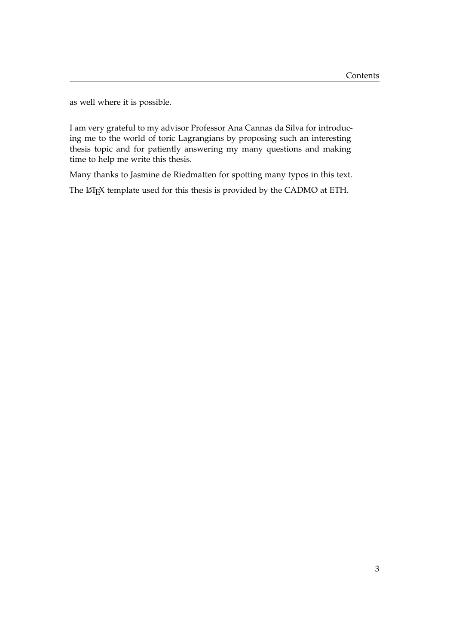as well where it is possible.

I am very grateful to my advisor Professor Ana Cannas da Silva for introducing me to the world of toric Lagrangians by proposing such an interesting thesis topic and for patiently answering my many questions and making time to help me write this thesis.

Many thanks to Jasmine de Riedmatten for spotting many typos in this text.

The LATEX template used for this thesis is provided by the CADMO at ETH.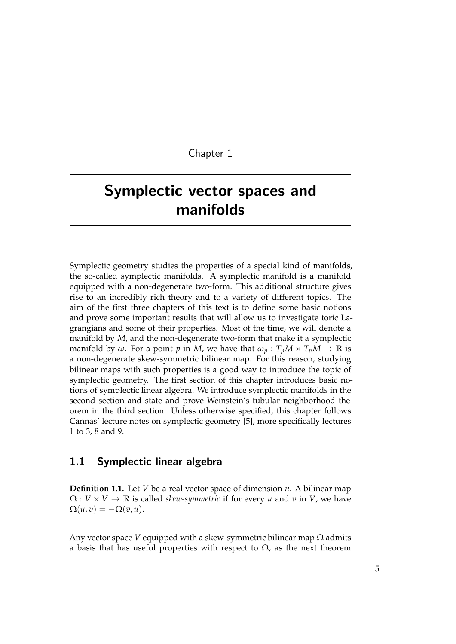### Chapter 1

# <span id="page-10-0"></span>Symplectic vector spaces and manifolds

Symplectic geometry studies the properties of a special kind of manifolds, the so-called symplectic manifolds. A symplectic manifold is a manifold equipped with a non-degenerate two-form. This additional structure gives rise to an incredibly rich theory and to a variety of different topics. The aim of the first three chapters of this text is to define some basic notions and prove some important results that will allow us to investigate toric Lagrangians and some of their properties. Most of the time, we will denote a manifold by *M*, and the non-degenerate two-form that make it a symplectic manifold by  $\omega$ . For a point p in M, we have that  $\omega_p : T_pM \times T_pM \to \mathbb{R}$  is a non-degenerate skew-symmetric bilinear map. For this reason, studying bilinear maps with such properties is a good way to introduce the topic of symplectic geometry. The first section of this chapter introduces basic notions of symplectic linear algebra. We introduce symplectic manifolds in the second section and state and prove Weinstein's tubular neighborhood theorem in the third section. Unless otherwise specified, this chapter follows Cannas' lecture notes on symplectic geometry [\[5\]](#page-108-1), more specifically lectures 1 to 3, 8 and 9.

## <span id="page-10-1"></span>1.1 Symplectic linear algebra

**Definition 1.1.** Let *V* be a real vector space of dimension *n*. A bilinear map  $\Omega: V \times V \to \mathbb{R}$  is called *skew-symmetric* if for every *u* and *v* in *V*, we have  $\Omega(u,v) = -\Omega(v,u).$ 

Any vector space *V* equipped with a skew-symmetric bilinear map  $\Omega$  admits a basis that has useful properties with respect to  $\Omega$ , as the next theorem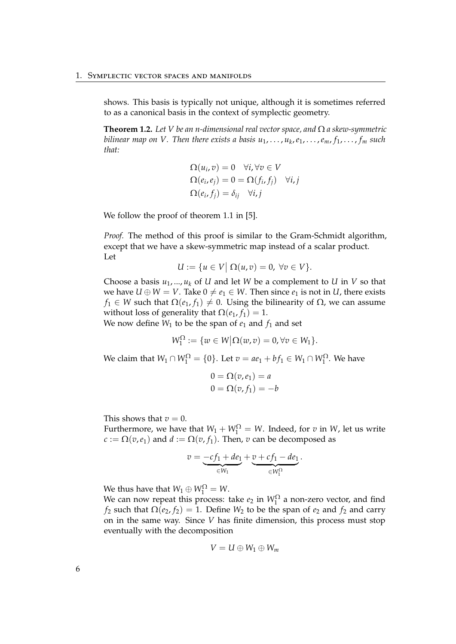shows. This basis is typically not unique, although it is sometimes referred to as a canonical basis in the context of symplectic geometry.

**Theorem 1.2.** *Let V be an n-dimensional real vector space, and* Ω *a skew-symmetric bilinear map on V. Then there exists a basis u*1, . . . , *u<sup>k</sup>* ,*e*1, . . . ,*em*, *f*1, . . . , *f<sup>m</sup> such that:*

$$
\Omega(u_i, v) = 0 \quad \forall i, \forall v \in V
$$
  
\n
$$
\Omega(e_i, e_j) = 0 = \Omega(f_i, f_j) \quad \forall i, j
$$
  
\n
$$
\Omega(e_i, f_j) = \delta_{ij} \quad \forall i, j
$$

We follow the proof of theorem 1.1 in [\[5\]](#page-108-1).

*Proof.* The method of this proof is similar to the Gram-Schmidt algorithm, except that we have a skew-symmetric map instead of a scalar product. Let

$$
U := \{ u \in V \mid \Omega(u, v) = 0, \,\forall v \in V \}.
$$

Choose a basis  $u_1, ..., u_k$  of *U* and let *W* be a complement to *U* in *V* so that we have  $U \oplus W = V$ . Take  $0 \neq e_1 \in W$ . Then since  $e_1$  is not in *U*, there exists *f*<sub>1</sub> ∈ *W* such that  $\Omega(e_1, f_1) \neq 0$ . Using the bilinearity of  $\Omega$ , we can assume without loss of generality that  $\Omega(e_1, f_1) = 1$ .

We now define  $W_1$  to be the span of  $e_1$  and  $f_1$  and set

$$
W_1^{\Omega} := \{ w \in W \big| \Omega(w,v) = 0, \forall v \in W_1 \}.
$$

We claim that  $W_1 \cap W_1^{\Omega} = \{0\}$ . Let  $v = ae_1 + bf_1 \in W_1 \cap W_1^{\Omega}$ . We have

$$
0 = \Omega(v, e_1) = a
$$
  

$$
0 = \Omega(v, f_1) = -b
$$

This shows that  $v = 0$ .

Furthermore, we have that  $W_1 + W_1^{\Omega} = W$ . Indeed, for *v* in *W*, let us write  $c := \Omega(v, e_1)$  and  $d := \Omega(v, f_1)$ . Then, *v* can be decomposed as

$$
v = \underbrace{-cf_1 + de_1}_{\in W_1} + \underbrace{v + cf_1 - de_1}_{\in W_1^{\Omega}}.
$$

We thus have that  $W_1 \oplus W_1^{\Omega} = W$ .

We can now repeat this process: take  $e_2$  in  $W_1^{\Omega}$  a non-zero vector, and find *f*<sub>2</sub> such that  $\Omega(e_2, f_2) = 1$ . Define *W*<sub>2</sub> to be the span of  $e_2$  and  $f_2$  and carry on in the same way. Since *V* has finite dimension, this process must stop eventually with the decomposition

$$
V = U \oplus W_1 \oplus W_m
$$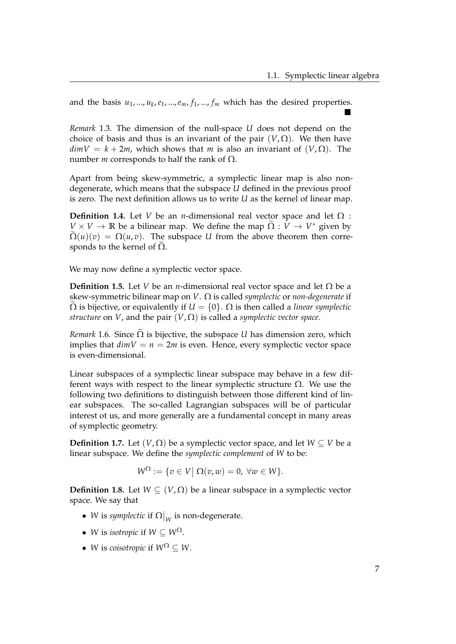and the basis *u*1, ..., *u<sup>k</sup>* ,*e*1, ...,*em*, *f*1, ..., *f<sup>m</sup>* which has the desired properties.  $\blacksquare$ 

*Remark* 1.3*.* The dimension of the null-space *U* does not depend on the choice of basis and thus is an invariant of the pair  $(V,\Omega)$ . We then have  $dimV = k + 2m$ , which shows that *m* is also an invariant of  $(V, \Omega)$ . The number *m* corresponds to half the rank of  $Ω$ .

Apart from being skew-symmetric, a symplectic linear map is also nondegenerate, which means that the subspace *U* defined in the previous proof is zero. The next definition allows us to write *U* as the kernel of linear map.

**Definition 1.4.** Let *V* be an *n*-dimensional real vector space and let  $\Omega$ :  $V \times V \to \mathbb{R}$  be a bilinear map. We define the map  $\widetilde{\Omega}: \overline{V} \to V^*$  given by  $\Omega(u)(v) = \Omega(u,v)$ . The subspace *U* from the above theorem then corresponds to the kernel of  $\Omega$ .

We may now define a symplectic vector space.

**Definition 1.5.** Let *V* be an *n*-dimensional real vector space and let  $\Omega$  be a skew-symmetric bilinear map on *V*. Ω is called *symplectic* or *non-degenerate* if  $\Omega$  is bijective, or equivalently if  $U = \{0\}$ .  $\Omega$  is then called a *linear symplectic structure* on *V*, and the pair  $(V, \Omega)$  is called a *symplectic vector space*.

*Remark* 1.6. Since  $\Omega$  is bijective, the subspace *U* has dimension zero, which implies that  $dimV = n = 2m$  is even. Hence, every symplectic vector space is even-dimensional.

Linear subspaces of a symplectic linear subspace may behave in a few different ways with respect to the linear symplectic structure  $\Omega$ . We use the following two definitions to distinguish between those different kind of linear subspaces. The so-called Lagrangian subspaces will be of particular interest ot us, and more generally are a fundamental concept in many areas of symplectic geometry.

**Definition 1.7.** Let  $(V, \Omega)$  be a symplectic vector space, and let  $W \subset V$  be a linear subspace. We define the *symplectic complement* of *W* to be:

$$
W^{\Omega} := \{ v \in V \mid \Omega(v, w) = 0, \ \forall w \in W \}.
$$

**Definition 1.8.** Let  $W \subseteq (V, \Omega)$  be a linear subspace in a symplectic vector space. We say that

- *W* is *symplectic* if  $\Omega|_W$  is non-degenerate.
- *W* is *isotropic* if  $W \subseteq W^{\Omega}$ .
- *W* is *coisotropic* if  $W^{\Omega} \subset W$ .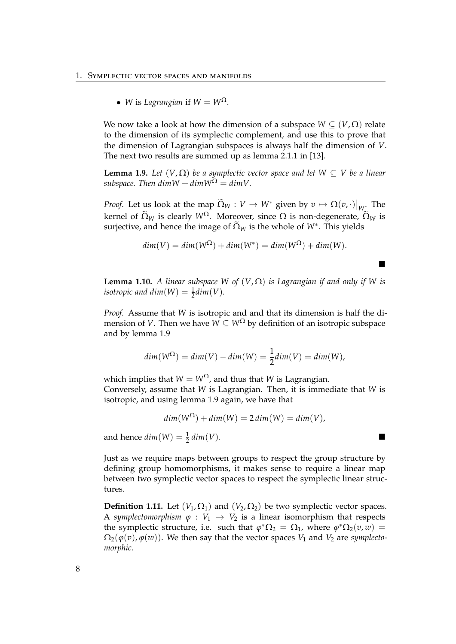• *W* is *Lagrangian* if  $W = W^{\Omega}$ .

We now take a look at how the dimension of a subspace  $W \subset (V, \Omega)$  relate to the dimension of its symplectic complement, and use this to prove that the dimension of Lagrangian subspaces is always half the dimension of *V*. The next two results are summed up as lemma 2.1.1 in [\[13\]](#page-109-0).

<span id="page-13-0"></span>**Lemma 1.9.** *Let*  $(V, \Omega)$  *be a symplectic vector space and let*  $W \subset V$  *be a linear subspace. Then dimW* +  $dimW^{\Omega} = dimV$ .

*Proof.* Let us look at the map  $\widetilde{\Omega}_W : V \to W^*$  given by  $v \mapsto \Omega(v, \cdot)|_{W_{\widetilde{\mathcal{C}}}}$  The kernel of  $\widetilde{\Omega}_W$  is clearly  $W^{\Omega}$ . Moreover, since  $\Omega$  is non-degenerate,  $\widetilde{\Omega}_W$  is surjective, and hence the image of  $\widetilde{\Omega}_W$  is the whole of  $W^*$ . This yields

$$
dim(V) = dim(W^{\Omega}) + dim(W^*) = dim(W^{\Omega}) + dim(W).
$$

 $\blacksquare$ 

<span id="page-13-1"></span>**Lemma 1.10.** *A linear subspace W of*  $(V, \Omega)$  *is Lagrangian if and only if W is isotropic and dim*(*W*) =  $\frac{1}{2}$ *dim*(*V*).

*Proof.* Assume that *W* is isotropic and and that its dimension is half the dimension of *V*. Then we have  $W \subseteq W^{\Omega}$  by definition of an isotropic subspace and by lemma [1.9](#page-13-0)

$$
dim(W^{\Omega}) = dim(V) - dim(W) = \frac{1}{2} dim(V) = dim(W),
$$

which implies that  $W = W^{\Omega}$ , and thus that *W* is Lagrangian. Conversely, assume that *W* is Lagrangian. Then, it is immediate that *W* is isotropic, and using lemma [1.9](#page-13-0) again, we have that

 $dim(W^{\Omega}) + dim(W) = 2 dim(W) = dim(V)$ ,

and hence  $dim(W) = \frac{1}{2} dim(V)$ .

Just as we require maps between groups to respect the group structure by defining group homomorphisms, it makes sense to require a linear map between two symplectic vector spaces to respect the symplectic linear structures.

**Definition 1.11.** Let  $(V_1, \Omega_1)$  and  $(V_2, \Omega_2)$  be two symplectic vector spaces. A *symplectomorphism*  $\varphi : V_1 \to V_2$  is a linear isomorphism that respects the symplectic structure, i.e. such that  $\varphi^* \Omega_2 = \Omega_1$ , where  $\varphi^* \Omega_2(v,w) =$  $\Omega_2(\varphi(v), \varphi(w))$ . We then say that the vector spaces  $V_1$  and  $V_2$  are *symplectomorphic*.

|   | ۰      |   |         |   |
|---|--------|---|---------|---|
|   |        |   | I       |   |
|   | ٠<br>٧ |   |         |   |
|   |        |   | ł<br>۰. | I |
| × |        | ٧ |         |   |
|   |        |   |         |   |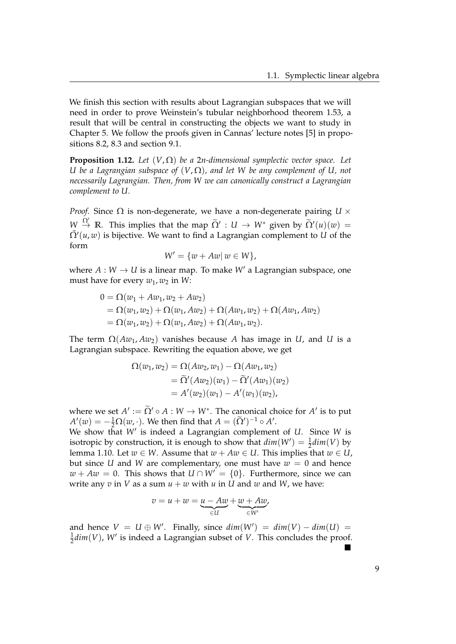We finish this section with results about Lagrangian subspaces that we will need in order to prove Weinstein's tubular neighborhood theorem [1.53,](#page-37-0) a result that will be central in constructing the objects we want to study in Chapter [5.](#page-80-0) We follow the proofs given in Cannas' lecture notes [\[5\]](#page-108-1) in propositions 8.2, 8.3 and section 9.1.

<span id="page-14-0"></span>**Proposition 1.12.** *Let* (*V*, Ω) *be a* 2*n-dimensional symplectic vector space. Let U* be a Lagrangian subspace of  $(V,\Omega)$ , and let W be any complement of U, not *necessarily Lagrangian. Then, from W we can canonically construct a Lagrangian complement to U.*

*Proof.* Since  $\Omega$  is non-degenerate, we have a non-degenerate pairing  $U \times$  $W \stackrel{\Omega'}{\rightarrow} \mathbb{R}$ . This implies that the map  $\widetilde{\Omega}' : U \rightarrow W^*$  given by  $\widetilde{\Omega}'(u)(w) =$  $\tilde{\Omega}'(u, w)$  is bijective. We want to find a Lagrangian complement to *U* of the form

$$
W' = \{w + Aw | w \in W\},\
$$

where  $A: W \to U$  is a linear map. To make  $W'$  a Lagrangian subspace, one must have for every  $w_1$ ,  $w_2$  in *W*:

$$
0 = \Omega(w_1 + Aw_1, w_2 + Aw_2)
$$
  
=  $\Omega(w_1, w_2) + \Omega(w_1, Aw_2) + \Omega(Aw_1, w_2) + \Omega(Aw_1, Aw_2)$   
=  $\Omega(w_1, w_2) + \Omega(w_1, Aw_2) + \Omega(Aw_1, w_2).$ 

The term  $\Omega(Aw_1, Aw_2)$  vanishes because *A* has image in *U*, and *U* is a Lagrangian subspace. Rewriting the equation above, we get

$$
\Omega(w_1, w_2) = \Omega(Aw_2, w_1) - \Omega(Aw_1, w_2)
$$
  
=  $\tilde{\Omega}'(Aw_2)(w_1) - \tilde{\Omega}'(Aw_1)(w_2)$   
=  $A'(w_2)(w_1) - A'(w_1)(w_2),$ 

where we set  $A' := \widetilde{\Omega}' \circ A : W \to W^*$ . The canonical choice for  $A'$  is to put  $A'(w) = -\frac{1}{2}\Omega(w, \cdot)$ . We then find that  $A = (\tilde{\Omega}')^{-1} \circ A'$ .

We show that W' is indeed a Lagrangian complement of *U*. Since W is isotropic by construction, it is enough to show that  $dim(W') = \frac{1}{2}dim(V)$  by lemma [1.10.](#page-13-1) Let  $w \in W$ . Assume that  $w + Aw \in U$ . This implies that  $w \in U$ , but since *U* and *W* are complementary, one must have  $w = 0$  and hence  $w + Aw = 0$ . This shows that  $U \cap W' = \{0\}$ . Furthermore, since we can write any  $v$  in  $V$  as a sum  $u + w$  with  $u$  in  $U$  and  $w$  and  $W$ , we have:

$$
v = u + w = \underbrace{u - Aw}_{\in U} + \underbrace{w + Aw}_{\in W'}
$$

and hence  $V = U \oplus W'$ . Finally, since  $dim(W') = dim(V) - dim(U)$ 1  $\frac{1}{2}$ *dim*(*V*), *W'* is indeed a Lagrangian subset of *V*. This concludes the proof.  $\blacksquare$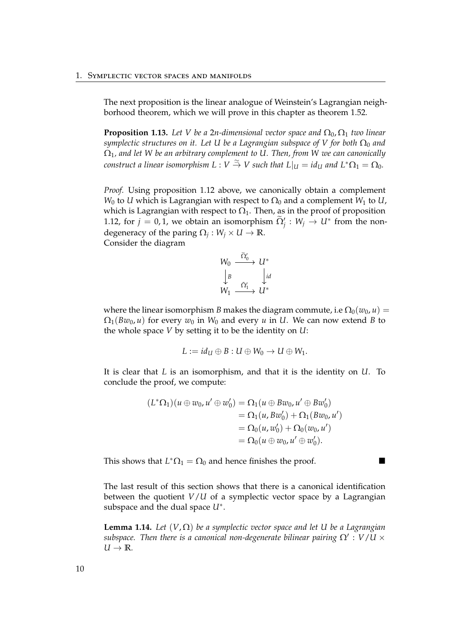The next proposition is the linear analogue of Weinstein's Lagrangian neighborhood theorem, which we will prove in this chapter as theorem [1.52.](#page-36-0)

**Proposition 1.13.** Let V be a 2*n*-dimensional vector space and  $\Omega_0$ ,  $\Omega_1$  two linear *symplectic structures on it. Let U be a Lagrangian subspace of V for both*  $\Omega_0$  *and* Ω1*, and let W be an arbitrary complement to U. Then, from W we can canonically*  $f$  *construct a linear isomorphism L* :  $V \stackrel{\simeq}{\to} V$  *such that*  $L|_U = id_U$  *and*  $L^*\Omega_1 = \Omega_0$ *.* 

*Proof.* Using proposition [1.12](#page-14-0) above, we canonically obtain a complement *W*<sup>0</sup> to *U* which is Lagrangian with respect to  $\Omega$ <sup>0</sup> and a complement *W*<sup>1</sup> to *U*, which is Lagrangian with respect to  $\Omega_1$ . Then, as in the proof of proposition [1.12,](#page-14-0) for  $j = 0, 1$ , we obtain an isomorphism  $\widetilde{\Omega}_j' : W_j \to U^*$  from the nondegeneracy of the paring  $\Omega_j : W_j \times U \to \mathbb{R}$ . Consider the diagram

$$
W_0 \xrightarrow{\widetilde{\Omega}'_0} U^*
$$
  
\n
$$
\downarrow B \qquad \qquad \downarrow id
$$
  
\n
$$
W_1 \xrightarrow{\widetilde{\Omega}'_1} U^*
$$

where the linear isomorphism *B* makes the diagram commute, i.e  $\Omega_0(w_0, u) =$  $\Omega_1(Bw_0, u)$  for every  $w_0$  in  $W_0$  and every *u* in *U*. We can now extend *B* to the whole space *V* by setting it to be the identity on *U*:

$$
L := id_U \oplus B : U \oplus W_0 \to U \oplus W_1.
$$

It is clear that *L* is an isomorphism, and that it is the identity on *U*. To conclude the proof, we compute:

$$
(L^*\Omega_1)(u \oplus w_0, u' \oplus w'_0) = \Omega_1(u \oplus Bw_0, u' \oplus Bw'_0)
$$
  
=  $\Omega_1(u, Bw'_0) + \Omega_1(Bw_0, u')$   
=  $\Omega_0(u, w'_0) + \Omega_0(w_0, u')$   
=  $\Omega_0(u \oplus w_0, u' \oplus w'_0).$ 

This shows that  $L^* \Omega_1 = \Omega_0$  and hence finishes the proof.

The last result of this section shows that there is a canonical identification between the quotient *V*/*U* of a symplectic vector space by a Lagrangian subspace and the dual space *U*<sup>∗</sup> .

<span id="page-15-0"></span>**Lemma 1.14.** *Let* (*V*, Ω) *be a symplectic vector space and let U be a Lagrangian*  $s$ ubspace. Then there is a canonical non-degenerate bilinear pairing  $\Omega^{\prime}:V/U\times V$  $U \rightarrow \mathbb{R}$ *.*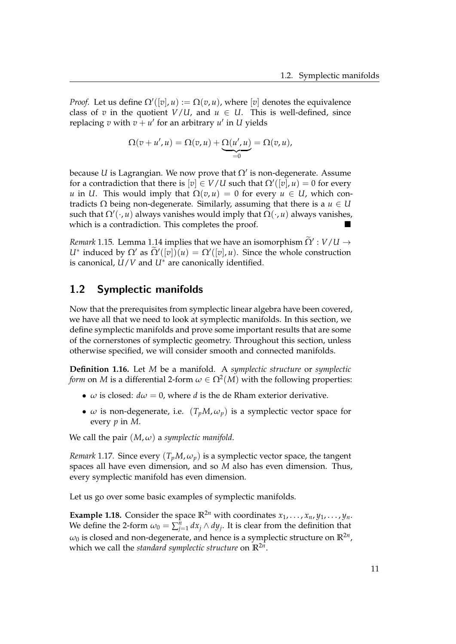*Proof.* Let us define  $\Omega'([v], u) := \Omega(v, u)$ , where  $[v]$  denotes the equivalence class of *v* in the quotient  $V/U$ , and  $u \in U$ . This is well-defined, since replacing *v* with  $v + u'$  for an arbitrary  $u'$  in *U* yields

$$
\Omega(v+u',u)=\Omega(v,u)+\underbrace{\Omega(u',u)}_{=0}=\Omega(v,u),
$$

because U is Lagrangian. We now prove that  $\Omega'$  is non-degenerate. Assume for a contradiction that there is  $[v] \in V/U$  such that  $\Omega'([v],u) = 0$  for every *u* in *U*. This would imply that  $\Omega(v, u) = 0$  for every  $u \in U$ , which contradicts  $Ω$  being non-degenerate. Similarly, assuming that there is a  $u ∈ U$ such that  $Ω'(\cdot, u)$  always vanishes would imply that  $Ω(\cdot, u)$  always vanishes, which is a contradiction. This completes the proof.

<span id="page-16-2"></span>*Remark* 1.15*.* Lemma [1.14](#page-15-0) implies that we have an isomorphism  $\widetilde{\Omega}' : V/U \to W$ *U*<sup>∗</sup> induced by  $\Omega'$  as  $\widetilde{\Omega}'([v])(u) = \Omega'([v], u)$ . Since the whole construction is canonical, *U*/*V* and *U*<sup>∗</sup> are canonically identified.

## <span id="page-16-0"></span>1.2 Symplectic manifolds

Now that the prerequisites from symplectic linear algebra have been covered, we have all that we need to look at symplectic manifolds. In this section, we define symplectic manifolds and prove some important results that are some of the cornerstones of symplectic geometry. Throughout this section, unless otherwise specified, we will consider smooth and connected manifolds.

**Definition 1.16.** Let *M* be a manifold. A *symplectic structure* or *symplectic form* on  $M$  is a differential 2-form  $\omega \in \Omega^2(M)$  with the following properties:

- $\omega$  is closed:  $d\omega = 0$ , where *d* is the de Rham exterior derivative.
- $\omega$  is non-degenerate, i.e.  $(T_pM, \omega_p)$  is a symplectic vector space for every *p* in *M*.

We call the pair  $(M, \omega)$  a *symplectic manifold*.

*Remark* 1.17. Since every  $(T_pM, \omega_p)$  is a symplectic vector space, the tangent spaces all have even dimension, and so *M* also has even dimension. Thus, every symplectic manifold has even dimension.

Let us go over some basic examples of symplectic manifolds.

<span id="page-16-1"></span>**Example 1.18.** Consider the space  $\mathbb{R}^{2n}$  with coordinates  $x_1, \ldots, x_n, y_1, \ldots, y_n$ . We define the 2-form  $\omega_0 = \sum_{j=1}^n dx_j \wedge dy_j$ . It is clear from the definition that  $\omega_0$  is closed and non-degenerate, and hence is a symplectic structure on  $\mathbb{R}^{2n}$ , which we call the *standard symplectic structure* on **R**2*<sup>n</sup>* .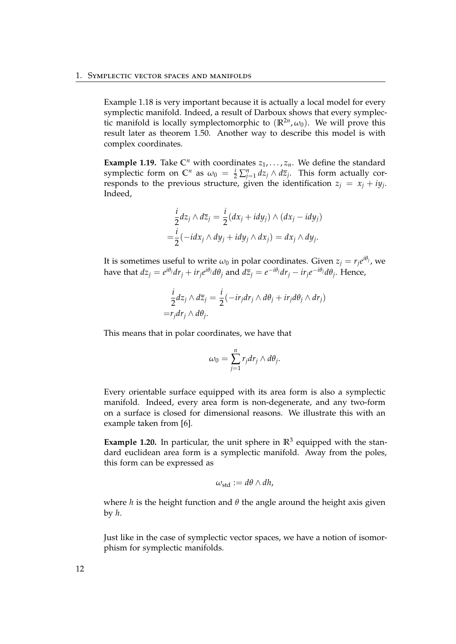Example [1.18](#page-16-1) is very important because it is actually a local model for every symplectic manifold. Indeed, a result of Darboux shows that every symplectic manifold is locally symplectomorphic to  $(\mathbb{R}^{2n}, \omega_0)$ . We will prove this result later as theorem [1.50.](#page-34-0) Another way to describe this model is with complex coordinates.

**Example 1.19.** Take  $\mathbb{C}^n$  with coordinates  $z_1, \ldots, z_n$ . We define the standard symplectic form on  $\mathbb{C}^n$  as  $\omega_0 = \frac{i}{2} \sum_{j=1}^n dz_j \wedge d\overline{z}_j$ . This form actually corresponds to the previous structure, given the identification  $z_j = x_j + iy_j$ . Indeed,

$$
\frac{i}{2}dz_j \wedge d\overline{z}_j = \frac{i}{2}(dx_j + idy_j) \wedge (dx_j - idy_j)
$$

$$
= \frac{i}{2}(-idx_j \wedge dy_j + idy_j \wedge dx_j) = dx_j \wedge dy_j.
$$

It is sometimes useful to write  $\omega_0$  in polar coordinates. Given  $z_j = r_j e^{i\theta_j}$ , we have that  $dz_j = e^{i\theta_j}dr_j + ir_je^{i\theta_j}d\theta_j$  and  $d\overline{z}_j = e^{-i\theta_j}dr_j - ir_je^{-i\theta_j}d\theta_j$ . Hence,

$$
\frac{i}{2}dz_j \wedge d\overline{z}_j = \frac{i}{2}(-ir_jdr_j \wedge d\theta_j + ir_jd\theta_j \wedge dr_j)
$$
  
=  $r_jdr_j \wedge d\theta_j$ .

This means that in polar coordinates, we have that

$$
\omega_0=\sum_{j=1}^n r_j dr_j\wedge d\theta_j.
$$

Every orientable surface equipped with its area form is also a symplectic manifold. Indeed, every area form is non-degenerate, and any two-form on a surface is closed for dimensional reasons. We illustrate this with an example taken from [\[6\]](#page-108-2).

**Example 1.20.** In particular, the unit sphere in  $\mathbb{R}^3$  equipped with the standard euclidean area form is a symplectic manifold. Away from the poles, this form can be expressed as

$$
\omega_{\text{std}} := d\theta \wedge dh,
$$

where  $h$  is the height function and  $\theta$  the angle around the height axis given by *h*.

Just like in the case of symplectic vector spaces, we have a notion of isomorphism for symplectic manifolds.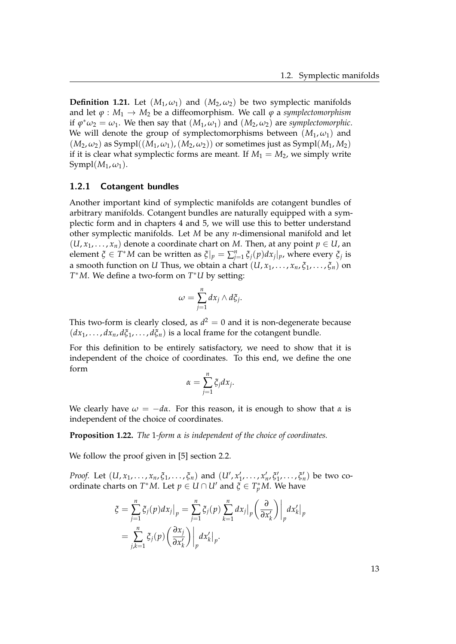**Definition 1.21.** Let  $(M_1, \omega_1)$  and  $(M_2, \omega_2)$  be two symplectic manifolds and let  $\varphi : M_1 \to M_2$  be a diffeomorphism. We call  $\varphi$  a *symplectomorphism* if  $\varphi^* \omega_2 = \omega_1$ . We then say that  $(M_1, \omega_1)$  and  $(M_2, \omega_2)$  are *symplectomorphic*. We will denote the group of symplectomorphisms between  $(M_1, \omega_1)$  and  $(M_2, \omega_2)$  as Sympl $((M_1, \omega_1), (M_2, \omega_2))$  or sometimes just as Sympl $(M_1, M_2)$ if it is clear what symplectic forms are meant. If  $M_1 = M_2$ , we simply write  $Sympl(M_1,\omega_1)$ .

#### <span id="page-18-0"></span>1.2.1 Cotangent bundles

Another important kind of symplectic manifolds are cotangent bundles of arbitrary manifolds. Cotangent bundles are naturally equipped with a symplectic form and in chapters [4](#page-68-0) and [5,](#page-80-0) we will use this to better understand other symplectic manifolds. Let *M* be any *n*-dimensional manifold and let  $(U, x_1, \ldots, x_n)$  denote a coordinate chart on *M*. Then, at any point  $p \in U$ , an element *ξ*  $\in T^*M$  can be written as  $\zeta|_p = \sum_{j=1}^n \zeta_j(p) dx_j|_p$ , where every  $\zeta_j$  is a smooth function on *U* Thus, we obtain a chart  $(U, x_1, \ldots, x_n, \xi_1, \ldots, \xi_n)$  on *T* <sup>∗</sup>*M*. We define a two-form on *T* <sup>∗</sup>*U* by setting:

$$
\omega=\sum_{j=1}^n dx_j\wedge d\xi_j.
$$

This two-form is clearly closed, as  $d^2 = 0$  and it is non-degenerate because  $(dx_1, \ldots, dx_n, d\xi_1, \ldots, d\xi_n)$  is a local frame for the cotangent bundle.

For this definition to be entirely satisfactory, we need to show that it is independent of the choice of coordinates. To this end, we define the one form

$$
\alpha = \sum_{j=1}^n \xi_j dx_j.
$$

We clearly have  $\omega = -d\alpha$ . For this reason, it is enough to show that  $\alpha$  is independent of the choice of coordinates.

**Proposition 1.22.** *The* 1*-form α is independent of the choice of coordinates.*

We follow the proof given in [\[5\]](#page-108-1) section 2.2.

*Proof.* Let  $(U, x_1, \ldots, x_n, \xi_1, \ldots, \xi_n)$  and  $(U', x'_1, \ldots, x'_n, \xi'_1, \ldots, \xi'_n)$  be two coordinate charts on  $T^*M$ . Let  $p \in U \cap U'$  and  $\tilde{\zeta} \in T_p^*M$ . We have

$$
\zeta = \sum_{j=1}^{n} \zeta_j(p) dx_j \big|_p = \sum_{j=1}^{n} \zeta_j(p) \sum_{k=1}^{n} dx_j \big|_p \left( \frac{\partial}{\partial x'_k} \right) \big|_p dx'_k \big|_p
$$
  
= 
$$
\sum_{j,k=1}^{n} \zeta_j(p) \left( \frac{\partial x_j}{\partial x'_k} \right) \big|_p dx'_k \big|_p.
$$

13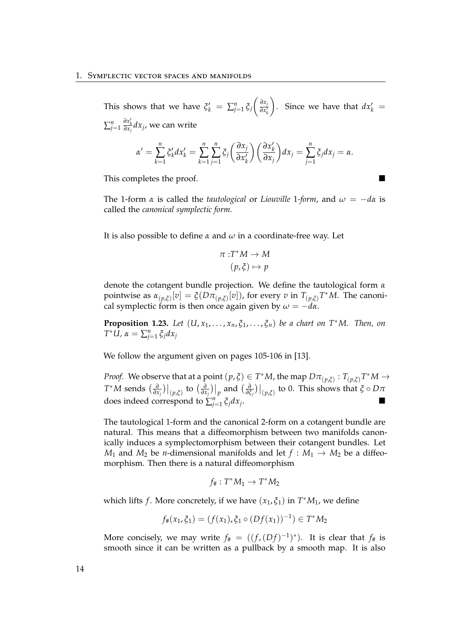This shows that we have  $\zeta_k' = \sum_{j=1}^n \zeta_j$  *∂x<sup>j</sup> ∂x* 0 *k* ). Since we have that  $dx'_k =$  $\sum_{j=1}^n$ *∂x* 0 *k ∂x<sup>j</sup> dx<sup>j</sup>* , we can write

$$
\alpha' = \sum_{k=1}^n \zeta'_k dx'_k = \sum_{k=1}^n \sum_{j=1}^n \zeta_j \left( \frac{\partial x_j}{\partial x'_k} \right) \left( \frac{\partial x'_k}{\partial x_j} \right) dx_j = \sum_{j=1}^n \zeta_j dx_j = \alpha.
$$

This completes the proof.

The 1-form  $\alpha$  is called the *tautological* or *Liouville* 1-form, and  $\omega = -d\alpha$  is called the *canonical symplectic form*.

It is also possible to define *α* and *ω* in a coordinate-free way. Let

$$
\pi: T^*M \to M
$$

$$
(p, \xi) \mapsto p
$$

denote the cotangent bundle projection. We define the tautological form *α* pointwise as  $\alpha_{(p,\xi)}[v] = \xi(D\pi_{(p,\xi)}[v])$ , for every *v* in  $T_{(p,\xi)}T^*M$ . The canonical symplectic form is then once again given by  $\omega = -d\alpha$ .

**Proposition 1.23.** *Let*  $(U, x_1, \ldots, x_n, \xi_1, \ldots, \xi_n)$  *be a chart on*  $T^*M$ . *Then, on T*<sup>\*</sup>*U,*  $\alpha = \sum_{j=1}^n \zeta_j dx_j$ 

We follow the argument given on pages 105-106 in [\[13\]](#page-109-0).

*Proof.* We observe that at a point  $(p, \xi) \in T^*M$ , the map  $D\pi_{(p,\xi)} : T_{(p,\xi)}T^*M \to T^*M$  $T^*M$  sends  $\left. \left. \left. \frac{\partial}{\partial x_j} \right) \right|_{(p,\xi)}$  to  $\left. \left. \left( \frac{\partial}{\partial x_j} \right) \right|_p$  and  $\left. \left( \frac{\partial}{\partial \xi_j} \right) \right|_p$  $\frac{\partial}{\partial \xi_j})\big|_{(p,\xi)}$  to 0. This shows that  $\xi\circ D\pi$ does indeed correspond to  $\sum_{j=1}^{n} \xi_j dx_j$ .

The tautological 1-form and the canonical 2-form on a cotangent bundle are natural. This means that a diffeomorphism between two manifolds canonically induces a symplectomorphism between their cotangent bundles. Let *M*<sub>1</sub> and *M*<sub>2</sub> be *n*-dimensional manifolds and let  $f : M_1 \rightarrow M_2$  be a diffeomorphism. Then there is a natural diffeomorphism

$$
f_{\#}:T^*M_1\to T^*M_2
$$

which lifts *f* . More concretely, if we have (*x*1, *ξ*1) in *T* <sup>∗</sup>*M*1, we define

$$
f_{\#}(x_1,\xi_1)=(f(x_1),\xi_1\circ (Df(x_1))^{-1})\in T^*M_2
$$

More concisely, we may write  $f_{\#} = ((f, (Df)^{-1})^*)$ . It is clear that  $f_{\#}$  is smooth since it can be written as a pullback by a smooth map. It is also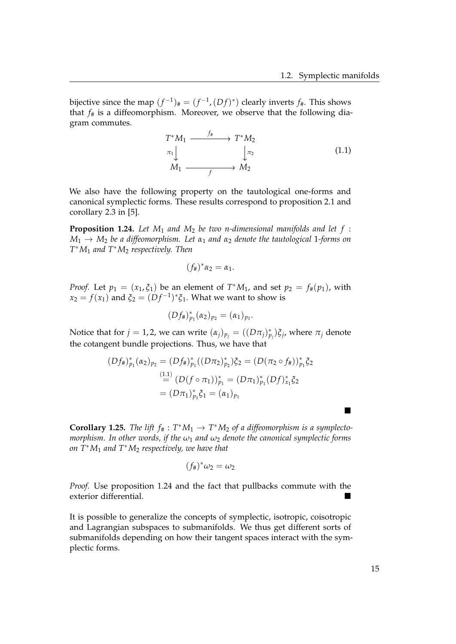bijective since the map  $(f^{-1})_{\#} = (f^{-1}, (Df)^*)$  clearly inverts  $f_{\#}$ . This shows that  $f_{\#}$  is a diffeomorphism. Moreover, we observe that the following diagram commutes.

<span id="page-20-0"></span>
$$
T^*M_1 \xrightarrow{f^*} T^*M_2
$$
  
\n
$$
\pi_1 \downarrow \qquad \qquad \downarrow \pi_2
$$
  
\n
$$
M_1 \xrightarrow{f} M_2
$$
\n(1.1)

We also have the following property on the tautological one-forms and canonical symplectic forms. These results correspond to proposition 2.1 and corollary 2.3 in [\[5\]](#page-108-1).

<span id="page-20-1"></span>**Proposition 1.24.** *Let M*<sup>1</sup> *and M*<sup>2</sup> *be two n-dimensional manifolds and let f* : *M*<sup>1</sup> → *M*<sup>2</sup> *be a diffeomorphism. Let α*<sup>1</sup> *and α*<sup>2</sup> *denote the tautological* 1*-forms on T* <sup>∗</sup>*M*<sup>1</sup> *and T*∗*M*<sup>2</sup> *respectively. Then*

$$
(f_{\#})^*\alpha_2=\alpha_1.
$$

*Proof.* Let  $p_1 = (x_1, \xi_1)$  be an element of  $T^*M_1$ , and set  $p_2 = f_*(p_1)$ , with  $x_2 = f(x_1)$  and  $\xi_2 = (Df^{-1})^* \xi_1$ . What we want to show is

$$
(Df_{\#})_{p_1}^*(\alpha_2)_{p_2}=(\alpha_1)_{p_1}.
$$

Notice that for  $j = 1, 2$ , we can write  $(\alpha_j)_{p_j} = ((D\pi_j)_{p_j}^*)\xi_j$ , where  $\pi_j$  denote the cotangent bundle projections. Thus, we have that

$$
(Df_{\#})_{p_1}^*(\alpha_2)_{p_2} = (Df_{\#})_{p_1}^*((D\pi_2)_{p_2}^*)\xi_2 = (D(\pi_2 \circ f_{\#}))_{p_1}^*\xi_2
$$
  

$$
\stackrel{(1.1)}{=} (D(f \circ \pi_1))_{p_1}^* = (D\pi_1)_{p_1}^*(Df)_{x_1}^*\xi_2
$$
  

$$
= (D\pi_1)_{p_1}^*\xi_1 = (\alpha_1)_{p_1}
$$

**Corollary 1.25.** *The lift*  $f_{\#}: T^*M_1 \to T^*M_2$  of a diffeomorphism is a symplecto*morphism. In other words, if the ω*<sup>1</sup> *and ω*<sup>2</sup> *denote the canonical symplectic forms on T*∗*M*<sup>1</sup> *and T*∗*M*<sup>2</sup> *respectively, we have that*

$$
(f_{\#})^*\omega_2=\omega_2
$$

*Proof.* Use proposition [1.24](#page-20-1) and the fact that pullbacks commute with the exterior differential.

It is possible to generalize the concepts of symplectic, isotropic, coisotropic and Lagrangian subspaces to submanifolds. We thus get different sorts of submanifolds depending on how their tangent spaces interact with the symplectic forms.

 $\blacksquare$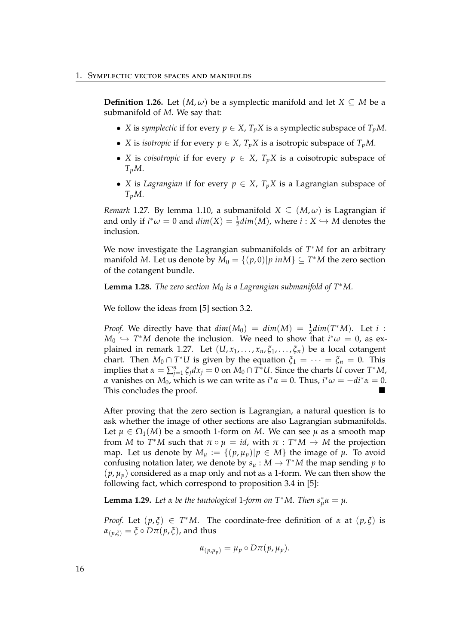**Definition 1.26.** Let  $(M, \omega)$  be a symplectic manifold and let  $X \subseteq M$  be a submanifold of *M*. We say that:

- *X* is *symplectic* if for every  $p \in X$ ,  $T_p X$  is a symplectic subspace of  $T_p M$ .
- *X* is *isotropic* if for every  $p \in X$ ,  $T_p X$  is a isotropic subspace of  $T_p M$ .
- *X* is *coisotropic* if for every  $p \in X$ ,  $T_p X$  is a coisotropic subspace of *TpM*.
- *X* is *Lagrangian* if for every  $p \in X$ ,  $T_pX$  is a Lagrangian subspace of *TpM*.

<span id="page-21-0"></span>*Remark* 1.27. By lemma [1.10,](#page-13-1) a submanifold  $X \subseteq (M, \omega)$  is Lagrangian if and only if  $i^*\omega = 0$  and  $dim(X) = \frac{1}{2}dim(M)$ , where  $i: X \hookrightarrow M$  denotes the inclusion.

We now investigate the Lagrangian submanifolds of *T* <sup>∗</sup>*M* for an arbitrary manifold *M*. Let us denote by  $M_0 = \{(p, 0)|p \text{ in } M\} \subseteq T^*M$  the zero section of the cotangent bundle.

**Lemma 1.28.** *The zero section*  $M_0$  *is a Lagrangian submanifold of*  $T^*M$ *.* 

We follow the ideas from [\[5\]](#page-108-1) section 3.2.

*Proof.* We directly have that  $dim(M_0) = dim(M) = \frac{1}{2}dim(T^*M)$ . Let *i* :  $M_0 \hookrightarrow T^*M$  denote the inclusion. We need to show that  $i^*\omega = 0$ , as ex-plained in remark [1.27.](#page-21-0) Let  $(U, x_1, \ldots, x_n, \xi_1, \ldots, \xi_n)$  be a local cotangent chart. Then  $M_0 \cap T^*U$  is given by the equation  $\xi_1 = \cdots = \xi_n = 0$ . This implies that  $\alpha = \sum_{j=1}^{n} \xi_j dx_j = 0$  on  $M_0 \cap T^*U$ . Since the charts *U* cover  $T^*M$ , *α* vanishes on  $M_0$ , which is we can write as  $i^* \alpha = 0$ . Thus,  $i^* \omega = -di^* \alpha = 0$ . This concludes the proof.

After proving that the zero section is Lagrangian, a natural question is to ask whether the image of other sections are also Lagrangian submanifolds. Let  $\mu \in \Omega_1(M)$  be a smooth 1-form on *M*. We can see  $\mu$  as a smooth map from *M* to  $T^*M$  such that  $\pi \circ \mu = id$ , with  $\pi : T^*M \to M$  the projection map. Let us denote by  $M_{\mu} := \{(p, \mu_p) | p \in M\}$  the image of  $\mu$ . To avoid confusing notation later, we denote by  $s_\mu : M \to T^*M$  the map sending  $p$  to  $(p, \mu_p)$  considered as a map only and not as a 1-form. We can then show the following fact, which correspond to proposition 3.4 in [\[5\]](#page-108-1):

<span id="page-21-1"></span>**Lemma 1.29.** *Let*  $\alpha$  *be the tautological* 1*-form on*  $T^*M$ *. Then*  $s^*_{\mu} \alpha = \mu$ *.* 

*Proof.* Let  $(p, \xi) \in T^*M$ . The coordinate-free definition of *α* at  $(p, \xi)$  is  $\alpha_{(p,\xi)} = \xi \circ D\pi(p,\xi)$ , and thus

$$
\alpha_{(p,\mu_p)}=\mu_p\circ D\pi(p,\mu_p).
$$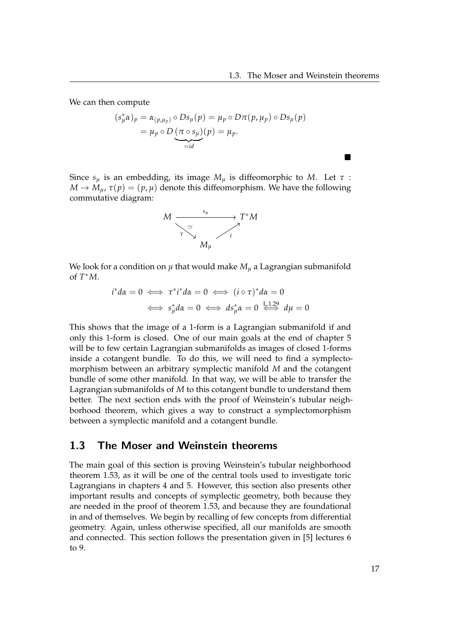$\blacksquare$ 

We can then compute

$$
(s_{\mu}^{*} \alpha)_{p} = \alpha_{(p,\mu_{p})} \circ Ds_{\mu}(p) = \mu_{p} \circ D\pi(p,\mu_{p}) \circ Ds_{\mu}(p)
$$
  
=  $\mu_{p} \circ D(\pi \circ s_{\mu})(p) = \mu_{p}.$ 

Since  $s_\mu$  is an embedding, its image  $M_\mu$  is diffeomorphic to M. Let  $\tau$ :  $M \to M_{\mu}$ ,  $\tau(p) = (p, \mu)$  denote this diffeomorphism. We have the following commutative diagram:



We look for a condition on  $\mu$  that would make  $M_{\mu}$  a Lagrangian submanifold of *T* <sup>∗</sup>*M*.

$$
i^*d\alpha = 0 \iff \tau^* i^*d\alpha = 0 \iff (i \circ \tau)^*d\alpha = 0
$$
  

$$
\iff s^*_{\mu}d\alpha = 0 \iff ds^*_{\mu}\alpha = 0 \iff d\mu = 0
$$

This shows that the image of a 1-form is a Lagrangian submanifold if and only this 1-form is closed. One of our main goals at the end of chapter [5](#page-80-0) will be to few certain Lagrangian submanifolds as images of closed 1-forms inside a cotangent bundle. To do this, we will need to find a symplectomorphism between an arbitrary symplectic manifold *M* and the cotangent bundle of some other manifold. In that way, we will be able to transfer the Lagrangian submanifolds of *M* to this cotangent bundle to understand them better. The next section ends with the proof of Weinstein's tubular neighborhood theorem, which gives a way to construct a symplectomorphism between a symplectic manifold and a cotangent bundle.

### <span id="page-22-0"></span>1.3 The Moser and Weinstein theorems

The main goal of this section is proving Weinstein's tubular neighborhood theorem [1.53,](#page-37-0) as it will be one of the central tools used to investigate toric Lagrangians in chapters [4](#page-68-0) and [5.](#page-80-0) However, this section also presents other important results and concepts of symplectic geometry, both because they are needed in the proof of theorem [1.53,](#page-37-0) and because they are foundational in and of themselves. We begin by recalling of few concepts from differential geometry. Again, unless otherwise specified, all our manifolds are smooth and connected. This section follows the presentation given in [\[5\]](#page-108-1) lectures 6 to 9.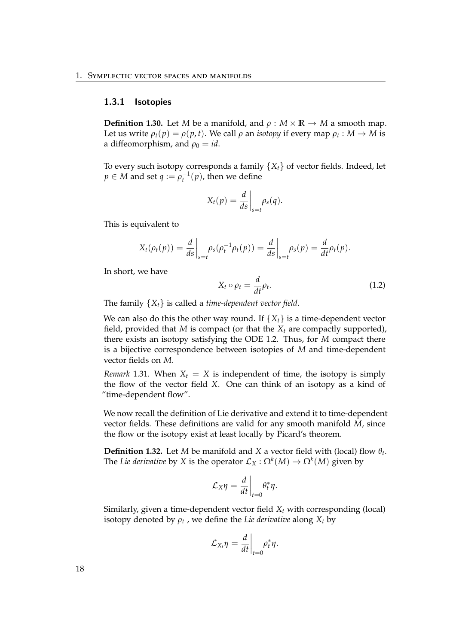#### <span id="page-23-0"></span>1.3.1 Isotopies

**Definition 1.30.** Let *M* be a manifold, and  $\rho : M \times \mathbb{R} \to M$  a smooth map. Let us write  $\rho_t(p) = \rho(p, t)$ . We call  $\rho$  an *isotopy* if every map  $\rho_t : M \to M$  is a diffeomorphism, and  $\rho_0 = id$ .

To every such isotopy corresponds a family  ${X_t}$  of vector fields. Indeed, let  $p \in M$  and set  $q := \rho_t^{-1}(p)$ , then we define

$$
X_t(p) = \frac{d}{ds}\bigg|_{s=t} \rho_s(q).
$$

This is equivalent to

$$
X_t(\rho_t(p)) = \frac{d}{ds}\bigg|_{s=t} \rho_s(\rho_t^{-1}\rho_t(p)) = \frac{d}{ds}\bigg|_{s=t} \rho_s(p) = \frac{d}{dt}\rho_t(p).
$$

In short, we have

<span id="page-23-1"></span>
$$
X_t \circ \rho_t = \frac{d}{dt} \rho_t. \tag{1.2}
$$

The family {*Xt*} is called a *time-dependent vector field*.

We can also do this the other way round. If  ${X_t}$  is a time-dependent vector field, provided that  $M$  is compact (or that the  $X_t$  are compactly supported), there exists an isotopy satisfying the ODE [1.2.](#page-23-1) Thus, for *M* compact there is a bijective correspondence between isotopies of *M* and time-dependent vector fields on *M*.

*Remark* 1.31. When  $X_t = X$  is independent of time, the isotopy is simply the flow of the vector field *X*. One can think of an isotopy as a kind of "time-dependent flow".

We now recall the definition of Lie derivative and extend it to time-dependent vector fields. These definitions are valid for any smooth manifold *M*, since the flow or the isotopy exist at least locally by Picard's theorem.

**Definition 1.32.** Let *M* be manifold and *X* a vector field with (local) flow  $\theta_t$ . The *Lie derivative* by *X* is the operator  $\mathcal{L}_X : \Omega^k(M) \to \Omega^k(M)$  given by

$$
\mathcal{L}_X \eta = \frac{d}{dt}\bigg|_{t=0} \theta_t^* \eta.
$$

Similarly, given a time-dependent vector field *X<sup>t</sup>* with corresponding (local) isotopy denoted by  $\rho_t$  , we define the *Lie derivative* along  $X_t$  by

$$
\mathcal{L}_{X_t}\eta=\frac{d}{dt}\bigg|_{t=0}\rho_t^*\eta.
$$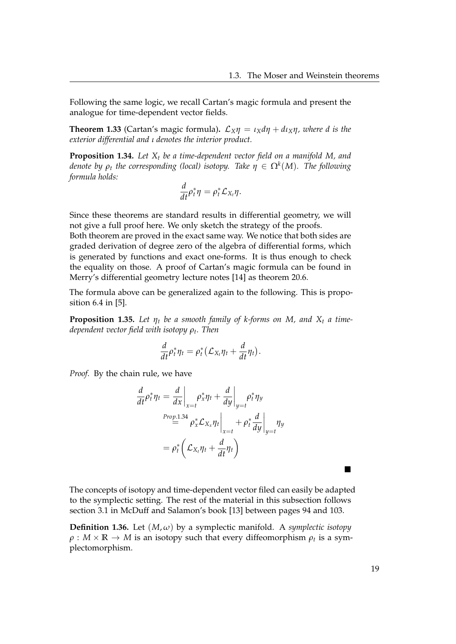Following the same logic, we recall Cartan's magic formula and present the analogue for time-dependent vector fields.

<span id="page-24-1"></span>**Theorem 1.33** (Cartan's magic formula).  $\mathcal{L}_X \eta = \iota_X d\eta + d\iota_X \eta$ , where d is the *exterior differential and ι denotes the interior product.*

<span id="page-24-0"></span>**Proposition 1.34.** *Let X<sup>t</sup> be a time-dependent vector field on a manifold M, and denote by ρ<sup>t</sup> the corresponding (local) isotopy. Take η* ∈ Ω*<sup>k</sup>* (*M*)*. The following formula holds:*

$$
\frac{d}{dt}\rho_t^*\eta=\rho_t^*\mathcal{L}_{X_t}\eta.
$$

Since these theorems are standard results in differential geometry, we will not give a full proof here. We only sketch the strategy of the proofs.

Both theorem are proved in the exact same way. We notice that both sides are graded derivation of degree zero of the algebra of differential forms, which is generated by functions and exact one-forms. It is thus enough to check the equality on those. A proof of Cartan's magic formula can be found in Merry's differential geometry lecture notes [\[14\]](#page-109-1) as theorem 20.6.

The formula above can be generalized again to the following. This is proposition 6.4 in [\[5\]](#page-108-1).

<span id="page-24-2"></span>**Proposition 1.35.** Let  $\eta_t$  be a smooth family of k-forms on M, and  $X_t$  a time*dependent vector field with isotopy ρ<sup>t</sup> . Then*

$$
\frac{d}{dt}\rho_t^*\eta_t = \rho_t^*\big(\mathcal{L}_{X_t}\eta_t + \frac{d}{dt}\eta_t\big).
$$

*Proof.* By the chain rule, we have

$$
\frac{d}{dt}\rho_t^* \eta_t = \frac{d}{dx}\Big|_{x=t} \rho_x^* \eta_t + \frac{d}{dy}\Big|_{y=t} \rho_t^* \eta_y
$$
\n
$$
\stackrel{Prop.1.34}{=} \rho_x^* \mathcal{L}_{X_x} \eta_t \Big|_{x=t} + \rho_t^* \frac{d}{dy}\Big|_{y=t} \eta_y
$$
\n
$$
= \rho_t^* \left( \mathcal{L}_{X_t} \eta_t + \frac{d}{dt} \eta_t \right)
$$

The concepts of isotopy and time-dependent vector filed can easily be adapted to the symplectic setting. The rest of the material in this subsection follows section 3.1 in McDuff and Salamon's book [\[13\]](#page-109-0) between pages 94 and 103.

**Definition 1.36.** Let  $(M, \omega)$  by a symplectic manifold. A *symplectic isotopy*  $\rho: M \times \mathbb{R} \to M$  is an isotopy such that every diffeomorphism  $\rho_t$  is a symplectomorphism.

 $\blacksquare$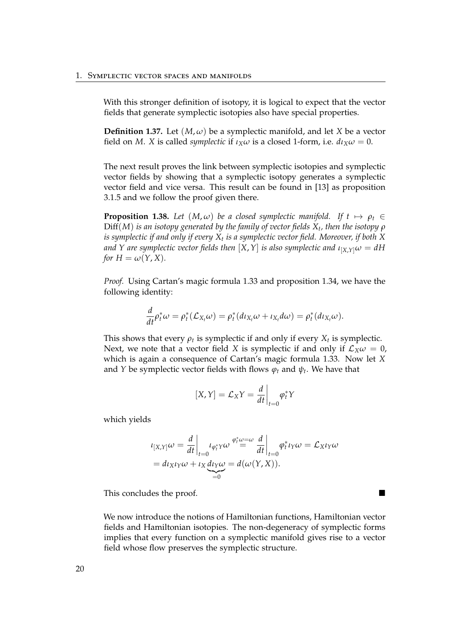With this stronger definition of isotopy, it is logical to expect that the vector fields that generate symplectic isotopies also have special properties.

**Definition 1.37.** Let  $(M, \omega)$  be a symplectic manifold, and let *X* be a vector field on *M*. *X* is called *symplectic* if  $\iota_X \omega$  is a closed 1-form, i.e.  $d\iota_X \omega = 0$ .

The next result proves the link between symplectic isotopies and symplectic vector fields by showing that a symplectic isotopy generates a symplectic vector field and vice versa. This result can be found in [\[13\]](#page-109-0) as proposition 3.1.5 and we follow the proof given there.

**Proposition 1.38.** *Let*  $(M, \omega)$  *be a closed symplectic manifold.* If  $t \mapsto \rho_t \in$ Diff(*M*) *is an isotopy generated by the family of vector fields X<sup>t</sup> , then the isotopy ρ is symplectic if and only if every X<sup>t</sup> is a symplectic vector field. Moreover, if both X*  $a$ nd  $Y$  are symplectic vector fields then  $[X,Y]$  is also symplectic and  $\iota_{[X,Y]} \omega = dH$ *for*  $H = \omega(Y, X)$ *.* 

*Proof.* Using Cartan's magic formula [1.33](#page-24-1) and proposition [1.34,](#page-24-0) we have the following identity:

$$
\frac{d}{dt}\rho_t^*\omega = \rho_t^*(\mathcal{L}_{X_t}\omega) = \rho_t^*(d\iota_{X_t}\omega + \iota_{X_t}d\omega) = \rho_t^*(d\iota_{X_t}\omega).
$$

This shows that every  $\rho_t$  is symplectic if and only if every  $X_t$  is symplectic. Next, we note that a vector field *X* is symplectic if and only if  $\mathcal{L}_X \omega = 0$ , which is again a consequence of Cartan's magic formula [1.33.](#page-24-1) Now let *X* and *Y* be symplectic vector fields with flows *ϕ<sup>t</sup>* and *ψ<sup>t</sup>* . We have that

$$
[X,Y] = \mathcal{L}_X Y = \frac{d}{dt}\bigg|_{t=0} \varphi_t^* Y
$$

which yields

$$
\begin{aligned} \n\iota_{[X,Y]} \omega &= \frac{d}{dt} \bigg|_{t=0} \iota_{\varphi_t^* Y} \omega \stackrel{\varphi_t^* \omega = \omega}{=} \frac{d}{dt} \bigg|_{t=0} \varphi_t^* \iota_Y \omega = \mathcal{L}_X \iota_Y \omega \\ \n&= d \iota_X \iota_Y \omega + \iota_X \underbrace{d \iota_Y \omega}_{=0} = d(\omega(Y, X)). \n\end{aligned}
$$

This concludes the proof.

We now introduce the notions of Hamiltonian functions, Hamiltonian vector fields and Hamiltonian isotopies. The non-degeneracy of symplectic forms implies that every function on a symplectic manifold gives rise to a vector field whose flow preserves the symplectic structure.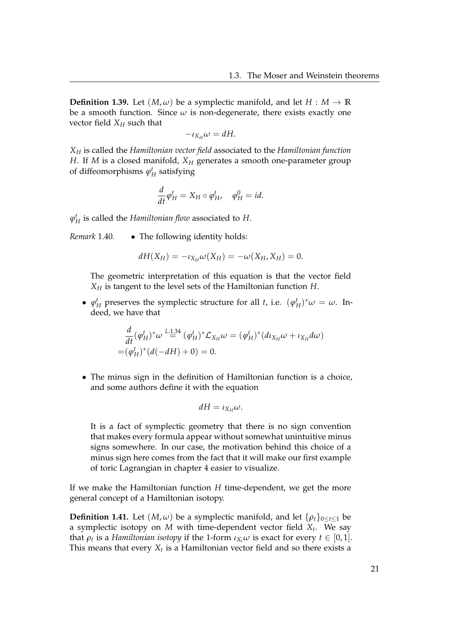**Definition 1.39.** Let  $(M, \omega)$  be a symplectic manifold, and let  $H : M \to \mathbb{R}$ be a smooth function. Since  $\omega$  is non-degenerate, there exists exactly one vector field  $X_H$  such that

$$
-\iota_{X_H}\omega = dH.
$$

*X<sup>H</sup>* is called the *Hamiltonian vector field* associated to the *Hamiltonian function H*. If *M* is a closed manifold, *X<sup>H</sup>* generates a smooth one-parameter group of diffeomorphisms  $\varphi^t_H$  satisfying

$$
\frac{d}{dt}\varphi_H^t = X_H \circ \varphi_H^t, \quad \varphi_H^0 = id.
$$

 $\varphi^t_H$  is called the *Hamiltonian flow* associated to *H*.

*Remark* 1.40*.* • The following identity holds:

$$
dH(X_H)=-\iota_{X_H}\omega(X_H)=-\omega(X_H,X_H)=0.
$$

The geometric interpretation of this equation is that the vector field *X<sup>H</sup>* is tangent to the level sets of the Hamiltonian function *H*.

•  $\varphi_H^t$  preserves the symplectic structure for all *t*, i.e.  $(\varphi_H^t)^*\omega = \omega$ . Indeed, we have that

$$
\frac{d}{dt}(\varphi_H^t)^*\omega \stackrel{L.1.34}{=} (\varphi_H^t)^*\mathcal{L}_{X_H}\omega = (\varphi_H^t)^*(d\iota_{X_H}\omega + \iota_{X_H}d\omega) \n= (\varphi_H^t)^*(d(-dH) + 0) = 0.
$$

• The minus sign in the definition of Hamiltonian function is a choice, and some authors define it with the equation

$$
dH = \iota_{X_H} \omega.
$$

It is a fact of symplectic geometry that there is no sign convention that makes every formula appear without somewhat unintuitive minus signs somewhere. In our case, the motivation behind this choice of a minus sign here comes from the fact that it will make our first example of toric Lagrangian in chapter [4](#page-68-0) easier to visualize.

If we make the Hamiltonian function *H* time-dependent, we get the more general concept of a Hamiltonian isotopy.

**Definition 1.41.** Let  $(M, \omega)$  be a symplectic manifold, and let  $\{\rho_t\}_{0 \leq t \leq 1}$  be a symplectic isotopy on *M* with time-dependent vector field *X<sup>t</sup>* . We say that  $\rho_t$  is a *Hamiltonian isotopy* if the 1-form  $\iota_{X_t}\omega$  is exact for every  $t\in[0,1].$ This means that every  $X_t$  is a Hamiltonian vector field and so there exists a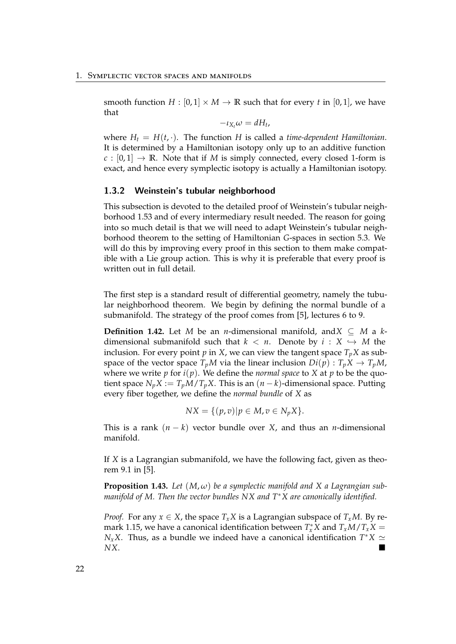smooth function  $H : [0,1] \times M \rightarrow \mathbb{R}$  such that for every *t* in [0,1], we have that

$$
-\iota_{X_t}\omega = dH_t,
$$

where  $H_t = H(t, \cdot)$ . The function *H* is called a *time-dependent Hamiltonian*. It is determined by a Hamiltonian isotopy only up to an additive function  $c : [0,1] \rightarrow \mathbb{R}$ . Note that if *M* is simply connected, every closed 1-form is exact, and hence every symplectic isotopy is actually a Hamiltonian isotopy.

#### <span id="page-27-0"></span>1.3.2 Weinstein's tubular neighborhood

This subsection is devoted to the detailed proof of Weinstein's tubular neighborhood [1.53](#page-37-0) and of every intermediary result needed. The reason for going into so much detail is that we will need to adapt Weinstein's tubular neighborhood theorem to the setting of Hamiltonian *G*-spaces in section [5.3.](#page-84-0) We will do this by improving every proof in this section to them make compatible with a Lie group action. This is why it is preferable that every proof is written out in full detail.

The first step is a standard result of differential geometry, namely the tubular neighborhood theorem. We begin by defining the normal bundle of a submanifold. The strategy of the proof comes from [\[5\]](#page-108-1), lectures 6 to 9.

**Definition 1.42.** Let *M* be an *n*-dimensional manifold, and *X* ⊆ *M* a *k*dimensional submanifold such that  $k < n$ . Denote by  $i : X \hookrightarrow M$  the inclusion. For every point  $p$  in  $X$ , we can view the tangent space  $T_pX$  as subspace of the vector space  $T_pM$  via the linear inclusion  $Di(p): T_pX \to T_pM$ , where we write  $p$  for  $i(p)$ . We define the *normal space* to  $X$  at  $p$  to be the quotient space  $N_pX := T_pM/T_pX$ . This is an  $(n-k)$ -dimensional space. Putting every fiber together, we define the *normal bundle* of *X* as

$$
NX = \{ (p, v) | p \in M, v \in N_p X \}.
$$

This is a rank  $(n - k)$  vector bundle over *X*, and thus an *n*-dimensional manifold.

If *X* is a Lagrangian submanifold, we have the following fact, given as theorem 9.1 in [\[5\]](#page-108-1).

**Proposition 1.43.** Let  $(M, \omega)$  be a symplectic manifold and X a Lagrangian sub*manifold of M. Then the vector bundles NX and T*∗*X are canonically identified.*

*Proof.* For any  $x \in X$ , the space  $T_x X$  is a Lagrangian subspace of  $T_x M$ . By re-mark [1.15,](#page-16-2) we have a canonical identification between  $T_x^*X$  and  $T_xM/T_xX = T_x^*X$ *N*<sub>*x*</sub>*X*. Thus, as a bundle we indeed have a canonical identification  $T^*X \simeq$ *NX*.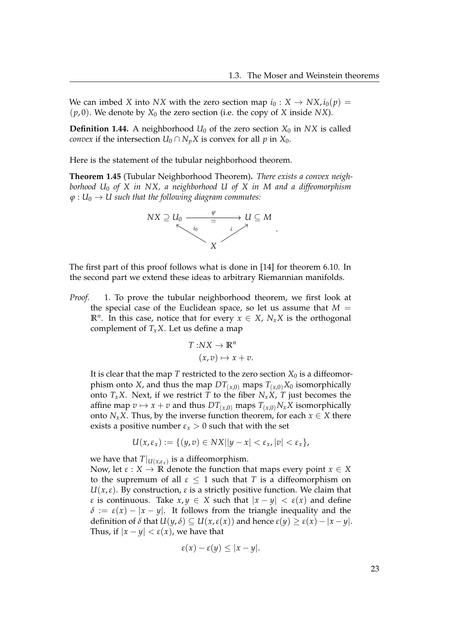We can imbed *X* into *NX* with the zero section map  $i_0: X \to N X, i_0(p) =$  $(p, 0)$ . We denote by  $X_0$  the zero section (i.e. the copy of *X* inside *NX*).

**Definition 1.44.** A neighborhood  $U_0$  of the zero section  $X_0$  in  $NX$  is called *convex* if the intersection  $U_0 \cap N_p X$  is convex for all *p* in  $X_0$ .

Here is the statement of the tubular neighborhood theorem.

<span id="page-28-0"></span>**Theorem 1.45** (Tubular Neighborhood Theorem)**.** *There exists a convex neighborhood U*<sup>0</sup> *of X in NX, a neighborhood U of X in M and a diffeomorphism*  $φ: U<sub>0</sub> → U such that the following diagram commutes:$ 



The first part of this proof follows what is done in [\[14\]](#page-109-1) for theorem 6.10. In the second part we extend these ideas to arbitrary Riemannian manifolds.

*Proof.* 1. To prove the tubular neighborhood theorem, we first look at the special case of the Euclidean space, so let us assume that  $M =$  $\mathbb{R}^n$ . In this case, notice that for every  $x \in X$ ,  $N_xX$  is the orthogonal complement of  $T_xX$ . Let us define a map

$$
T:NX \to \mathbb{R}^n
$$

$$
(x,v) \mapsto x+v.
$$

It is clear that the map *T* restricted to the zero section  $X_0$  is a diffeomorphism onto *X*, and thus the map  $DT(x,0)$  maps  $T(x,0)X_0$  isomorphically onto  $T_xX$ . Next, if we restrict *T* to the fiber  $N_xX$ , *T* just becomes the affine map  $v \mapsto x + v$  and thus  $DT(x,0)$  maps  $T(x,0)N_xX$  isomorphically onto *N*<sub>*x*</sub>*X*. Thus, by the inverse function theorem, for each  $x \in X$  there exists a positive number  $\varepsilon_x > 0$  such that with the set

$$
U(x,\varepsilon_x):=\{(y,v)\in Nx||y-x|<\varepsilon_x,|v|<\varepsilon_x\},\
$$

we have that  $T|_{U(x,\varepsilon_x)}$  is a diffeomorphism.

Now, let  $\varepsilon$  :  $X \to \mathbb{R}$  denote the function that maps every point  $x \in X$ to the supremum of all  $\varepsilon \leq 1$  such that *T* is a diffeomorphism on  $U(x,\varepsilon)$ . By construction,  $\varepsilon$  is a strictly positive function. We claim that *ε* is continuous. Take  $x, y \in X$  such that  $|x - y| < \varepsilon(x)$  and define  $\delta := \varepsilon(x) - |x - y|$ . It follows from the triangle inequality and the definition of *δ* that *U*(*y*, *δ*) ⊆ *U*(*x*,*ε*(*x*)) and hence *ε*(*y*) ≥ *ε*(*x*) − |*x* − *y*|. Thus, if  $|x - y| < \varepsilon(x)$ , we have that

$$
\varepsilon(x)-\varepsilon(y)\leq |x-y|.
$$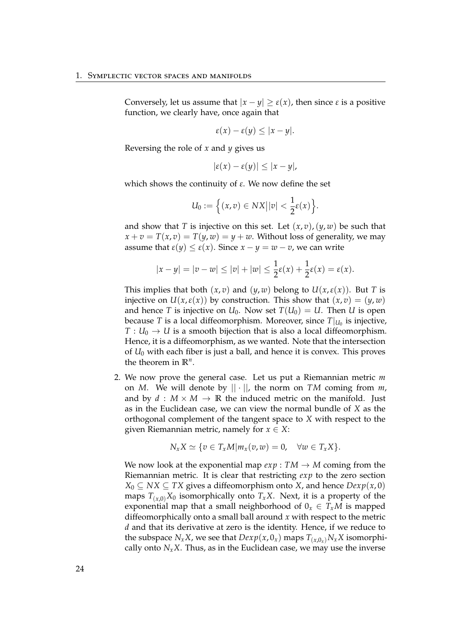Conversely, let us assume that  $|x - y| \ge \varepsilon(x)$ , then since  $\varepsilon$  is a positive function, we clearly have, once again that

 $\varepsilon(x) - \varepsilon(y) \leq |x - y|$ .

Reversing the role of *x* and *y* gives us

$$
|\varepsilon(x)-\varepsilon(y)|\leq |x-y|,
$$

which shows the continuity of *ε*. We now define the set

$$
U_0:=\Big\{(x,v)\in NX\big||v|<\frac{1}{2}\varepsilon(x)\Big\}.
$$

and show that *T* is injective on this set. Let  $(x, v)$ ,  $(y, w)$  be such that  $x + v = T(x, v) = T(y, w) = y + w$ . Without loss of generality, we may assume that  $\varepsilon(y) \leq \varepsilon(x)$ . Since  $x - y = w - v$ , we can write

$$
|x - y| = |v - w| \le |v| + |w| \le \frac{1}{2}\varepsilon(x) + \frac{1}{2}\varepsilon(x) = \varepsilon(x).
$$

This implies that both  $(x, v)$  and  $(y, w)$  belong to  $U(x, \varepsilon(x))$ . But *T* is injective on  $U(x,\varepsilon(x))$  by construction. This show that  $(x,v) = (y,w)$ and hence *T* is injective on  $U_0$ . Now set  $T(U_0) = U$ . Then *U* is open because *T* is a local diffeomorphism. Moreover, since  $T|_{U_0}$  is injective,  $T: U_0 \to U$  is a smooth bijection that is also a local diffeomorphism. Hence, it is a diffeomorphism, as we wanted. Note that the intersection of *U*<sup>0</sup> with each fiber is just a ball, and hence it is convex. This proves the theorem in  $\mathbb{R}^n$ .

2. We now prove the general case. Let us put a Riemannian metric *m* on *M*. We will denote by  $|| \cdot ||$ , the norm on *TM* coming from *m*, and by  $d : M \times M \rightarrow \mathbb{R}$  the induced metric on the manifold. Just as in the Euclidean case, we can view the normal bundle of *X* as the orthogonal complement of the tangent space to *X* with respect to the given Riemannian metric, namely for  $x \in X$ :

$$
N_xX \simeq \{v \in T_xM|m_x(v,w)=0, \quad \forall w \in T_xX\}.
$$

We now look at the exponential map  $exp: TM \rightarrow M$  coming from the Riemannian metric. It is clear that restricting *exp* to the zero section *X*<sup>0</sup> ⊆ *NX* ⊆ *TX* gives a diffeomorphism onto *X*, and hence *Dexp*(*x*, 0) maps  $T_{(x,0)}X_0$  isomorphically onto  $T_xX$ . Next, it is a property of the exponential map that a small neighborhood of  $0_x \in T_xM$  is mapped diffeomorphically onto a small ball around *x* with respect to the metric *d* and that its derivative at zero is the identity. Hence, if we reduce to the subspace  $N_xX$ , we see that  $Dexp(x, 0_x)$  maps  $T_{(x, 0_x)}N_xX$  isomorphically onto  $N_rX$ . Thus, as in the Euclidean case, we may use the inverse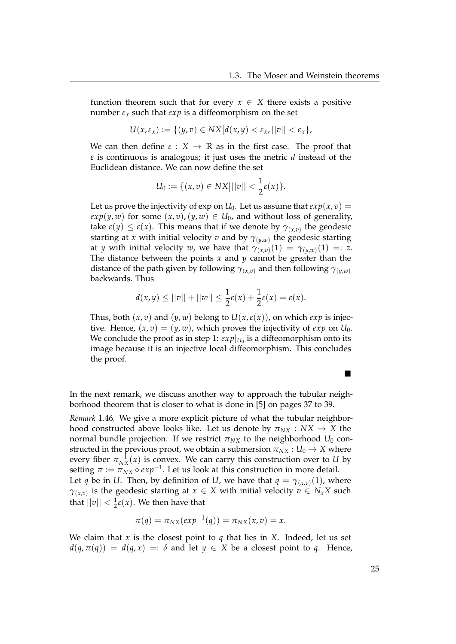function theorem such that for every  $x \in X$  there exists a positive number  $\varepsilon_x$  such that  $exp$  is a diffeomorphism on the set

$$
U(x,\varepsilon_x):=\{(y,v)\in NX\big|d(x,y)<\varepsilon_x,||v||<\varepsilon_x\},\
$$

We can then define  $\varepsilon$  :  $X \to \mathbb{R}$  as in the first case. The proof that *ε* is continuous is analogous; it just uses the metric *d* instead of the Euclidean distance. We can now define the set

$$
U_0 := \{ (x,v) \in NX \mid ||v|| < \frac{1}{2} \varepsilon(x) \}.
$$

Let us prove the injectivity of exp on  $U_0$ . Let us assume that  $exp(x, v) =$  $exp(y, w)$  for some  $(x, v)$ ,  $(y, w) \in U_0$ , and without loss of generality, take  $\varepsilon(y) \leq \varepsilon(x)$ . This means that if we denote by  $\gamma_{(x,v)}$  the geodesic starting at *x* with initial velocity *v* and by *γ*(*y*,*w*) the geodesic starting at *y* with initial velocity *w*, we have that  $\gamma_{(x,v)}(1) = \gamma_{(y,w)}(1) =: z$ . The distance between the points *x* and *y* cannot be greater than the distance of the path given by following  $\gamma_{(x,v)}$  and then following  $\gamma_{(y,w)}$ backwards. Thus

$$
d(x,y) \le ||v|| + ||w|| \le \frac{1}{2}\varepsilon(x) + \frac{1}{2}\varepsilon(x) = \varepsilon(x).
$$

Thus, both  $(x, v)$  and  $(y, w)$  belong to  $U(x, \varepsilon(x))$ , on which  $\exp$  is injective. Hence,  $(x, v) = (y, w)$ , which proves the injectivity of *exp* on  $U_0$ . We conclude the proof as in step 1:  $exp|_{U_0}$  is a diffeomorphism onto its image because it is an injective local diffeomorphism. This concludes the proof.

In the next remark, we discuss another way to approach the tubular neighborhood theorem that is closer to what is done in [\[5\]](#page-108-1) on pages 37 to 39.

<span id="page-30-0"></span>*Remark* 1.46*.* We give a more explicit picture of what the tubular neighborhood constructed above looks like. Let us denote by  $\pi_{NX}:NX \to X$  the normal bundle projection. If we restrict  $\pi_{NX}$  to the neighborhood  $U_0$  constructed in the previous proof, we obtain a submersion  $\pi_{NX}: U_0 \to X$  where every fiber  $\pi_{NX}^{-1}(x)$  is convex. We can carry this construction over to *U* by setting  $\pi := \pi_{NX} \circ exp^{-1}$ . Let us look at this construction in more detail. Let *q* be in *U*. Then, by definition of *U*, we have that  $q = \gamma_{(x,v)}(1)$ , where *γ*(*x*,*v*) is the geodesic starting at  $x \in X$  with initial velocity  $v \in N_xX$  such that  $||v|| < \frac{1}{2}\varepsilon(x)$ . We then have that

$$
\pi(q) = \pi_{NX}(exp^{-1}(q)) = \pi_{NX}(x,v) = x.
$$

We claim that  $x$  is the closest point to  $q$  that lies in  $X$ . Indeed, let us set  $d(q, \pi(q)) = d(q, x) =: \delta$  and let  $y \in X$  be a closest point to *q*. Hence,

 $\blacksquare$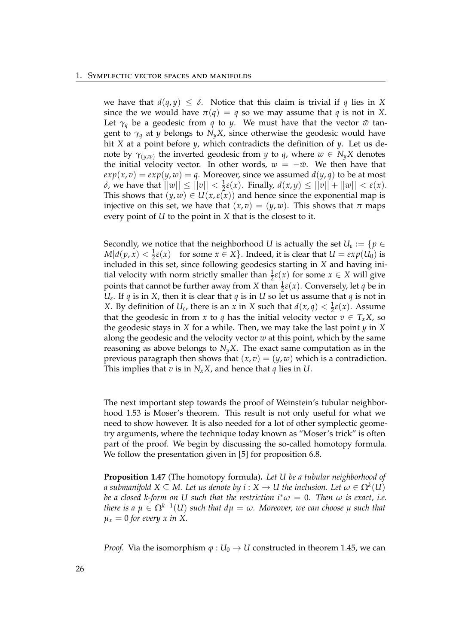we have that  $d(q, y) \leq \delta$ . Notice that this claim is trivial if q lies in X since the we would have  $\pi(q) = q$  so we may assume that *q* is not in *X*. Let  $\gamma_q$  be a geodesic from *q* to *y*. We must have that the vector  $\tilde{w}$  tangent to  $\gamma_q$  at *y* belongs to  $N_yX$ , since otherwise the geodesic would have hit *X* at a point before *y*, which contradicts the definition of *y*. Let us denote by  $\gamma_{(y,w)}$  the inverted geodesic from *y* to *q*, where  $w \in N_yX$  denotes the initial velocity vector. In other words,  $w = -\tilde{w}$ . We then have that  $exp(x, v) = exp(y, w) = q$ . Moreover, since we assumed  $d(y, q)$  to be at most *δ*, we have that  $||w|| \le ||v|| < \frac{1}{2}ε(x)$ . Finally,  $d(x, y) \le ||v|| + ||w|| < ε(x)$ . This shows that  $(y, w) \in U(x, \varepsilon(x))$  and hence since the exponential map is injective on this set, we have that  $(x, v) = (y, w)$ . This shows that  $\pi$  maps every point of *U* to the point in *X* that is the closest to it.

Secondly, we notice that the neighborhood *U* is actually the set  $U_{\varepsilon} := \{ p \in$  $M|d(p, x) < \frac{1}{2}\varepsilon(x)$  for some  $x \in X\}$ . Indeed, it is clear that  $U = exp(U_0)$  is included in this set, since following geodesics starting in *X* and having initial velocity with norm strictly smaller than  $\frac{1}{2}\varepsilon(x)$  for some  $x \in X$  will give points that cannot be further away from *X* than  $\frac{1}{2}\varepsilon(x)$ . Conversely, let *q* be in *Uε* . If *q* is in *X*, then it is clear that *q* is in *U* so let us assume that *q* is not in *X*. By definition of  $U_{\varepsilon}$ , there is an *x* in *X* such that  $d(x, q) < \frac{1}{2}\varepsilon(x)$ . Assume that the geodesic in from *x* to *q* has the initial velocity vector  $v \in T_xX$ , so the geodesic stays in *X* for a while. Then, we may take the last point  $y$  in *X* along the geodesic and the velocity vector *w* at this point, which by the same reasoning as above belongs to  $N_yX$ . The exact same computation as in the previous paragraph then shows that  $(x, v) = (y, w)$  which is a contradiction. This implies that  $v$  is in  $N_xX$ , and hence that  $q$  lies in  $U$ .

The next important step towards the proof of Weinstein's tubular neighborhood [1.53](#page-37-0) is Moser's theorem. This result is not only useful for what we need to show however. It is also needed for a lot of other symplectic geometry arguments, where the technique today known as "Moser's trick" is often part of the proof. We begin by discussing the so-called homotopy formula. We follow the presentation given in [\[5\]](#page-108-1) for proposition 6.8.

<span id="page-31-0"></span>**Proposition 1.47** (The homotopy formula)**.** *Let U be a tubular neighborhood of a submanifold*  $X \subseteq M$ *. Let us denote by*  $i: X \rightarrow U$  *the inclusion. Let*  $\omega \in \Omega^k(U)$ *be a closed k-form on U such that the restriction*  $i^* \omega = 0$ *. Then*  $\omega$  *is exact, i.e.*  $t$ here is a  $\mu \in \Omega^{k-1}(U)$  such that  $d\mu = \omega$ . Moreover, we can choose  $\mu$  such that  $\mu_x = 0$  for every x in X.

*Proof.* Via the isomorphism  $\varphi: U_0 \to U$  constructed in theorem [1.45,](#page-28-0) we can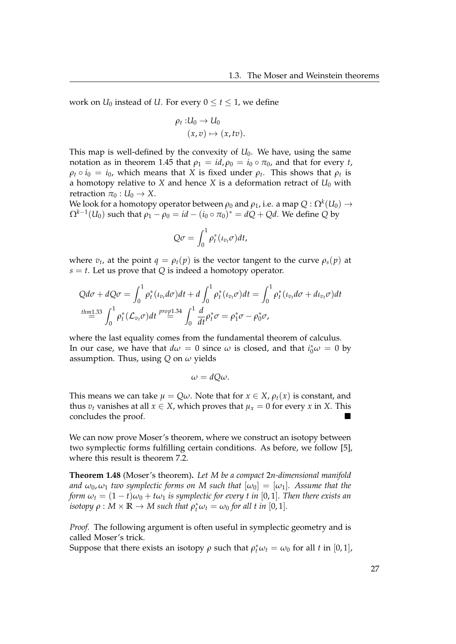work on  $U_0$  instead of *U*. For every  $0 \le t \le 1$ , we define

$$
\rho_t: U_0 \to U_0
$$
  

$$
(x,v) \mapsto (x,tv).
$$

This map is well-defined by the convexity of  $U_0$ . We have, using the same notation as in theorem [1.45](#page-28-0) that  $\rho_1 = id$ ,  $\rho_0 = i_0 \circ \pi_0$ , and that for every *t*,  $\rho_t \circ i_0 = i_0$ , which means that *X* is fixed under  $\rho_t$ . This shows that  $\rho_t$  is a homotopy relative to *X* and hence *X* is a deformation retract of  $U_0$  with retraction  $\pi_0: U_0 \to X$ .

We look for a homotopy operator between  $\rho_0$  and  $\rho_1$ , i.e. a map  $Q: \Omega^k(U_0) \to$  $\Omega^{k-1}(U_0)$  such that  $\rho_1 - \rho_0 = id - (i_0 \circ \pi_0)^* = dQ + Qd$ . We define *Q* by

$$
Q\sigma = \int_0^1 \rho_t^*(\iota_{v_t}\sigma)dt,
$$

where  $v_t$ , at the point  $q = \rho_t(p)$  is the vector tangent to the curve  $\rho_s(p)$  at  $s = t$ . Let us prove that *Q* is indeed a homotopy operator.

$$
Qd\sigma + dQ\sigma = \int_0^1 \rho_t^*(\iota_{v_t}d\sigma)dt + d\int_0^1 \rho_t^*(\iota_{v_t}\sigma)dt = \int_0^1 \rho_t^*(\iota_{v_t}d\sigma + d\iota_{v_t}\sigma)dt
$$
  
\n
$$
\stackrel{thm1.33}{=} \int_0^1 \rho_t^*(\mathcal{L}_{v_t}\sigma)dt \stackrel{prop1.34}{=} \int_0^1 \frac{d}{dt}\rho_t^*\sigma = \rho_1^*\sigma - \rho_0^*\sigma,
$$

where the last equality comes from the fundamental theorem of calculus. In our case, we have that  $d\omega = 0$  since  $\omega$  is closed, and that  $i_0^*\omega = 0$  by assumption. Thus, using *Q* on *ω* yields

$$
\omega = dQ\omega.
$$

This means we can take  $\mu = Q\omega$ . Note that for  $x \in X$ ,  $\rho_t(x)$  is constant, and thus  $v_t$  vanishes at all  $x \in X$ , which proves that  $\mu_x = 0$  for every *x* in *X*. This concludes the proof.

We can now prove Moser's theorem, where we construct an isotopy between two symplectic forms fulfilling certain conditions. As before, we follow [\[5\]](#page-108-1), where this result is theorem 7.2.

<span id="page-32-0"></span>**Theorem 1.48** (Moser's theorem)**.** *Let M be a compact* 2*n-dimensional manifold and*  $\omega_0$ ,  $\omega_1$  *two symplectic forms on* M *such that*  $[\omega_0] = [\omega_1]$ *. Assume that the form*  $\omega_t = (1 - t)\omega_0 + t\omega_1$  *is symplectic for every t in* [0, 1]*. Then there exists an isotopy*  $\rho : M \times \mathbb{R} \to M$  *such that*  $\rho_t^* \omega_t = \omega_0$  *for all t in* [0, 1]*.* 

*Proof.* The following argument is often useful in symplectic geometry and is called Moser's trick.

Suppose that there exists an isotopy  $\rho$  such that  $\rho_t^* \omega_t = \omega_0$  for all *t* in [0, 1],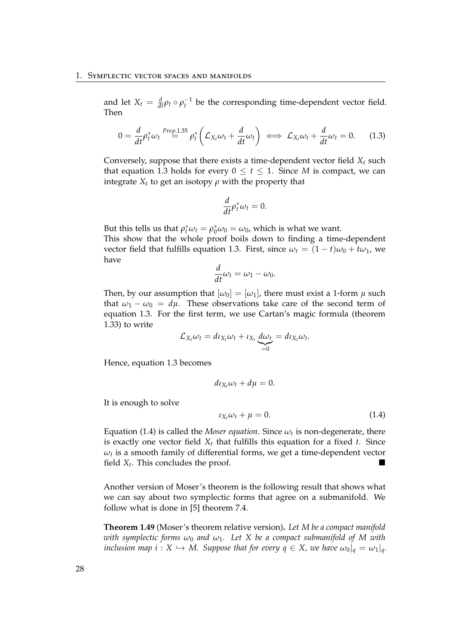and let  $X_t = \frac{d}{dt} \rho_t \circ \rho_t^{-1}$  be the corresponding time-dependent vector field. Then

<span id="page-33-0"></span>
$$
0 = \frac{d}{dt} \rho_t^* \omega_t \stackrel{Prop.1.35}{=} \rho_t^* \left( \mathcal{L}_{X_t} \omega_t + \frac{d}{dt} \omega_t \right) \iff \mathcal{L}_{X_t} \omega_t + \frac{d}{dt} \omega_t = 0. \tag{1.3}
$$

Conversely, suppose that there exists a time-dependent vector field *X<sup>t</sup>* such that equation [1.3](#page-33-0) holds for every  $0 \le t \le 1$ . Since *M* is compact, we can integrate  $X_t$  to get an isotopy  $\rho$  with the property that

$$
\frac{d}{dt}\rho_t^*\omega_t=0.
$$

But this tells us that  $\rho_t^* \omega_t = \rho_0^* \omega_0 = \omega_0$ , which is what we want. This show that the whole proof boils down to finding a time-dependent vector field that fulfills equation [1.3.](#page-33-0) First, since  $\omega_t = (1 - t)\omega_0 + t\omega_1$ , we have

$$
\frac{d}{dt}\omega_t = \omega_1 - \omega_0.
$$

Then, by our assumption that  $[\omega_0] = [\omega_1]$ , there must exist a 1-form  $\mu$  such that  $\omega_1 - \omega_0 = d\mu$ . These observations take care of the second term of equation [1.3.](#page-33-0) For the first term, we use Cartan's magic formula (theorem [1.33\)](#page-24-1) to write

$$
\mathcal{L}_{X_t}\omega_t = d\iota_{X_t}\omega_t + \iota_{X_t}\underbrace{d\omega_t}_{=0} = d\iota_{X_t}\omega_t.
$$

Hence, equation [1.3](#page-33-0) becomes

$$
d\iota_{X_t}\omega_t + d\mu = 0.
$$

It is enough to solve

<span id="page-33-1"></span>
$$
\iota_{X_t}\omega_t + \mu = 0. \tag{1.4}
$$

Equation [\(1.4\)](#page-33-1) is called the *Moser equation*. Since  $\omega_t$  is non-degenerate, there is exactly one vector field  $X_t$  that fulfills this equation for a fixed  $t$ . Since  $\omega_t$  is a smooth family of differential forms, we get a time-dependent vector field  $X_t$ . This concludes the proof.

Another version of Moser's theorem is the following result that shows what we can say about two symplectic forms that agree on a submanifold. We follow what is done in [\[5\]](#page-108-1) theorem 7.4.

**Theorem 1.49** (Moser's theorem relative version)**.** *Let M be a compact manifold with symplectic forms*  $\omega_0$  *and*  $\omega_1$ . Let X be a compact submanifold of M with *inclusion map i* :  $X \hookrightarrow M$ . Suppose that for every  $q \in X$ , we have  $\omega_0|_q = \omega_1|_q$ .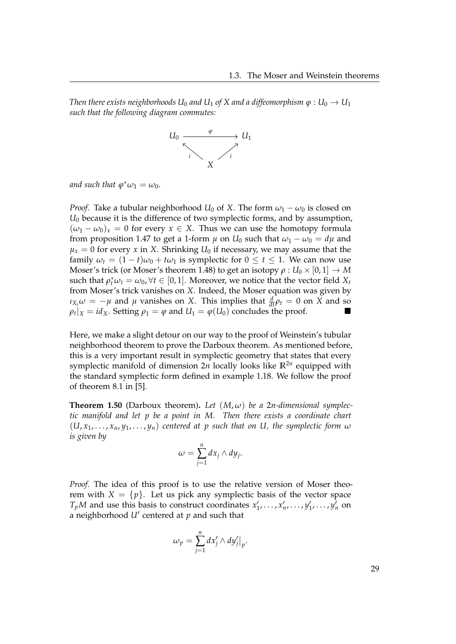*Then there exists neighborhoods*  $U_0$  *and*  $U_1$  *of X and a* diffeomorphism  $\varphi : U_0 \to U_1$ *such that the following diagram commutes:*



*and such that*  $\varphi^*\omega_1 = \omega_0$ *.* 

*Proof.* Take a tubular neighborhood *U*<sub>0</sub> of *X*. The form  $\omega_1 - \omega_0$  is closed on *U*<sup>0</sup> because it is the difference of two symplectic forms, and by assumption,  $(\omega_1 - \omega_0)_x = 0$  for every  $x \in X$ . Thus we can use the homotopy formula from proposition [1.47](#page-31-0) to get a 1-form  $\mu$  on  $U_0$  such that  $\omega_1 - \omega_0 = d\mu$  and  $\mu_x = 0$  for every *x* in *X*. Shrinking  $U_0$  if necessary, we may assume that the family  $\omega_t = (1 - t)\omega_0 + t\omega_1$  is symplectic for  $0 \le t \le 1$ . We can now use Moser's trick (or Moser's theorem [1.48\)](#page-32-0) to get an isotopy  $\rho: U_0 \times [0,1] \to M$ such that  $\rho_t^* \omega_t = \omega_0$ ,  $\forall t \in [0, 1]$ . Moreover, we notice that the vector field  $X_t$ from Moser's trick vanishes on *X*. Indeed, the Moser equation was given by *ι*<sub>*X<sub>t</sub></sub>* $\omega$  *= −<i>µ* and *µ* vanishes on *X*. This implies that  $\frac{d}{dt} \rho_t = 0$  on *X* and so</sub>  $\rho_t|_X = id_X$ . Setting  $\rho_1 = \varphi$  and  $U_1 = \varphi(U_0)$  concludes the proof.

Here, we make a slight detour on our way to the proof of Weinstein's tubular neighborhood theorem to prove the Darboux theorem. As mentioned before, this is a very important result in symplectic geometry that states that every symplectic manifold of dimension 2*n* locally looks like **R**2*<sup>n</sup>* equipped with the standard symplectic form defined in example [1.18.](#page-16-1) We follow the proof of theorem 8.1 in [\[5\]](#page-108-1).

<span id="page-34-0"></span>**Theorem 1.50** (Darboux theorem). Let  $(M, \omega)$  be a 2*n*-dimensional symplec*tic manifold and let p be a point in M. Then there exists a coordinate chart*  $(U, x_1, \ldots, x_n, y_1, \ldots, y_n)$  centered at p such that on U, the symplectic form  $\omega$ *is given by*

$$
\omega=\sum_{j=1}^n dx_j\wedge dy_j.
$$

*Proof.* The idea of this proof is to use the relative version of Moser theorem with  $X = \{p\}$ . Let us pick any symplectic basis of the vector space  $T_pM$  and use this basis to construct coordinates  $x'_1, \ldots, x'_n, \ldots, y'_1, \ldots, y'_n$  on a neighborhood  $U'$  centered at  $p$  and such that

$$
\omega_p = \sum_{j=1}^n dx'_j \wedge dy'_j \big|_p.
$$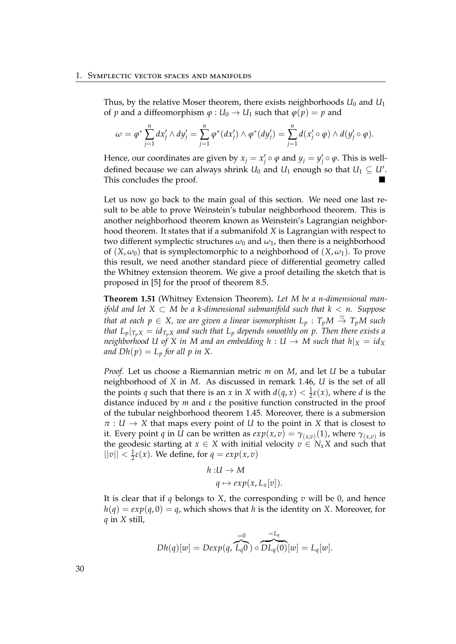Thus, by the relative Moser theorem, there exists neighborhoods  $U_0$  and  $U_1$ of *p* and a diffeomorphism  $\varphi$  :  $U_0 \rightarrow U_1$  such that  $\varphi(p) = p$  and

$$
\omega = \varphi^* \sum_{j=1}^n dx'_j \wedge dy'_j = \sum_{j=1}^n \varphi^*(dx'_j) \wedge \varphi^*(dy'_j) = \sum_{j=1}^n d(x'_j \circ \varphi) \wedge d(y'_j \circ \varphi).
$$

Hence, our coordinates are given by  $x_j = x'_j \circ \varphi$  and  $y_j = y'_j \circ \varphi$ . This is welldefined because we can always shrink  $U_0$  and  $U_1$  enough so that  $U_1 \subseteq U'$ . This concludes the proof.

Let us now go back to the main goal of this section. We need one last result to be able to prove Weinstein's tubular neighborhood theorem. This is another neighborhood theorem known as Weinstein's Lagrangian neighborhood theorem. It states that if a submanifold *X* is Lagrangian with respect to two different symplectic structures  $\omega_0$  and  $\omega_1$ , then there is a neighborhood of  $(X, \omega_0)$  that is symplectomorphic to a neighborhood of  $(X, \omega_1)$ . To prove this result, we need another standard piece of differential geometry called the Whitney extension theorem. We give a proof detailing the sketch that is proposed in [\[5\]](#page-108-1) for the proof of theorem 8.5.

**Theorem 1.51** (Whitney Extension Theorem)**.** *Let M be a n-dimensional manifold and let X* ⊂ *M be a k-dimensional submanifold such that k* < *n. Suppose*  $t$ *hat at each*  $p \in X$ *, we are given a linear isomorphism*  $L_p: T_pM \stackrel{\simeq}{\to} T_pM$  *such that*  $L_p|_{T_pX} = id_{T_pX}$  *and such that*  $L_p$  *depends smoothly on p. Then there exists a neighborhood U of X in M and an embedding h* :  $U \rightarrow M$  such that  $h|_X = id_X$ *and*  $Dh(p) = L_p$  *for all p in* X.

*Proof.* Let us choose a Riemannian metric *m* on *M*, and let *U* be a tubular neighborhood of *X* in *M*. As discussed in remark [1.46,](#page-30-0) *U* is the set of all the points *q* such that there is an *x* in *X* with  $d(q, x) < \frac{1}{2}\varepsilon(x)$ , where *d* is the distance induced by *m* and *ε* the positive function constructed in the proof of the tubular neighborhood theorem [1.45.](#page-28-0) Moreover, there is a submersion  $\pi : U \to X$  that maps every point of *U* to the point in *X* that is closest to it. Every point *q* in *U* can be written as  $exp(x, v) = \gamma_{(x,v)}(1)$ , where  $\gamma_{(x,v)}$  is the geodesic starting at  $x \in X$  with initial velocity  $v \in N_xX$  and such that  $||v|| < \frac{1}{2}\varepsilon(x)$ . We define, for  $q = exp(x, v)$ 

$$
h: U \to M
$$

$$
q \mapsto exp(x, L_x[v]).
$$

It is clear that if *q* belongs to *X*, the corresponding *v* will be 0, and hence  $h(q) = exp(q, 0) = q$ , which shows that *h* is the identity on *X*. Moreover, for *q* in *X* still,

$$
Dh(q)[w] = Dexp(q, \overbrace{L_q 0}^{=0}) \circ \overbrace{DL_q(0)}^{=L_q} [w] = L_q[w].
$$

30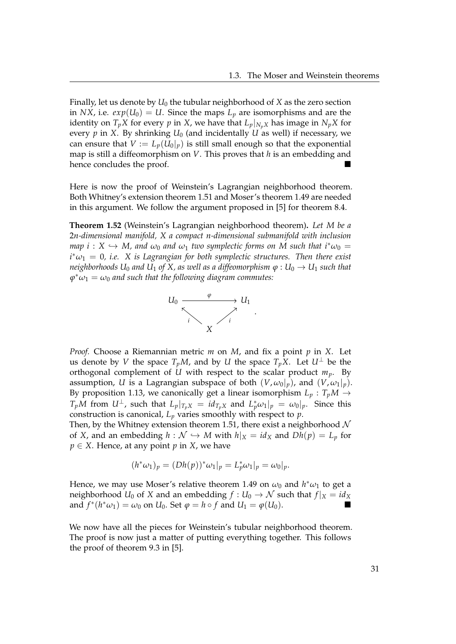Finally, let us denote by *U*<sup>0</sup> the tubular neighborhood of *X* as the zero section in *NX*, i.e.  $exp(U_0) = U$ . Since the maps  $L_p$  are isomorphisms and are the identity on  $T_pX$  for every *p* in *X*, we have that  $L_p|_{N_pX}$  has image in  $N_pX$  for every  $p$  in *X*. By shrinking  $U_0$  (and incidentally  $U$  as well) if necessary, we can ensure that  $V := L_p(U_0|_p)$  is still small enough so that the exponential map is still a diffeomorphism on *V*. This proves that *h* is an embedding and hence concludes the proof.

Here is now the proof of Weinstein's Lagrangian neighborhood theorem. Both Whitney's extension theorem [1.51](#page-35-0) and Moser's theorem [1.49](#page-33-0) are needed in this argument. We follow the argument proposed in [\[5\]](#page-108-0) for theorem 8.4.

<span id="page-36-0"></span>**Theorem 1.52** (Weinstein's Lagrangian neighborhood theorem)**.** *Let M be a* 2*n-dimensional manifold, X a compact n-dimensional submanifold with inclusion map*  $i: X \hookrightarrow M$ , and  $\omega_0$  and  $\omega_1$  *two symplectic forms on M such that*  $i^*\omega_0 =$  $i^* \omega_1 = 0$ , *i.e.* X is Lagrangian for both symplectic structures. Then there exist *neighborhoods*  $U_0$  *and*  $U_1$  *of*  $X$ *, as well as a diffeomorphism*  $\varphi : U_0 \to U_1$  *such that*  $\varphi^*\omega_1=\omega_0$  and such that the following diagram commutes:



*Proof.* Choose a Riemannian metric *m* on *M*, and fix a point *p* in *X*. Let us denote by *V* the space  $T_pM$ , and by *U* the space  $T_pX$ . Let  $U^{\perp}$  be the orthogonal complement of *U* with respect to the scalar product  $m_p$ . By assumption, *U* is a Lagrangian subspace of both  $(V, \omega_0|_p)$ , and  $(V, \omega_1|_p)$ . By proposition [1.13,](#page-15-0) we canonically get a linear isomorphism  $L_p: T_pM \to$ *T*<sub>*p</sub>M* from  $U^{\perp}$ , such that  $L_p|_{T_pX} = id_{T_pX}$  and  $L_p^*\omega_1|_p = \omega_0|_p$ . Since this</sub> construction is canonical,  $L_p$  varies smoothly with respect to  $p$ .

Then, by the Whitney extension theorem [1.51,](#page-35-0) there exist a neighborhood  $\mathcal N$ of *X*, and an embedding  $h : \mathcal{N} \hookrightarrow M$  with  $h|_X = id_X$  and  $Dh(p) = L_p$  for *p* ∈ *X*. Hence, at any point *p* in *X*, we have

$$
(h^*\omega_1)_p = (Dh(p))^*\omega_1|_p = L_p^*\omega_1|_p = \omega_0|_p.
$$

Hence, we may use Moser's relative theorem [1.49](#page-33-0) on  $\omega_0$  and  $h^*\omega_1$  to get a neighborhood *U*<sup>0</sup> of *X* and an embedding  $f: U_0 \to \mathcal{N}$  such that  $f|_X = id_X$ and  $f^*(h^*\omega_1) = \omega_0$  on  $U_0$ . Set  $\varphi = h \circ f$  and  $U_1 = \varphi(U_0)$ .

We now have all the pieces for Weinstein's tubular neighborhood theorem. The proof is now just a matter of putting everything together. This follows the proof of theorem 9.3 in [\[5\]](#page-108-0).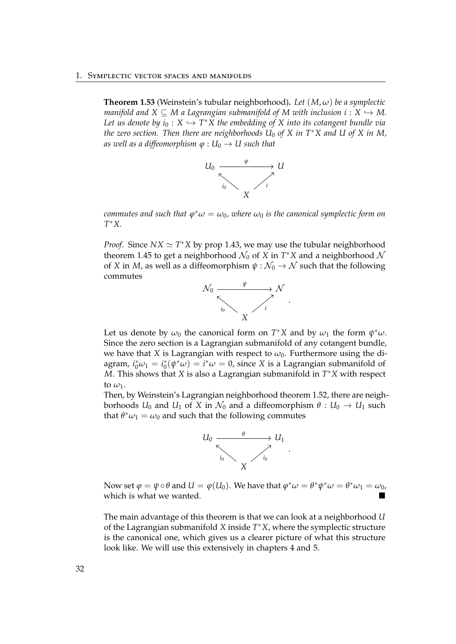<span id="page-37-0"></span>**Theorem 1.53** (Weinstein's tubular neighborhood)**.** *Let* (*M*, *ω*) *be a symplectic manifold and*  $X \subseteq M$  a Lagrangian submanifold of M with inclusion  $i : X \hookrightarrow M$ . Let us denote by  $i_0: X \hookrightarrow T^*X$  the embedding of X into its cotangent bundle via *the zero section. Then there are neighborhoods U*<sup>0</sup> *of X in T*∗*X and U of X in M, as well as a diffeomorphism*  $\varphi$  :  $U_0 \rightarrow U$  *such that* 



 $\alpha$  *commutes and such that*  $\varphi^*\omega = \omega_0$ *, where*  $\omega_0$  *is the canonical symplectic form on T* <sup>∗</sup>*X.*

*Proof.* Since  $NX \simeq T^*X$  by prop [1.43,](#page-27-0) we may use the tubular neighborhood theorem [1.45](#page-28-0) to get a neighborhood  $\mathcal{N}_0$  of  $\overline{X}$  in  $T^*X$  and a neighborhood  $\mathcal N$ of *X* in *M*, as well as a diffeomorphism  $\psi : \mathcal{N}_0 \to \mathcal{N}$  such that the following commutes



Let us denote by  $\omega_0$  the canonical form on  $T^*X$  and by  $\omega_1$  the form  $\psi^*\omega$ . Since the zero section is a Lagrangian submanifold of any cotangent bundle, we have that *X* is Lagrangian with respect to  $\omega_0$ . Furthermore using the diagram,  $i_0^*\omega_1 = i_0^*(\psi^*\omega) = i^*\omega = 0$ , since *X* is a Lagrangian submanifold of *M*. This shows that *X* is also a Lagrangian submanifold in *T* <sup>∗</sup>*X* with respect to  $\omega_1$ .

Then, by Weinstein's Lagrangian neighborhood theorem [1.52,](#page-36-0) there are neighborhoods  $U_0$  and  $U_1$  of  $X$  in  $\mathcal{N}_0$  and a diffeomorphism  $\theta: U_0 \to U_1$  such that  $\theta^* \omega_1 = \omega_0$  and such that the following commutes



Now set  $\varphi = \psi \circ \theta$  and  $U = \varphi(U_0)$ . We have that  $\varphi^* \omega = \theta^* \psi^* \omega = \theta^* \omega_1 = \omega_0$ , which is what we wanted.

The main advantage of this theorem is that we can look at a neighborhood *U* of the Lagrangian submanifold *X* inside *T* <sup>∗</sup>*X*, where the symplectic structure is the canonical one, which gives us a clearer picture of what this structure look like. We will use this extensively in chapters [4](#page-68-0) and [5.](#page-80-0)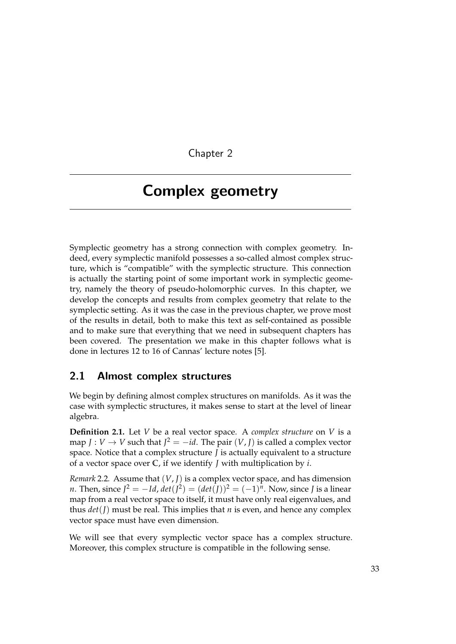Chapter 2

## Complex geometry

Symplectic geometry has a strong connection with complex geometry. Indeed, every symplectic manifold possesses a so-called almost complex structure, which is "compatible" with the symplectic structure. This connection is actually the starting point of some important work in symplectic geometry, namely the theory of pseudo-holomorphic curves. In this chapter, we develop the concepts and results from complex geometry that relate to the symplectic setting. As it was the case in the previous chapter, we prove most of the results in detail, both to make this text as self-contained as possible and to make sure that everything that we need in subsequent chapters has been covered. The presentation we make in this chapter follows what is done in lectures 12 to 16 of Cannas' lecture notes [\[5\]](#page-108-0).

### 2.1 Almost complex structures

We begin by defining almost complex structures on manifolds. As it was the case with symplectic structures, it makes sense to start at the level of linear algebra.

**Definition 2.1.** Let *V* be a real vector space. A *complex structure* on *V* is a map *J* : *V*  $\rightarrow$  *V* such that *J*<sup>2</sup> =  $-i$ *d*. The pair  $(V, J)$  is called a complex vector space. Notice that a complex structure *J* is actually equivalent to a structure of a vector space over **C**, if we identify *J* with multiplication by *i*.

<span id="page-38-0"></span>*Remark* 2.2*.* Assume that (*V*, *J*) is a complex vector space, and has dimension *n*. Then, since  $J^2 = -Id$ ,  $det(J^2) = (det(J))^2 = (-1)^n$ . Now, since *J* is a linear map from a real vector space to itself, it must have only real eigenvalues, and thus  $det(I)$  must be real. This implies that *n* is even, and hence any complex vector space must have even dimension.

We will see that every symplectic vector space has a complex structure. Moreover, this complex structure is compatible in the following sense.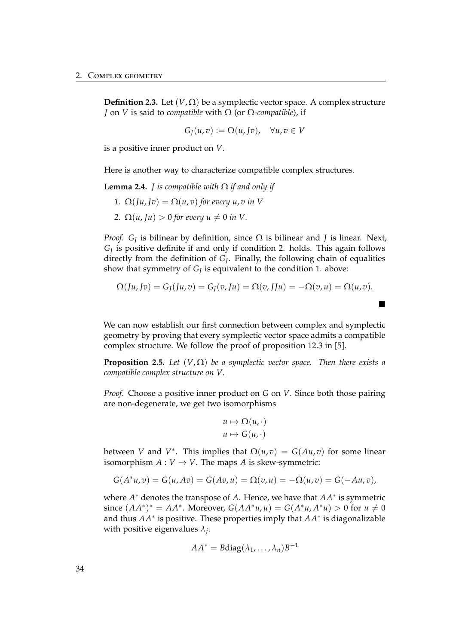**Definition 2.3.** Let  $(V,\Omega)$  be a symplectic vector space. A complex structure *J* on *V* is said to *compatible* with Ω (or Ω*-compatible*), if

$$
G_J(u,v):=\Omega(u,Jv),\quad \forall u,v\in V
$$

is a positive inner product on *V*.

Here is another way to characterize compatible complex structures.

**Lemma 2.4.** *J is compatible with*  $\Omega$  *if and only if* 

- *1.*  $\Omega(\iint u, v) = \Omega(u, v)$  *for every u, v in V*
- *2.*  $\Omega(u, \text{J}u) > 0$  for every  $u \neq 0$  in V.

*Proof. G<sup>J</sup>* is bilinear by definition, since Ω is bilinear and *J* is linear. Next, *GJ* is positive definite if and only if condition 2. holds. This again follows directly from the definition of *G<sup>J</sup>* . Finally, the following chain of equalities show that symmetry of *G<sup>J</sup>* is equivalent to the condition 1. above:

$$
\Omega(Ju,Jv)=G_J(Ju,v)=G_J(v,Ju)=\Omega(v,JJu)=-\Omega(v,u)=\Omega(u,v).
$$

п

We can now establish our first connection between complex and symplectic geometry by proving that every symplectic vector space admits a compatible complex structure. We follow the proof of proposition 12.3 in [\[5\]](#page-108-0).

<span id="page-39-0"></span>**Proposition 2.5.** *Let*  $(V, \Omega)$  *be a symplectic vector space. Then there exists a compatible complex structure on V.*

*Proof.* Choose a positive inner product on *G* on *V*. Since both those pairing are non-degenerate, we get two isomorphisms

$$
u \mapsto \Omega(u, \cdot)
$$
  

$$
u \mapsto G(u, \cdot)
$$

between *V* and *V*<sup>\*</sup>. This implies that  $\Omega(u,v) = G(Au,v)$  for some linear isomorphism  $A: V \to V$ . The maps *A* is skew-symmetric:

$$
G(A^*u, v) = G(u, Av) = G(Av, u) = \Omega(v, u) = -\Omega(u, v) = G(-Au, v),
$$

where *A* <sup>∗</sup> denotes the transpose of *A*. Hence, we have that *AA*<sup>∗</sup> is symmetric since  $(AA^*)^* = AA^*$ . Moreover,  $G(AA^*u, u) = G(A^*u, A^*u) > 0$  for  $u \neq 0$ and thus *AA*<sup>∗</sup> is positive. These properties imply that *AA*<sup>∗</sup> is diagonalizable with positive eigenvalues *λ<sup>j</sup>* .

$$
AA^* = B \text{diag}(\lambda_1, \ldots, \lambda_n) B^{-1}
$$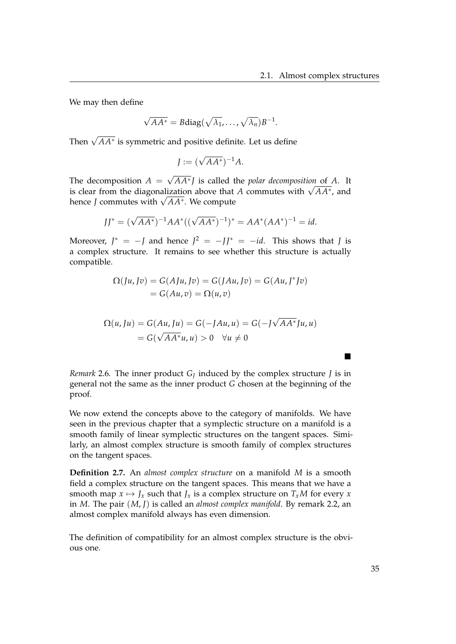We may then define

$$
\sqrt{AA^*} = B \text{diag}(\sqrt{\lambda_1}, \dots, \sqrt{\lambda_n}) B^{-1}.
$$

Then  $\sqrt{AA^*}$  is symmetric and positive definite. Let us define

$$
J := (\sqrt{AA^*})^{-1}A.
$$

The decomposition  $A =$ √ *AA*<sup>∗</sup> *J* is called the *polar decomposition* of *A*. It is clear from the diagonalization above that *A* commutes with  $\sqrt{AA^*}$ , and is clear from the diagonalization above that *A* commutes with  $\sqrt{AA^*}$ , and is clear from the diagonalization above that<br>hence *J* commutes with √*AA*\*. We compute

$$
JJ^* = (\sqrt{AA^*})^{-1}AA^*((\sqrt{AA^*})^{-1})^* = AA^*(AA^*)^{-1} = id.
$$

Moreover,  $J^* = -J$  and hence  $J^2 = -JJ^* = -id$ . This shows that *J* is a complex structure. It remains to see whether this structure is actually compatible.

$$
\Omega(Ju, Jv) = G(AJu, Jv) = G(JAu, Jv) = G(Au, J^*Jv)
$$
  
= 
$$
G(Au, v) = \Omega(u, v)
$$

$$
\Omega(u, Ju) = G(Au, Ju) = G(-JAu, u) = G(-J\sqrt{AA^*}Ju, u)
$$

$$
= G(\sqrt{AA^*}u, u) > 0 \quad \forall u \neq 0
$$

*Remark* 2.6. The inner product  $G<sub>J</sub>$  induced by the complex structure *J* is in general not the same as the inner product *G* chosen at the beginning of the proof.

We now extend the concepts above to the category of manifolds. We have seen in the previous chapter that a symplectic structure on a manifold is a smooth family of linear symplectic structures on the tangent spaces. Similarly, an almost complex structure is smooth family of complex structures on the tangent spaces.

**Definition 2.7.** An *almost complex structure* on a manifold *M* is a smooth field a complex structure on the tangent spaces. This means that we have a smooth map  $x \mapsto J_x$  such that  $J_x$  is a complex structure on  $T_xM$  for every  $x$ in *M*. The pair (*M*, *J*) is called an *almost complex manifold*. By remark [2.2,](#page-38-0) an almost complex manifold always has even dimension.

The definition of compatibility for an almost complex structure is the obvious one.

 $\blacksquare$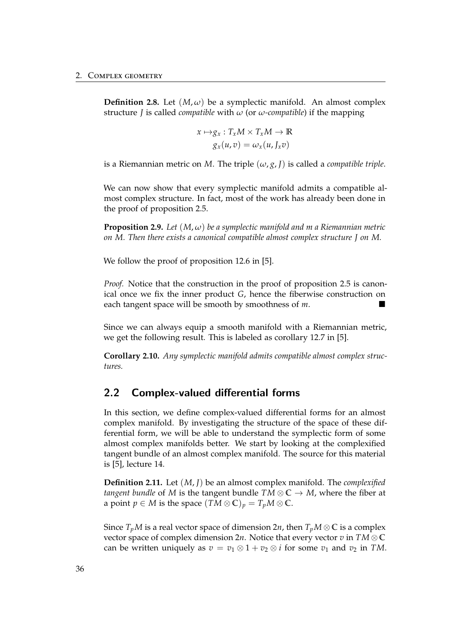**Definition 2.8.** Let  $(M, \omega)$  be a symplectic manifold. An almost complex structure *J* is called *compatible* with *ω* (or *ω-compatible*) if the mapping

$$
x \mapsto g_x : T_x M \times T_x M \to \mathbb{R}
$$
  

$$
g_x(u, v) = \omega_x(u, J_x v)
$$

is a Riemannian metric on *M*. The triple  $(\omega, g, I)$  is called a *compatible triple*.

We can now show that every symplectic manifold admits a compatible almost complex structure. In fact, most of the work has already been done in the proof of proposition [2.5.](#page-39-0)

**Proposition 2.9.** *Let* (*M*, *ω*) *be a symplectic manifold and m a Riemannian metric on M. Then there exists a canonical compatible almost complex structure J on M.*

We follow the proof of proposition 12.6 in [\[5\]](#page-108-0).

*Proof.* Notice that the construction in the proof of proposition [2.5](#page-39-0) is canonical once we fix the inner product *G*, hence the fiberwise construction on each tangent space will be smooth by smoothness of *m*.

Since we can always equip a smooth manifold with a Riemannian metric, we get the following result. This is labeled as corollary 12.7 in [\[5\]](#page-108-0).

**Corollary 2.10.** *Any symplectic manifold admits compatible almost complex structures.*

### 2.2 Complex-valued differential forms

In this section, we define complex-valued differential forms for an almost complex manifold. By investigating the structure of the space of these differential form, we will be able to understand the symplectic form of some almost complex manifolds better. We start by looking at the complexified tangent bundle of an almost complex manifold. The source for this material is [\[5\]](#page-108-0), lecture 14.

**Definition 2.11.** Let (*M*, *J*) be an almost complex manifold. The *complexified tangent bundle* of *M* is the tangent bundle  $TM \otimes \mathbb{C} \rightarrow M$ , where the fiber at a point  $p \in M$  is the space  $(TM \otimes \mathbb{C})_p = T_pM \otimes \mathbb{C}$ .

Since  $T_pM$  is a real vector space of dimension  $2n$ , then  $T_pM\otimes\mathbb{C}$  is a complex vector space of complex dimension 2*n*. Notice that every vector *v* in  $TM \otimes \mathbb{C}$ can be written uniquely as  $v = v_1 \otimes 1 + v_2 \otimes i$  for some  $v_1$  and  $v_2$  in *TM*.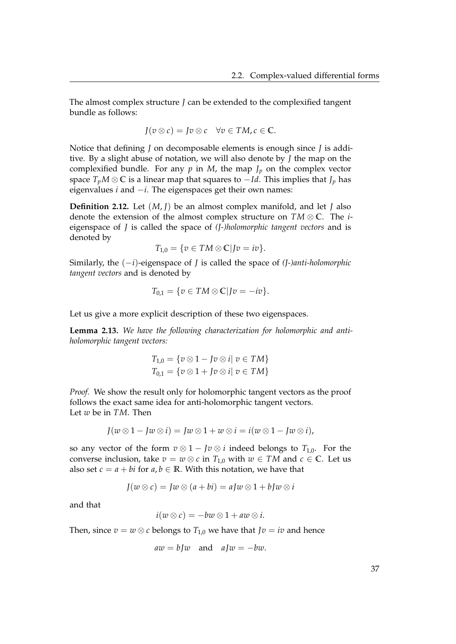The almost complex structure *J* can be extended to the complexified tangent bundle as follows:

$$
J(v\otimes c)=Jv\otimes c\quad \forall v\in TM, c\in \mathbb{C}.
$$

Notice that defining *J* on decomposable elements is enough since *J* is additive. By a slight abuse of notation, we will also denote by *J* the map on the complexified bundle. For any  $p$  in  $M$ , the map  $J_p$  on the complex vector space  $T_pM\otimes\mathbb{C}$  is a linear map that squares to  $-Id$ . This implies that  $J_p$  has eigenvalues *i* and −*i*. The eigenspaces get their own names:

**Definition 2.12.** Let (*M*, *J*) be an almost complex manifold, and let *J* also denote the extension of the almost complex structure on *TM* ⊗ **C**. The *i*eigenspace of *J* is called the space of *(J-)holomorphic tangent vectors* and is denoted by

$$
T_{1,0} = \{v \in TM \otimes \mathbb{C} | Jv = iv\}.
$$

Similarly, the (−*i*)-eigenspace of *J* is called the space of *(J-)anti-holomorphic tangent vectors* and is denoted by

$$
T_{0,1} = \{v \in TM \otimes \mathbb{C} | Jv = -iv\}.
$$

Let us give a more explicit description of these two eigenspaces.

<span id="page-42-0"></span>**Lemma 2.13.** *We have the following characterization for holomorphic and antiholomorphic tangent vectors:*

$$
T_{1,0} = \{v \otimes 1 - Jv \otimes i | v \in TM\}
$$
  

$$
T_{0,1} = \{v \otimes 1 + Jv \otimes i | v \in TM\}
$$

*Proof.* We show the result only for holomorphic tangent vectors as the proof follows the exact same idea for anti-holomorphic tangent vectors. Let *w* be in *TM*. Then

$$
J(w\otimes 1-Iw\otimes i)=Jw\otimes 1+w\otimes i=i(w\otimes 1-Iw\otimes i),
$$

so any vector of the form  $v \otimes 1 - Jv \otimes i$  indeed belongs to  $T_{1,0}$ . For the converse inclusion, take  $v = w \otimes c$  in  $T_{1,0}$  with  $w \in TM$  and  $c \in \mathbb{C}$ . Let us also set  $c = a + bi$  for  $a, b \in \mathbb{R}$ . With this notation, we have that

$$
J(w \otimes c) = Jw \otimes (a + bi) = aJw \otimes 1 + bJw \otimes i
$$

and that

$$
i(w \otimes c) = -bw \otimes 1 + aw \otimes i.
$$

Then, since  $v = w \otimes c$  belongs to  $T_{1,0}$  we have that  $Jv = iv$  and hence

 $aw = bIw$  and  $aIw = -bw$ .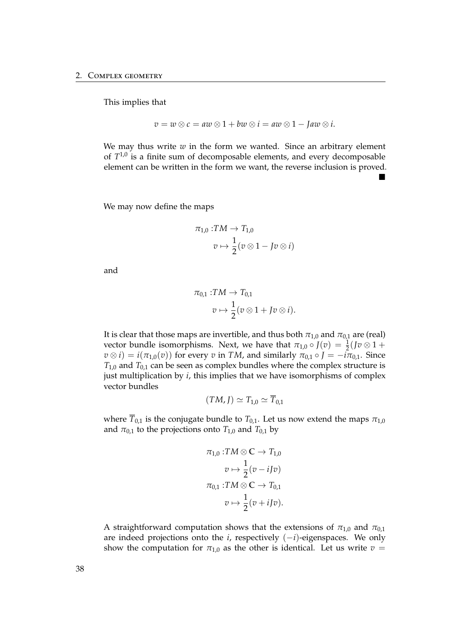This implies that

$$
v = w \otimes c = aw \otimes 1 + bw \otimes i = aw \otimes 1 - Jaw \otimes i.
$$

We may thus write  $w$  in the form we wanted. Since an arbitrary element of  $T^{1,0}$  is a finite sum of decomposable elements, and every decomposable element can be written in the form we want, the reverse inclusion is proved.  $\blacksquare$ 

We may now define the maps

$$
\pi_{1,0}: TM \to T_{1,0}
$$

$$
v \mapsto \frac{1}{2}(v \otimes 1 - Jv \otimes i)
$$

and

$$
\pi_{0,1}:TM\to T_{0,1}
$$
  

$$
v\mapsto \frac{1}{2}(v\otimes 1+Jv\otimes i).
$$

It is clear that those maps are invertible, and thus both  $\pi_{1,0}$  and  $\pi_{0,1}$  are (real) vector bundle isomorphisms. Next, we have that  $\pi_{1,0} \circ J(v) = \frac{1}{2}(Jv \otimes 1 +$  $v \otimes i$ ) =  $i(\pi_{1,0}(v))$  for every *v* in *TM*, and similarly  $\pi_{0,1} \circ J = -i\pi_{0,1}$ . Since  $T_{1,0}$  and  $T_{0,1}$  can be seen as complex bundles where the complex structure is just multiplication by *i*, this implies that we have isomorphisms of complex vector bundles

$$
(TM, J) \simeq T_{1,0} \simeq \overline{T}_{0,1}
$$

where  $\overline{T}_{0,1}$  is the conjugate bundle to  $T_{0,1}$ . Let us now extend the maps  $\pi_{1,0}$ and  $\pi_{0,1}$  to the projections onto  $T_{1,0}$  and  $T_{0,1}$  by

$$
\pi_{1,0}: TM \otimes \mathbb{C} \to T_{1,0}
$$

$$
v \mapsto \frac{1}{2}(v - iJv)
$$

$$
\pi_{0,1}: TM \otimes \mathbb{C} \to T_{0,1}
$$

$$
v \mapsto \frac{1}{2}(v + iJv).
$$

A straightforward computation shows that the extensions of  $\pi_{1,0}$  and  $\pi_{0,1}$ are indeed projections onto the *i*, respectively (−*i*)-eigenspaces. We only show the computation for  $\pi_{1,0}$  as the other is identical. Let us write  $v =$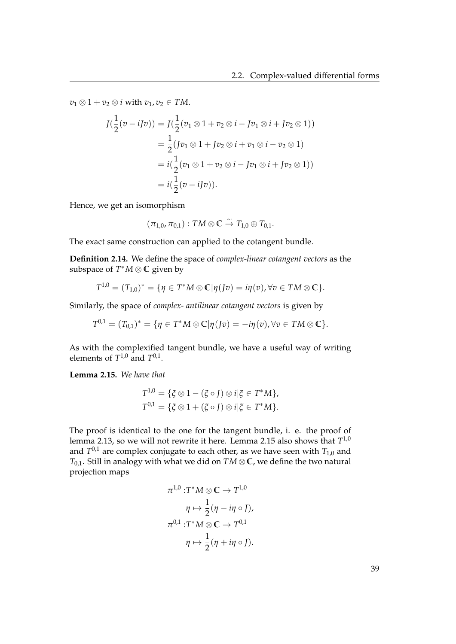$v_1 \otimes 1 + v_2 \otimes i$  with  $v_1, v_2 \in TM$ .

$$
J(\frac{1}{2}(v - iJv)) = J(\frac{1}{2}(v_1 \otimes 1 + v_2 \otimes i - Jv_1 \otimes i + Jv_2 \otimes 1))
$$
  
=  $\frac{1}{2}(Jv_1 \otimes 1 + Jv_2 \otimes i + v_1 \otimes i - v_2 \otimes 1)$   
=  $i(\frac{1}{2}(v_1 \otimes 1 + v_2 \otimes i - Jv_1 \otimes i + Jv_2 \otimes 1))$   
=  $i(\frac{1}{2}(v - iJv)).$ 

Hence, we get an isomorphism

$$
(\pi_{1,0},\pi_{0,1}): TM \otimes \mathbb{C} \overset{\sim}{\rightarrow} T_{1,0} \oplus T_{0,1}.
$$

The exact same construction can applied to the cotangent bundle.

**Definition 2.14.** We define the space of *complex-linear cotangent vectors* as the subspace of *T* <sup>∗</sup>*M* ⊗ **C** given by

$$
T^{1,0}=(T_{1,0})^*=\{\eta\in T^*M\otimes\mathbb{C}|\eta(Jv)=i\eta(v),\forall v\in TM\otimes\mathbb{C}\}.
$$

Similarly, the space of *complex- antilinear cotangent vectors* is given by

$$
T^{0,1}=(T_{0,1})^*=\{\eta\in T^*M\otimes \mathbb{C}|\eta(Jv)=-i\eta(v), \forall v\in TM\otimes \mathbb{C}\}.
$$

As with the complexified tangent bundle, we have a useful way of writing elements of  $T^{1,0}$  and  $T^{0,1}$ .

<span id="page-44-0"></span>**Lemma 2.15.** *We have that*

$$
T^{1,0} = \{ \xi \otimes 1 - (\xi \circ J) \otimes i | \xi \in T^*M \},
$$
  

$$
T^{0,1} = \{ \xi \otimes 1 + (\xi \circ J) \otimes i | \xi \in T^*M \}.
$$

The proof is identical to the one for the tangent bundle, i. e. the proof of lemma [2.13,](#page-42-0) so we will not rewrite it here. Lemma [2.15](#page-44-0) also shows that  $T^{1,0}$ and *T* 0,1 are complex conjugate to each other, as we have seen with *T*1,0 and *T*0,1. Still in analogy with what we did on *TM* ⊗ **C**, we define the two natural projection maps

$$
\pi^{1,0} : T^*M \otimes \mathbb{C} \to T^{1,0}
$$

$$
\eta \mapsto \frac{1}{2} (\eta - i\eta \circ J),
$$

$$
\pi^{0,1} : T^*M \otimes \mathbb{C} \to T^{0,1}
$$

$$
\eta \mapsto \frac{1}{2} (\eta + i\eta \circ J).
$$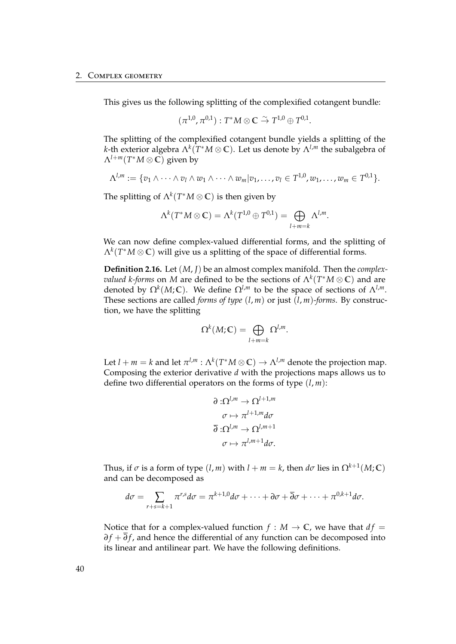This gives us the following splitting of the complexified cotangent bundle:

$$
(\pi^{1,0},\pi^{0,1}):T^*M\otimes\mathbb{C}\stackrel{\sim}{\rightarrow} T^{1,0}\oplus T^{0,1}.
$$

The splitting of the complexified cotangent bundle yields a splitting of the *k*-th exterior algebra Λ*<sup>k</sup>* (*T* <sup>∗</sup>*M* ⊗ **C**). Let us denote by Λ*l*,*<sup>m</sup>* the subalgebra of Λ*l*+*m*(*T* <sup>∗</sup>*M* ⊗ **C**) given by

$$
\Lambda^{l,m}:=\{v_1\wedge\cdots\wedge v_l\wedge w_1\wedge\cdots\wedge w_m|v_1,\ldots,v_l\in T^{1,0},w_1,\ldots,w_m\in T^{0,1}\}.
$$

The splitting of  $\Lambda^k(T^*M\otimes\mathbb{C})$  is then given by

$$
\Lambda^k(T^*M\otimes\mathbb{C})=\Lambda^k(T^{1,0}\oplus T^{0,1})=\bigoplus_{l+m=k}\Lambda^{l,m}.
$$

We can now define complex-valued differential forms, and the splitting of Λ*k* (*T* <sup>∗</sup>*M* ⊗ **C**) will give us a splitting of the space of differential forms.

**Definition 2.16.** Let (*M*, *J*) be an almost complex manifold. Then the *complexvalued k-forms* on *M* are defined to be the sections of  $\Lambda^k(T^*M\otimes\mathbb{C})$  and are denoted by  $\Omega^k(M;\mathbb{C})$ . We define  $\Omega^{l,m}$  to be the space of sections of  $\Lambda^{l,m}$ . These sections are called *forms of type*  $(l, m)$  or just  $(l, m)$ *-forms*. By construction, we have the splitting

$$
\Omega^k(M;\mathbb{C}) = \bigoplus_{l+m=k} \Omega^{l,m}.
$$

Let  $l + m = k$  and let  $\pi^{l,m} : \Lambda^k(T^*M \otimes \mathbb{C}) \to \Lambda^{l,m}$  denote the projection map. Composing the exterior derivative *d* with the projections maps allows us to define two differential operators on the forms of type (*l*, *m*):

$$
\partial : \Omega^{l,m} \to \Omega^{l+1,m}
$$

$$
\sigma \mapsto \pi^{l+1,m} d\sigma
$$

$$
\overline{\partial} : \Omega^{l,m} \to \Omega^{l,m+1}
$$

$$
\sigma \mapsto \pi^{l,m+1} d\sigma.
$$

Thus, if  $\sigma$  is a form of type  $(l, m)$  with  $l + m = k$ , then  $d\sigma$  lies in  $\Omega^{k+1}(M; \mathbb{C})$ and can be decomposed as

$$
d\sigma = \sum_{r+s=k+1} \pi^{r,s} d\sigma = \pi^{k+1,0} d\sigma + \cdots + \partial \sigma + \overline{\partial} \sigma + \cdots + \pi^{0,k+1} d\sigma.
$$

Notice that for a complex-valued function  $f : M \to \mathbb{C}$ , we have that  $df =$ *∂f* +  $\overline{\partial}$ *f*, and hence the differential of any function can be decomposed into its linear and antilinear part. We have the following definitions.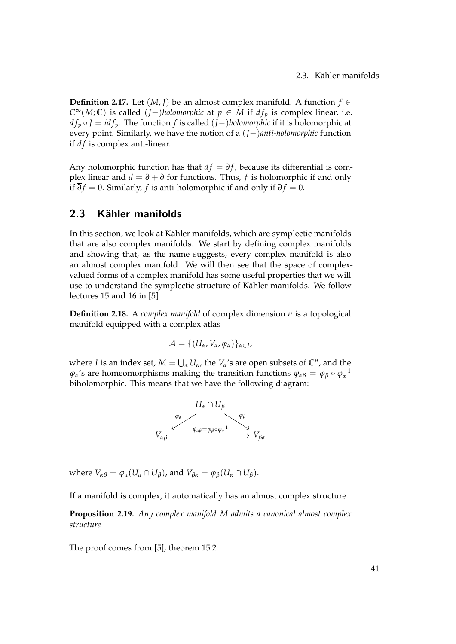**Definition 2.17.** Let  $(M, J)$  be an almost complex manifold. A function  $f \in$ *C*<sup>∞</sup>(*M*;**C**) is called (*J*−)*holomorphic* at *p* ∈ *M* if *df*<sub>*p*</sub> is complex linear, i.e. *d*  $f_p$  ◦ *J* = *id*  $f_p$ . The function  $f$  is called  $(J−)$ *holomorphic* if it is holomorphic at every point. Similarly, we have the notion of a (*J*−)*anti-holomorphic* function if *df* is complex anti-linear.

Any holomorphic function has that  $df = \partial f$ , because its differential is complex linear and  $d = \partial + \overline{\partial}$  for functions. Thus, *f* is holomorphic if and only if  $\overline{\partial} f = 0$ . Similarly, *f* is anti-holomorphic if and only if  $\partial f = 0$ .

### 2.3 Kähler manifolds

In this section, we look at Kähler manifolds, which are symplectic manifolds that are also complex manifolds. We start by defining complex manifolds and showing that, as the name suggests, every complex manifold is also an almost complex manifold. We will then see that the space of complexvalued forms of a complex manifold has some useful properties that we will use to understand the symplectic structure of Kähler manifolds. We follow lectures 15 and 16 in [\[5\]](#page-108-0).

**Definition 2.18.** A *complex manifold* of complex dimension *n* is a topological manifold equipped with a complex atlas

$$
\mathcal{A} = \{ (U_\alpha, V_\alpha, \varphi_\alpha) \}_{\alpha \in I},
$$

where *I* is an index set,  $M = \bigcup_{\alpha} U_{\alpha}$ , the  $V_{\alpha}$ 's are open subsets of  $\mathbb{C}^n$ , and the  $\varphi$ *α*'s are homeomorphisms making the transition functions  $\psi_{\alpha\beta} = \varphi_{\beta} \circ \varphi_{\alpha}^{-1}$ biholomorphic. This means that we have the following diagram:



where  $V_{\alpha\beta} = \varphi_{\alpha}(U_{\alpha} \cap U_{\beta})$ , and  $V_{\beta\alpha} = \varphi_{\beta}(U_{\alpha} \cap U_{\beta})$ .

If a manifold is complex, it automatically has an almost complex structure.

**Proposition 2.19.** *Any complex manifold M admits a canonical almost complex structure*

The proof comes from [\[5\]](#page-108-0), theorem 15.2.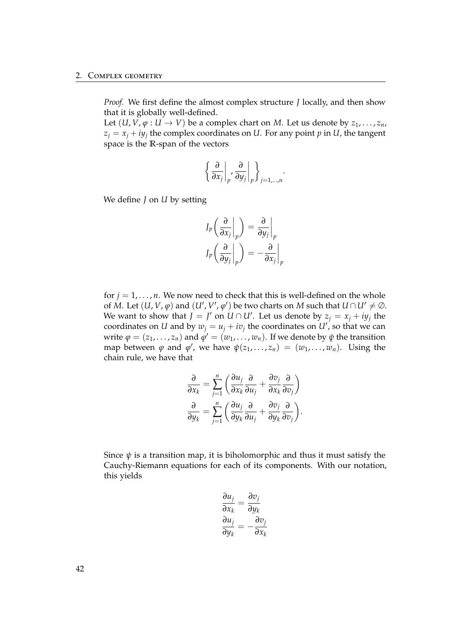*Proof.* We first define the almost complex structure *J* locally, and then show that it is globally well-defined.

Let  $(U, V, \varphi : U \to V)$  be a complex chart on *M*. Let us denote by  $z_1, \ldots, z_n$ ,  $z_j = x_j + iy_j$  the complex coordinates on *U*. For any point *p* in *U*, the tangent space is the **R**-span of the vectors

$$
\left\{\left.\frac{\partial}{\partial x_j}\right|_p, \left.\frac{\partial}{\partial y_j}\right|_p\right\}_{j=1,\dots,n}.
$$

We define *J* on *U* by setting

$$
J_p \left( \frac{\partial}{\partial x_j} \bigg|_p \right) = \frac{\partial}{\partial y_j} \bigg|_p
$$
  

$$
J_p \left( \frac{\partial}{\partial y_j} \bigg|_p \right) = -\frac{\partial}{\partial x_j} \bigg|_p
$$

for  $j = 1, \ldots, n$ . We now need to check that this is well-defined on the whole of *M*. Let  $(U, V, \varphi)$  and  $(U', V', \varphi')$  be two charts on *M* such that  $U \cap U' \neq \emptyset$ . We want to show that  $J = J'$  on  $U \cap U'$ . Let us denote by  $z_j = x_j + iy_j$  the coordinates on *U* and by  $w_j = u_j + iv_j$  the coordinates on  $U'$ , so that we can write  $\varphi = (z_1, \ldots, z_n)$  and  $\varphi' = (w_1, \ldots, w_n)$ . If we denote by  $\psi$  the transition map between  $\varphi$  and  $\varphi'$ , we have  $\psi(z_1, \ldots, z_n) = (w_1, \ldots, w_n)$ . Using the chain rule, we have that

$$
\frac{\partial}{\partial x_k} = \sum_{j=1}^n \left( \frac{\partial u_j}{\partial x_k} \frac{\partial}{\partial u_j} + \frac{\partial v_j}{\partial x_k} \frac{\partial}{\partial v_j} \right)
$$

$$
\frac{\partial}{\partial y_k} = \sum_{j=1}^n \left( \frac{\partial u_j}{\partial y_k} \frac{\partial}{\partial u_j} + \frac{\partial v_j}{\partial y_k} \frac{\partial}{\partial v_j} \right).
$$

Since  $\psi$  is a transition map, it is biholomorphic and thus it must satisfy the Cauchy-Riemann equations for each of its components. With our notation, this yields

$$
\frac{\partial u_j}{\partial x_k} = \frac{\partial v_j}{\partial y_k}
$$

$$
\frac{\partial u_j}{\partial y_k} = -\frac{\partial v_j}{\partial x_k}
$$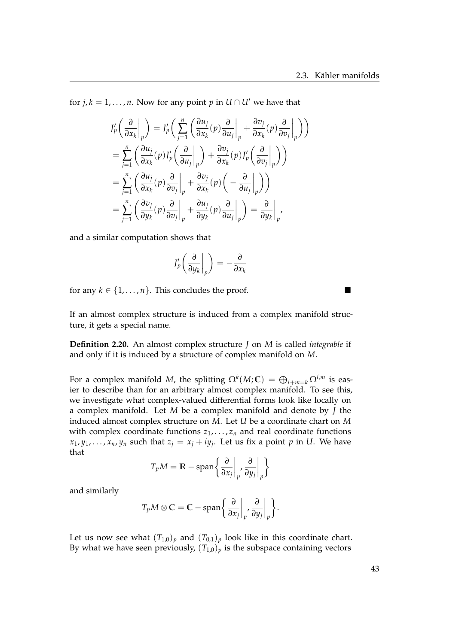for  $j, k = 1, \ldots, n$ . Now for any point  $p$  in  $U \cap U'$  we have that

$$
J'_p \left( \frac{\partial}{\partial x_k} \Big|_p \right) = J'_p \left( \sum_{j=1}^n \left( \frac{\partial u_j}{\partial x_k} (p) \frac{\partial}{\partial u_j} \Big|_p + \frac{\partial v_j}{\partial x_k} (p) \frac{\partial}{\partial v_j} \Big|_p \right) \right)
$$
  
\n
$$
= \sum_{j=1}^n \left( \frac{\partial u_j}{\partial x_k} (p) J'_p \left( \frac{\partial}{\partial u_j} \Big|_p \right) + \frac{\partial v_j}{\partial x_k} (p) J'_p \left( \frac{\partial}{\partial v_j} \Big|_p \right) \right)
$$
  
\n
$$
= \sum_{j=1}^n \left( \frac{\partial u_j}{\partial x_k} (p) \frac{\partial}{\partial v_j} \Big|_p + \frac{\partial v_j}{\partial x_k} (p) \left( -\frac{\partial}{\partial u_j} \Big|_p \right) \right)
$$
  
\n
$$
= \sum_{j=1}^n \left( \frac{\partial v_j}{\partial y_k} (p) \frac{\partial}{\partial v_j} \Big|_p + \frac{\partial u_j}{\partial y_k} (p) \frac{\partial}{\partial u_j} \Big|_p \right) = \frac{\partial}{\partial y_k} \Big|_p,
$$

and a similar computation shows that

$$
J'_p\left(\frac{\partial}{\partial y_k}\bigg|_p\right)=-\frac{\partial}{\partial x_k}
$$

for any  $k \in \{1, \ldots, n\}$ . This concludes the proof.

If an almost complex structure is induced from a complex manifold structure, it gets a special name.

**Definition 2.20.** An almost complex structure *J* on *M* is called *integrable* if and only if it is induced by a structure of complex manifold on *M*.

For a complex manifold *M*, the splitting  $\Omega^k(M;\mathbb{C}) = \bigoplus_{l+m=k} \Omega^{l,m}$  is easier to describe than for an arbitrary almost complex manifold. To see this, we investigate what complex-valued differential forms look like locally on a complex manifold. Let *M* be a complex manifold and denote by *J* the induced almost complex structure on *M*. Let *U* be a coordinate chart on *M* with complex coordinate functions  $z_1, \ldots, z_n$  and real coordinate functions *x*<sub>1</sub>, *y*<sub>1</sub>, . . . , *x*<sub>*n*</sub>, *y*<sub>*n*</sub> such that  $z_j = x_j + iy_j$ . Let us fix a point *p* in *U*. We have that

$$
T_p M = \mathbb{R} - \text{span}\left\{\left.\frac{\partial}{\partial x_j}\right|_p, \left.\frac{\partial}{\partial y_j}\right|_p\right\}
$$

and similarly

$$
T_p M \otimes \mathbb{C} = \mathbb{C} - \mathrm{span}\left\{\left.\frac{\partial}{\partial x_j}\right|_p, \left.\frac{\partial}{\partial y_j}\right|_p\right\}.
$$

Let us now see what  $(T_{1,0})_p$  and  $(T_{0,1})_p$  look like in this coordinate chart. By what we have seen previously,  $(T_{1,0})_p$  is the subspace containing vectors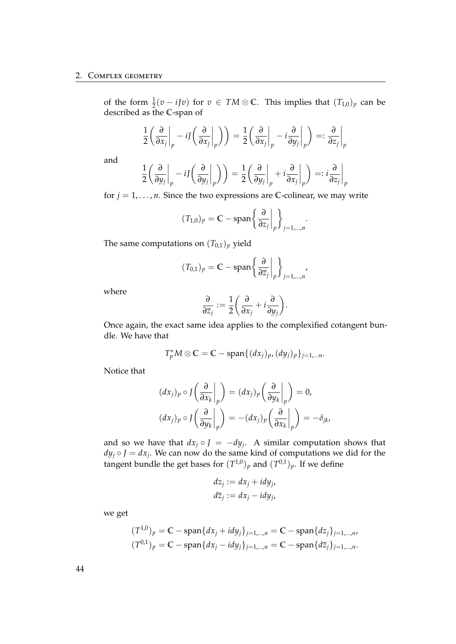### 2. Complex geometry

of the form  $\frac{1}{2}(v - iJv)$  for  $v \in TM \otimes \mathbb{C}$ . This implies that  $(T_{1,0})_p$  can be described as the **C**-span of

$$
\frac{1}{2} \left( \frac{\partial}{\partial x_j} \bigg|_p - i J \left( \frac{\partial}{\partial x_j} \bigg|_p \right) \right) = \frac{1}{2} \left( \frac{\partial}{\partial x_j} \bigg|_p - i \frac{\partial}{\partial y_j} \bigg|_p \right) =: \frac{\partial}{\partial z_j} \bigg|_p
$$

and

$$
\frac{1}{2} \left( \frac{\partial}{\partial y_j} \bigg|_p - i J \left( \frac{\partial}{\partial y_j} \bigg|_p \right) \right) = \frac{1}{2} \left( \frac{\partial}{\partial y_j} \bigg|_p + i \frac{\partial}{\partial x_j} \bigg|_p \right) =: i \frac{\partial}{\partial z_j} \bigg|_p
$$

for  $j = 1, \ldots, n$ . Since the two expressions are C-colinear, we may write

$$
(T_{1,0})_p = \mathbb{C} - \text{span}\left\{\frac{\partial}{\partial z_j}\bigg|_p\right\}_{j=1,\dots,n}.
$$

The same computations on  $(T_{0,1})_p$  yield

$$
(T_{0,1})_p = \mathbb{C} - \text{span}\left\{\frac{\partial}{\partial \overline{z}_j}\bigg|_p\right\}_{j=1,\dots,n},
$$

where

$$
\frac{\partial}{\partial \overline{z}_j} := \frac{1}{2} \bigg( \frac{\partial}{\partial x_j} + i \frac{\partial}{\partial y_j} \bigg).
$$

Once again, the exact same idea applies to the complexified cotangent bundle. We have that

$$
T_p^*M \otimes \mathbb{C} = \mathbb{C} - \mathrm{span}\{(dx_j)_{p}, (dy_j)_{p}\}_{j=1,...n}.
$$

Notice that

$$
(dx_j)_p \circ J\left(\frac{\partial}{\partial x_k}\bigg|_p\right) = (dx_j)_p \left(\frac{\partial}{\partial y_k}\bigg|_p\right) = 0,
$$
  

$$
(dx_j)_p \circ J\left(\frac{\partial}{\partial y_k}\bigg|_p\right) = -(dx_j)_p \left(\frac{\partial}{\partial x_k}\bigg|_p\right) = -\delta_{jk},
$$

and so we have that  $dx_j \circ J = -dy_j$ . A similar computation shows that  $dy_j \circ J = dx_j$ . We can now do the same kind of computations we did for the tangent bundle the get bases for  $(T^{1,0})_p$  and  $(T^{0,1})_p$ . If we define

$$
dz_j := dx_j + i dy_j,
$$
  

$$
d\overline{z}_j := dx_j - i dy_j,
$$

we get

$$
(T^{1,0})_p = \mathbb{C} - \text{span}\{dx_j + idy_j\}_{j=1,\dots,n} = \mathbb{C} - \text{span}\{dz_j\}_{j=1,\dots,n}
$$

$$
(T^{0,1})_p = \mathbb{C} - \text{span}\{dx_j - idy_j\}_{j=1,\dots,n} = \mathbb{C} - \text{span}\{d\overline{z}_j\}_{j=1,\dots,n}.
$$

44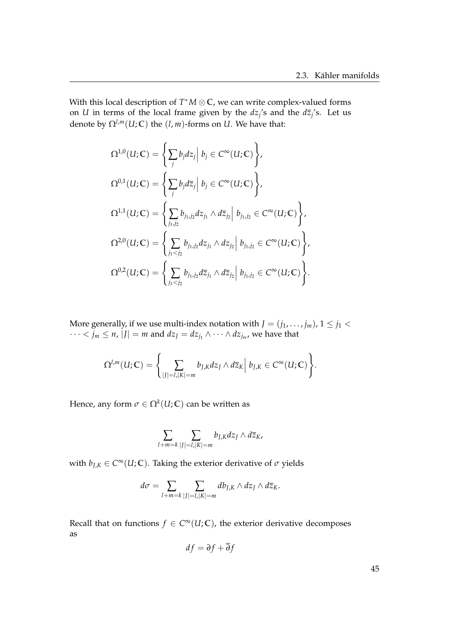With this local description of *T* <sup>∗</sup>*M* ⊗ **C**, we can write complex-valued forms on *U* in terms of the local frame given by the  $dz_j$ 's and the  $d\overline{z}_j$ 's. Let us denote by  $\Omega^{l,m}(U;\mathbb{C})$  the  $(l,m)$ -forms on *U*. We have that:

$$
\Omega^{1,0}(U;\mathbb{C}) = \left\{ \sum_{j} b_j dz_j \Big| b_j \in C^{\infty}(U;\mathbb{C}) \right\},
$$
  
\n
$$
\Omega^{0,1}(U;\mathbb{C}) = \left\{ \sum_{j} b_j d\overline{z}_j \Big| b_j \in C^{\infty}(U;\mathbb{C}) \right\},
$$
  
\n
$$
\Omega^{1,1}(U;\mathbb{C}) = \left\{ \sum_{j_1,j_2} b_{j_1,j_2} dz_{j_1} \wedge d\overline{z}_{j_2} \Big| b_{j_1,j_2} \in C^{\infty}(U;\mathbb{C}) \right\},
$$
  
\n
$$
\Omega^{2,0}(U;\mathbb{C}) = \left\{ \sum_{j_1 < j_2} b_{j_1,j_2} dz_{j_1} \wedge dz_{j_2} \Big| b_{j_1,j_2} \in C^{\infty}(U;\mathbb{C}) \right\},
$$
  
\n
$$
\Omega^{0,2}(U;\mathbb{C}) = \left\{ \sum_{j_1 < j_2} b_{j_1,j_2} d\overline{z}_{j_1} \wedge d\overline{z}_{j_2} \Big| b_{j_1,j_2} \in C^{\infty}(U;\mathbb{C}) \right\}.
$$

More generally, if we use multi-index notation with  $J = (j_1, \ldots, j_m)$ ,  $1 \le j_1 < j_2$  $\cdots < j_m \leq n$ ,  $|J| = m$  and  $dz_J = dz_{j_1} \wedge \cdots \wedge dz_{j_m}$ , we have that

$$
\Omega^{l,m}(U;\mathbb{C})=\bigg\{\sum_{|J|=l,|K|=m}b_{J,K}dz_J\wedge d\overline{z}_K\bigg|\ b_{J,K}\in C^\infty(U;\mathbb{C})\bigg\}.
$$

Hence, any form  $\sigma \in \Omega^k(U;\mathbb{C})$  can be written as

$$
\sum_{l+m=k} \sum_{|J|=l,|K|=m} b_{J,K} dz_J \wedge d\overline{z}_K,
$$

with  $b_{J,K} \in C^{\infty}(U;\mathbb{C})$ . Taking the exterior derivative of  $\sigma$  yields

$$
d\sigma = \sum_{l+m=k} \sum_{|J|=l,|K|=m} db_{J,K} \wedge dz_J \wedge d\overline{z}_K.
$$

Recall that on functions  $f \in C^{\infty}(U;\mathbb{C})$ , the exterior derivative decomposes as

$$
df = \partial f + \partial f
$$

45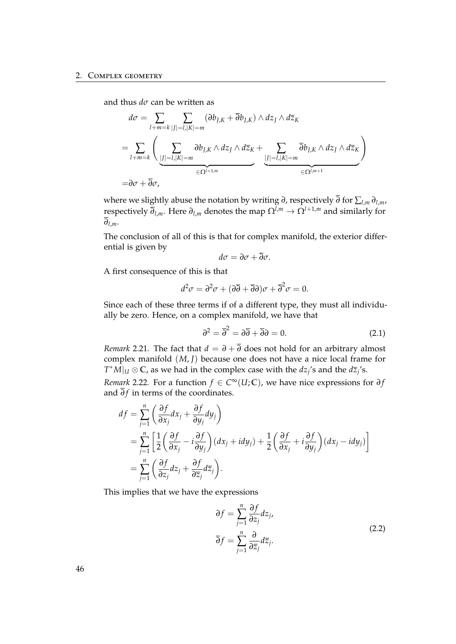and thus *dσ* can be written as

$$
d\sigma = \sum_{l+m=k} \sum_{|J|=l,|K|=m} (\partial b_{J,K} + \overline{\partial} b_{J,K}) \wedge dz_J \wedge d\overline{z}_K
$$
  
= 
$$
\sum_{l+m=k} \left( \sum_{|J|=l,|K|=m} \partial b_{J,K} \wedge dz_J \wedge d\overline{z}_K + \sum_{|J|=l,|K|=m} \overline{\partial} b_{J,K} \wedge dz_J \wedge d\overline{z}_K \right)
$$
  
= 
$$
\partial \sigma + \overline{\partial} \sigma,
$$

where we slightly abuse the notation by writing *∂*, respectively *∂* for ∑*l*,*<sup>m</sup> ∂l*,*m*, respectively  $\overline{\partial}_{l,m}$ . Here  $\partial_{l,m}$  denotes the map  $\Omega^{l,m} \to \Omega^{l+1,m}$  and similarly for *∂l*,*m*.

The conclusion of all of this is that for complex manifold, the exterior differential is given by

$$
d\sigma=\partial\sigma+\overline{\partial}\sigma.
$$

A first consequence of this is that

$$
d^2\sigma = \partial^2\sigma + (\partial\overline{\partial} + \overline{\partial}\partial)\sigma + \overline{\partial}^2\sigma = 0.
$$

Since each of these three terms if of a different type, they must all individually be zero. Hence, on a complex manifold, we have that

<span id="page-51-0"></span>
$$
\partial^2 = \overline{\partial}^2 = \partial \overline{\partial} + \overline{\partial} \partial = 0. \tag{2.1}
$$

*Remark* 2.21. The fact that  $d = \partial + \overline{\partial}$  does not hold for an arbitrary almost complex manifold (*M*, *J*) because one does not have a nice local frame for  $T^*M|_U \otimes \mathbb{C}$ , as we had in the complex case with the  $dz_j$ 's and the  $d\overline{z}_j$ 's.

<span id="page-51-1"></span>*Remark* 2.22*.* For a function  $f \in C^{\infty}(U;\mathbb{C})$ , we have nice expressions for  $\partial f$ and  $\overline{\partial} f$  in terms of the coordinates.

$$
df = \sum_{j=1}^{n} \left( \frac{\partial f}{\partial x_j} dx_j + \frac{\partial f}{\partial y_j} dy_j \right)
$$
  
= 
$$
\sum_{j=1}^{n} \left[ \frac{1}{2} \left( \frac{\partial f}{\partial x_j} - i \frac{\partial f}{\partial y_j} \right) (dx_j + idy_j) + \frac{1}{2} \left( \frac{\partial f}{\partial x_j} + i \frac{\partial f}{\partial y_j} \right) (dx_j - idy_j) \right]
$$
  
= 
$$
\sum_{j=1}^{n} \left( \frac{\partial f}{\partial z_j} dz_j + \frac{\partial f}{\partial \overline{z}_j} d\overline{z}_j \right).
$$

This implies that we have the expressions

$$
\partial f = \sum_{j=1}^{n} \frac{\partial f}{\partial z_j} dz_j,
$$
  
\n
$$
\overline{\partial} f = \sum_{j=1}^{n} \frac{\partial}{\partial \overline{z}_j} d\overline{z}_j.
$$
\n(2.2)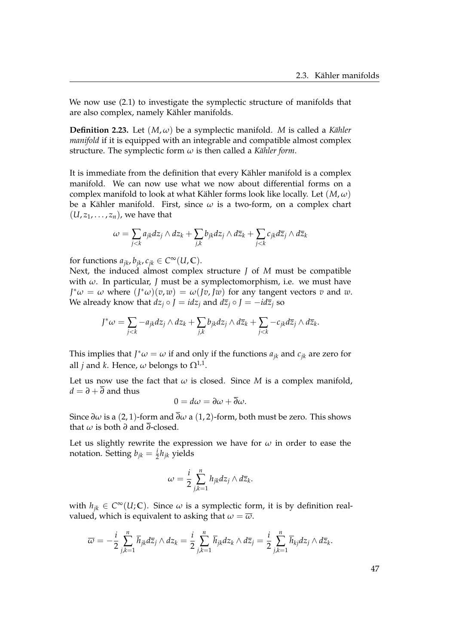We now use [\(2.1\)](#page-51-0) to investigate the symplectic structure of manifolds that are also complex, namely Kähler manifolds.

**Definition 2.23.** Let  $(M, \omega)$  be a symplectic manifold. *M* is called a *K* $i$ *k*ler *manifold* if it is equipped with an integrable and compatible almost complex structure. The symplectic form  $\omega$  is then called a *Kähler form*.

It is immediate from the definition that every Kähler manifold is a complex manifold. We can now use what we now about differential forms on a complex manifold to look at what Kähler forms look like locally. Let  $(M, \omega)$ be a Kähler manifold. First, since  $\omega$  is a two-form, on a complex chart  $(U, z_1, \ldots, z_n)$ , we have that

$$
\omega = \sum_{j < k} a_{jk} dz_j \wedge dz_k + \sum_{j,k} b_{jk} dz_j \wedge d\overline{z}_k + \sum_{j < k} c_{jk} d\overline{z}_j \wedge d\overline{z}_k
$$

for functions  $a_{jk}$ ,  $b_{jk}$ ,  $c_{jk} \in C^{\infty}(U, \mathbb{C})$ .

Next, the induced almost complex structure *J* of *M* must be compatible with *ω*. In particular, *J* must be a symplectomorphism, i.e. we must have *J*<sup>\*</sup> $\omega = \omega$  where  $(J^*\omega)(v,w) = \omega(Jv,Jw)$  for any tangent vectors *v* and *w*. We already know that  $dz_i \circ J = idz_i$  and  $d\overline{z}_i \circ J = -id\overline{z}_i$  so

$$
J^*\omega = \sum_{j < k} -a_{jk}dz_j \wedge dz_k + \sum_{j,k} b_{jk}dz_j \wedge d\overline{z}_k + \sum_{j < k} -c_{jk}d\overline{z}_j \wedge d\overline{z}_k.
$$

This implies that  $J^*\omega = \omega$  if and only if the functions  $a_{jk}$  and  $c_{jk}$  are zero for all *j* and *k*. Hence,  $\omega$  belongs to  $\Omega^{1,1}$ .

Let us now use the fact that  $\omega$  is closed. Since  $M$  is a complex manifold,  $d = \partial + \overline{\partial}$  and thus

$$
0=d\omega=\partial\omega+\overline{\partial}\omega.
$$

Since  $\partial \omega$  is a (2, 1)-form and  $\overline{\partial} \omega$  a (1, 2)-form, both must be zero. This shows that *ω* is both *∂* and *∂*-closed.

Let us slightly rewrite the expression we have for  $\omega$  in order to ease the notation. Setting  $b_{jk} = \frac{i}{2}h_{jk}$  yields

$$
\omega = \frac{i}{2} \sum_{j,k=1}^n h_{jk} dz_j \wedge d\overline{z}_k.
$$

with  $h_{jk} \in C^{\infty}(U;\mathbb{C})$ . Since  $\omega$  is a symplectic form, it is by definition realvalued, which is equivalent to asking that  $\omega = \overline{\omega}$ .

$$
\overline{\omega} = -\frac{i}{2} \sum_{j,k=1}^n \overline{h}_{jk} d\overline{z}_j \wedge dz_k = \frac{i}{2} \sum_{j,k=1}^n \overline{h}_{jk} dz_k \wedge d\overline{z}_j = \frac{i}{2} \sum_{j,k=1}^n \overline{h}_{kj} dz_j \wedge d\overline{z}_k.
$$

| --- | × |
|-----|---|
|     |   |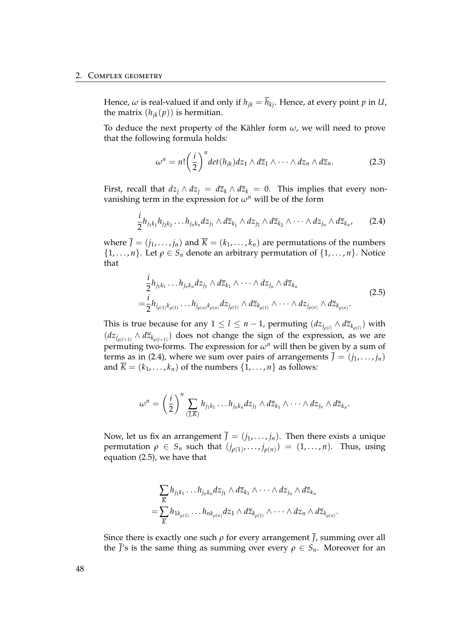#### 2. Complex geometry

Hence,  $\omega$  is real-valued if and only if  $h_{jk} = \overline{h}_{kj}$ . Hence, at every point p in *U*, the matrix  $(h_{ik}(p))$  is hermitian.

To deduce the next property of the Kähler form  $\omega$ , we will need to prove that the following formula holds:

<span id="page-53-2"></span>
$$
\omega^n = n! \left(\frac{i}{2}\right)^n \det(h_{jk}) dz_1 \wedge d\overline{z}_1 \wedge \cdots \wedge dz_n \wedge d\overline{z}_n.
$$
 (2.3)

First, recall that  $dz_j \wedge dz_j = d\overline{z}_k \wedge d\overline{z}_k = 0$ . This implies that every nonvanishing term in the expression for  $\omega^n$  will be of the form

<span id="page-53-0"></span>
$$
\frac{i}{2}h_{j_1k_1}h_{j_2k_2}\ldots h_{j_nk_n}dz_{j_1}\wedge d\overline{z}_{k_1}\wedge dz_{j_2}\wedge d\overline{z}_{k_2}\wedge\cdots\wedge dz_{j_n}\wedge d\overline{z}_{k_n},\qquad(2.4)
$$

where  $\bar{J} = (j_1, \ldots, j_n)$  and  $\bar{K} = (k_1, \ldots, k_n)$  are permutations of the numbers  $\{1, \ldots, n\}$ . Let  $\rho \in S_n$  denote an arbitrary permutation of  $\{1, \ldots, n\}$ . Notice that

<span id="page-53-1"></span>
$$
\frac{i}{2}h_{j_1k_1}\dots h_{j_nk_n}dz_{j_1}\wedge d\overline{z}_{k_1}\wedge \dots \wedge dz_{j_n}\wedge d\overline{z}_{k_n} \n= \frac{i}{2}h_{j_{\rho(1)}k_{\rho(1)}}\dots h_{j_{\rho(n)}k_{\rho(n)}}dz_{j_{\rho(1)}}\wedge d\overline{z}_{k_{\rho(1)}}\wedge \dots \wedge dz_{j_{\rho(n)}}\wedge d\overline{z}_{k_{\rho(n)}}.
$$
\n(2.5)

This is true because for any  $1 \leq l \leq n-1$ , permuting  $(dz_{j_{\rho(l)}} \wedge d\overline{z}_{k_{\rho(l)}})$  with  $(dz_{j_{\rho(l+1)}} \wedge d\overline{z}_{k_{\rho(l+1)}})$  does not change the sign of the expression, as we are permuting two-forms. The expression for  $\omega^n$  will then be given by a sum of terms as in [\(2.4\)](#page-53-0), where we sum over pairs of arrangements  $\bar{J} = (j_1, \ldots, j_n)$ and  $\overline{K} = (k_1, \ldots, k_n)$  of the numbers  $\{1, \ldots, n\}$  as follows:

$$
\omega^n=\left(\frac{i}{2}\right)^n\sum_{(\overline{j},\overline{k})}h_{j_1k_1}\ldots h_{j_nk_n}dz_{j_1}\wedge d\overline{z}_{k_1}\wedge\cdots\wedge dz_{j_n}\wedge d\overline{z}_{k_n}.
$$

Now, let us fix an arrangement  $\bar{J} = (j_1, \ldots, j_n)$ . Then there exists a unique permutation  $\rho \in S_n$  such that  $(j_{\rho(1)}, \ldots, j_{\rho(n)}) = (1, \ldots, n)$ . Thus, using equation [\(2.5\)](#page-53-1), we have that

$$
\sum_{\overline{K}} h_{j_1k_1} \dots h_{j_nk_n} dz_{j_1} \wedge d\overline{z}_{k_1} \wedge \dots \wedge dz_{j_n} \wedge d\overline{z}_{k_n}
$$
  
= 
$$
\sum_{\overline{K}} h_{1k_{\rho(1)}} \dots h_{nk_{\rho(n)}} dz_1 \wedge d\overline{z}_{k_{\rho(1)}} \wedge \dots \wedge dz_n \wedge d\overline{z}_{k_{\rho(n)}}.
$$

Since there is exactly one such  $\rho$  for every arrangement  $\overline{J}$ , summing over all the  $\overline{J}'s$  is the same thing as summing over every  $\rho \in S_n$ . Moreover for an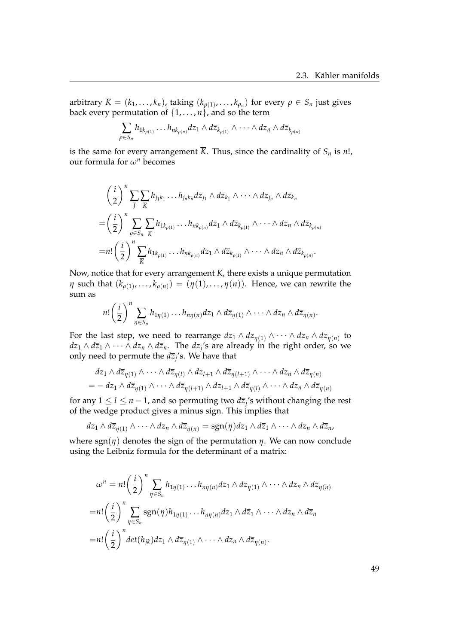arbitrary  $\overline{K} = (k_1, \ldots, k_n)$ , taking  $(k_{\rho(1)}, \ldots, k_{\rho_n})$  for every  $\rho \in S_n$  just gives back every permutation of  $\{1, \ldots, n\}$ , and so the term

$$
\sum_{\rho \in S_n} h_{1k_{\rho(1)}} \dots h_{nk_{\rho(n)}} dz_1 \wedge d\overline{z}_{k_{\rho(1)}} \wedge \dots \wedge dz_n \wedge d\overline{z}_{k_{\rho(n)}}
$$

is the same for every arrangement  $\overline{K}$ . Thus, since the cardinality of  $S_n$  is *n*!, our formula for *ω<sup>n</sup>* becomes

$$
\left(\frac{i}{2}\right)^n \sum_{\overline{j}} \sum_{\overline{k}} h_{j_1k_1} \dots h_{j_nk_n} dz_{j_1} \wedge d\overline{z}_{k_1} \wedge \dots \wedge dz_{j_n} \wedge d\overline{z}_{k_n}
$$
\n
$$
= \left(\frac{i}{2}\right)^n \sum_{\rho \in S_n} \sum_{\overline{k}} h_{1k_{\rho(1)}} \dots h_{nk_{\rho(n)}} dz_1 \wedge d\overline{z}_{k_{\rho(1)}} \wedge \dots \wedge dz_n \wedge d\overline{z}_{k_{\rho(n)}}
$$
\n
$$
= n! \left(\frac{i}{2}\right)^n \sum_{\overline{k}} h_{1k_{\rho(1)}} \dots h_{nk_{\rho(n)}} dz_1 \wedge d\overline{z}_{k_{\rho(1)}} \wedge \dots \wedge dz_n \wedge d\overline{z}_{k_{\rho(n)}}.
$$

Now, notice that for every arrangement *K*, there exists a unique permutation *η* such that  $(k_{\rho(1)},...,k_{\rho(n)}) = (\eta(1),...,\eta(n)).$  Hence, we can rewrite the sum as

$$
n!\left(\frac{i}{2}\right)^n\sum_{\eta\in S_n}h_{1\eta(1)}\ldots h_{n\eta(n)}dz_1\wedge d\overline{z}_{\eta(1)}\wedge\cdots\wedge dz_n\wedge d\overline{z}_{\eta(n)}.
$$

For the last step, we need to rearrange  $dz_1\wedge d\overline{z}_{\eta(1)}\wedge\cdots\wedge dz_n\wedge d\overline{z}_{\eta(n)}$  to *dz*<sup>1</sup> ∧ *dz*<sup>1</sup> ∧ · · · ∧ *dz<sup>n</sup>* ∧ *dzn*. The *dz<sup>j</sup>* 's are already in the right order, so we only need to permute the  $d\overline{z}_j$ 's. We have that

$$
dz_1 \wedge d\overline{z}_{\eta(1)} \wedge \cdots \wedge d\overline{z}_{\eta(l)} \wedge dz_{l+1} \wedge d\overline{z}_{\eta(l+1)} \wedge \cdots \wedge dz_n \wedge d\overline{z}_{\eta(n)}
$$
  
=  $- dz_1 \wedge d\overline{z}_{\eta(1)} \wedge \cdots \wedge d\overline{z}_{\eta(l+1)} \wedge dz_{l+1} \wedge d\overline{z}_{\eta(l)} \wedge \cdots \wedge dz_n \wedge d\overline{z}_{\eta(n)}$ 

for any  $1 \leq l \leq n-1$ , and so permuting two  $d\overline{z}_j$ 's without changing the rest of the wedge product gives a minus sign. This implies that

$$
dz_1\wedge d\overline{z}_{\eta(1)}\wedge\cdots\wedge dz_n\wedge d\overline{z}_{\eta(n)}=\mathrm{sgn}(\eta)dz_1\wedge d\overline{z}_1\wedge\cdots\wedge dz_n\wedge d\overline{z}_n,
$$

where  $sgn(\eta)$  denotes the sign of the permutation  $\eta$ . We can now conclude using the Leibniz formula for the determinant of a matrix:

$$
\omega^n = n! \left(\frac{i}{2}\right)^n \sum_{\eta \in S_n} h_{1\eta(1)} \dots h_{n\eta(n)} dz_1 \wedge d\overline{z}_{\eta(1)} \wedge \dots \wedge dz_n \wedge d\overline{z}_{\eta(n)}
$$
  
= 
$$
n! \left(\frac{i}{2}\right)^n \sum_{\eta \in S_n} \text{sgn}(\eta) h_{1\eta(1)} \dots h_{n\eta(n)} dz_1 \wedge d\overline{z}_1 \wedge \dots \wedge dz_n \wedge d\overline{z}_n
$$
  
= 
$$
n! \left(\frac{i}{2}\right)^n \det(h_{jk}) dz_1 \wedge d\overline{z}_{\eta(1)} \wedge \dots \wedge dz_n \wedge d\overline{z}_{\eta(n)}.
$$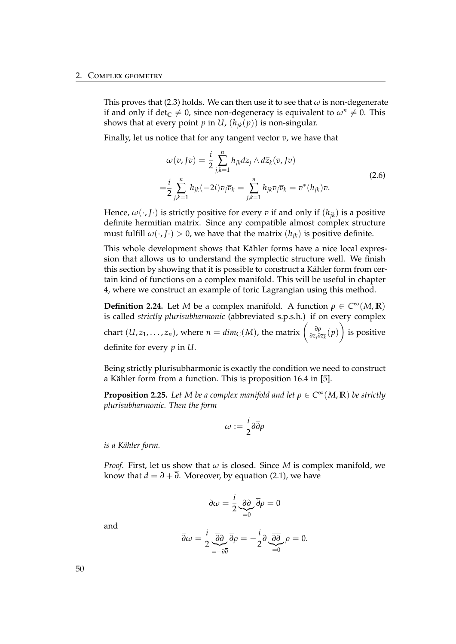This proves that [\(2.3\)](#page-53-2) holds. We can then use it to see that *ω* is non-degenerate if and only if det<sub>C</sub>  $\neq$  0, since non-degeneracy is equivalent to  $\omega^n \neq 0$ . This shows that at every point *p* in *U*,  $(h_{ik}(p))$  is non-singular.

Finally, let us notice that for any tangent vector *v*, we have that

<span id="page-55-0"></span>
$$
\omega(v, Jv) = \frac{i}{2} \sum_{j,k=1}^{n} h_{jk} dz_j \wedge d\overline{z}_k(v, Jv)
$$
  

$$
= \frac{i}{2} \sum_{j,k=1}^{n} h_{jk} (-2i) v_j \overline{v}_k = \sum_{j,k=1}^{n} h_{jk} v_j \overline{v}_k = v^*(h_{jk}) v.
$$
 (2.6)

Hence,  $\omega(\cdot, J \cdot)$  is strictly positive for every *v* if and only if  $(h_{ik})$  is a positive definite hermitian matrix. Since any compatible almost complex structure must fulfill  $\omega(\cdot, J \cdot) > 0$ , we have that the matrix  $(h_{jk})$  is positive definite.

This whole development shows that Kähler forms have a nice local expression that allows us to understand the symplectic structure well. We finish this section by showing that it is possible to construct a Kähler form from certain kind of functions on a complex manifold. This will be useful in chapter [4,](#page-68-0) where we construct an example of toric Lagrangian using this method.

**Definition 2.24.** Let *M* be a complex manifold. A function  $\rho \in C^{\infty}(M,\mathbb{R})$ is called *strictly plurisubharmonic* (abbreviated s.p.s.h.) if on every complex chart  $(U, z_1, \ldots, z_n)$ , where  $n = dim_{\mathbb{C}}(M)$ , the matrix  $\left(\frac{\partial \rho}{\partial z_i \partial x_j}\right)$  $\frac{\partial \rho}{\partial z_j \partial \overline{z_k}}(p)$ is positive definite for every *p* in *U*.

Being strictly plurisubharmonic is exactly the condition we need to construct a Kähler form from a function. This is proposition 16.4 in [[5\]](#page-108-0).

**Proposition 2.25.** Let M be a complex manifold and let  $\rho \in C^{\infty}(M,\mathbb{R})$  be strictly *plurisubharmonic. Then the form*

$$
\omega:=\frac{i}{2}\partial\overline{\partial}\rho
$$

*is a K¨ahler form.*

*Proof.* First, let us show that *ω* is closed. Since *M* is complex manifold, we know that  $d = \partial + \overline{\partial}$ . Moreover, by equation [\(2.1\)](#page-51-0), we have

$$
\partial \omega = \frac{i}{2} \underbrace{\partial \partial}_{=0} \overline{\partial} \rho = 0
$$

and

$$
\overline{\partial}\omega = \frac{i}{2} \underbrace{\overline{\partial}\partial}_{=-\partial\overline{\partial}} \overline{\partial}\rho = -\frac{i}{2} \partial \underbrace{\overline{\partial}\overline{\partial}}_{=0} \rho = 0.
$$

50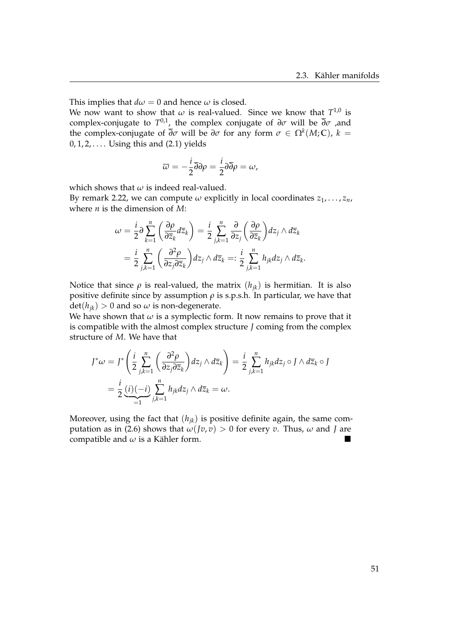This implies that  $d\omega = 0$  and hence  $\omega$  is closed.

We now want to show that  $\omega$  is real-valued. Since we know that  $T^{1,0}$  is complex-conjugate to *T* 0,1, the complex conjugate of *∂σ* will be *∂σ* ,and the complex-conjugate of  $\overline{\partial}\sigma$  will be  $\partial\sigma$  for any form  $\sigma \in \Omega^k(M; \mathbb{C})$ ,  $k =$  $0, 1, 2, \ldots$  Using this and  $(2.1)$  yields

$$
\overline{\omega} = -\frac{i}{2}\overline{\partial}\partial\rho = \frac{i}{2}\partial\overline{\partial}\rho = \omega,
$$

which shows that  $\omega$  is indeed real-valued.

By remark [2.22,](#page-51-1) we can compute  $\omega$  explicitly in local coordinates  $z_1, \ldots, z_n$ , where *n* is the dimension of *M*:

$$
\omega = \frac{i}{2} \partial \sum_{k=1}^{n} \left( \frac{\partial \rho}{\partial \overline{z}_k} d\overline{z}_k \right) = \frac{i}{2} \sum_{j,k=1}^{n} \frac{\partial}{\partial z_j} \left( \frac{\partial \rho}{\partial \overline{z}_k} \right) dz_j \wedge d\overline{z}_k
$$

$$
= \frac{i}{2} \sum_{j,k=1}^{n} \left( \frac{\partial^2 \rho}{\partial z_j \partial \overline{z}_k} \right) dz_j \wedge d\overline{z}_k =: \frac{i}{2} \sum_{j,k=1}^{n} h_{jk} dz_j \wedge d\overline{z}_k.
$$

Notice that since *ρ* is real-valued, the matrix  $(h_{jk})$  is hermitian. It is also positive definite since by assumption  $\rho$  is s.p.s.h. In particular, we have that  $\det(h_{ik}) > 0$  and so  $\omega$  is non-degenerate.

We have shown that  $\omega$  is a symplectic form. It now remains to prove that it is compatible with the almost complex structure *J* coming from the complex structure of *M*. We have that

$$
J^*\omega = J^*\left(\frac{i}{2}\sum_{j,k=1}^n\left(\frac{\partial^2\rho}{\partial z_j\partial \overline{z}_k}\right)dz_j\wedge d\overline{z}_k\right) = \frac{i}{2}\sum_{j,k=1}^n h_{jk}dz_j \circ J\wedge d\overline{z}_k \circ J
$$
  
=  $\frac{i}{2}\underbrace{(i)(-i)}_{=1}\sum_{j,k=1}^n h_{jk}dz_j\wedge d\overline{z}_k = \omega.$ 

Moreover, using the fact that  $(h_{jk})$  is positive definite again, the same com-putation as in [\(2.6\)](#page-55-0) shows that  $\omega$ (*Jv*, *v*) > 0 for every *v*. Thus,  $\omega$  and *J* are compatible and  $\omega$  is a Kähler form.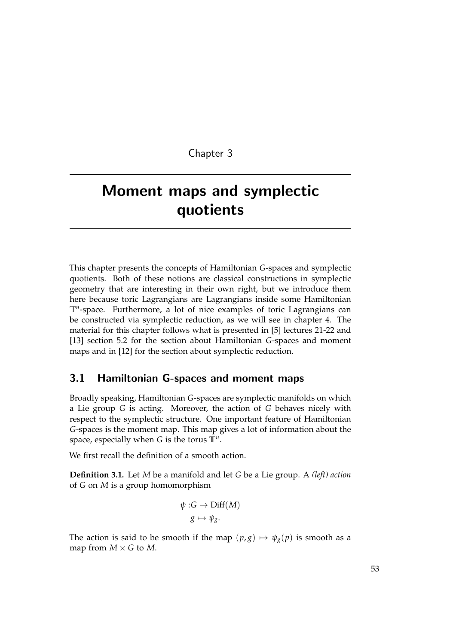Chapter 3

# Moment maps and symplectic quotients

This chapter presents the concepts of Hamiltonian *G*-spaces and symplectic quotients. Both of these notions are classical constructions in symplectic geometry that are interesting in their own right, but we introduce them here because toric Lagrangians are Lagrangians inside some Hamiltonian **T***<sup>n</sup>* -space. Furthermore, a lot of nice examples of toric Lagrangians can be constructed via symplectic reduction, as we will see in chapter [4.](#page-68-0) The material for this chapter follows what is presented in [\[5\]](#page-108-0) lectures 21-22 and [\[13\]](#page-109-0) section 5.2 for the section about Hamiltonian *G*-spaces and moment maps and in [\[12\]](#page-109-1) for the section about symplectic reduction.

### 3.1 Hamiltonian G-spaces and moment maps

Broadly speaking, Hamiltonian *G*-spaces are symplectic manifolds on which a Lie group *G* is acting. Moreover, the action of *G* behaves nicely with respect to the symplectic structure. One important feature of Hamiltonian *G*-spaces is the moment map. This map gives a lot of information about the space, especially when *G* is the torus **T***<sup>n</sup>* .

We first recall the definition of a smooth action.

**Definition 3.1.** Let *M* be a manifold and let *G* be a Lie group. A *(left) action* of *G* on *M* is a group homomorphism

$$
\psi : G \to \text{Diff}(M)
$$

$$
g \mapsto \psi_g.
$$

The action is said to be smooth if the map  $(p, g) \mapsto \psi_g(p)$  is smooth as a map from  $M \times G$  to  $M$ .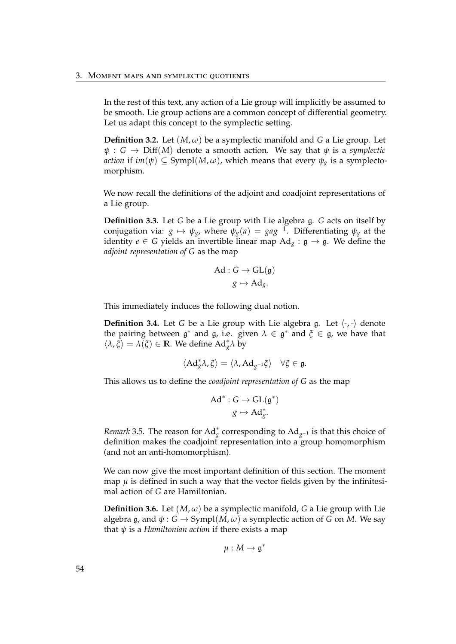In the rest of this text, any action of a Lie group will implicitly be assumed to be smooth. Lie group actions are a common concept of differential geometry. Let us adapt this concept to the symplectic setting.

**Definition 3.2.** Let  $(M, \omega)$  be a symplectic manifold and *G* a Lie group. Let  $\psi$ : *G*  $\rightarrow$  Diff(*M*) denote a smooth action. We say that  $\psi$  is a *symplectic action* if  $im(\psi) \subseteq Sympl(M, \omega)$ , which means that every  $\psi_g$  is a symplectomorphism.

We now recall the definitions of the adjoint and coadjoint representations of a Lie group.

**Definition 3.3.** Let *G* be a Lie group with Lie algebra g. *G* acts on itself by conjugation via:  $g \mapsto \psi_g$ , where  $\psi_g(a) = ga g^{-1}$ . Differentiating  $\psi_g$  at the identity  $e \in G$  yields an invertible linear map  $Ad_g : g \to g$ . We define the *adjoint representation of G* as the map

$$
\mathrm{Ad}: G \to \mathrm{GL}(\mathfrak{g})
$$

$$
g \mapsto \mathrm{Ad}_g.
$$

This immediately induces the following dual notion.

**Definition 3.4.** Let *G* be a Lie group with Lie algebra g. Let  $\langle \cdot, \cdot \rangle$  denote the pairing between  $\mathfrak{g}^*$  and  $\mathfrak{g}$ , i.e. given  $\lambda \in \mathfrak{g}^*$  and  $\xi \in \mathfrak{g}$ , we have that  $\langle \lambda, \xi \rangle = \lambda(\xi) \in \mathbb{R}$ . We define  $Ad_{g}^{*}\lambda$  by

$$
\langle \mathrm{Ad}_{g}^{*} \lambda, \xi \rangle = \langle \lambda, \mathrm{Ad}_{g^{-1}} \xi \rangle \quad \forall \xi \in \mathfrak{g}.
$$

This allows us to define the *coadjoint representation of G* as the map

$$
\mathrm{Ad}^* : G \to \mathrm{GL}(\mathfrak{g}^*)
$$

$$
g \mapsto \mathrm{Ad}^*_{g}.
$$

*Remark* 3.5. The reason for Ad<sup>\*</sup><sub>g</sub> corresponding to Ad<sub>g</sub><sup>−1</sup> is that this choice of definition makes the coadjoint representation into a group homomorphism (and not an anti-homomorphism).

We can now give the most important definition of this section. The moment map  $\mu$  is defined in such a way that the vector fields given by the infinitesimal action of *G* are Hamiltonian.

**Definition 3.6.** Let  $(M, \omega)$  be a symplectic manifold, *G* a Lie group with Lie algebra g, and  $\psi$  :  $G \rightarrow Sympl(M, \omega)$  a symplectic action of G on M. We say that *ψ* is a *Hamiltonian action* if there exists a map

$$
\mu:M\to\mathfrak{g}^*
$$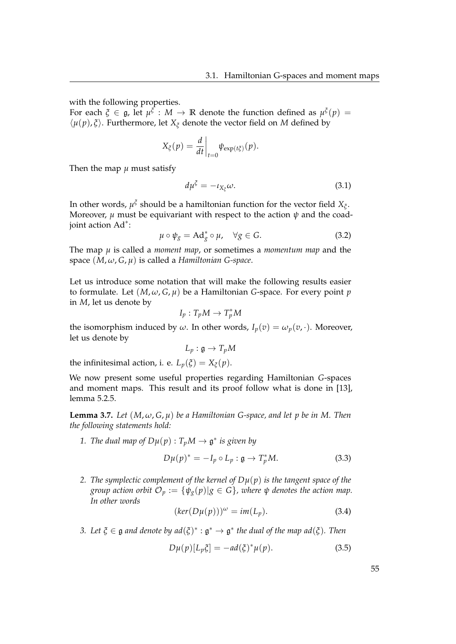with the following properties.

For each  $\xi \in \mathfrak{g}$ , let  $\mu^{\xi} : M \to \mathbb{R}$  denote the function defined as  $\mu^{\xi}(p) =$  $\langle \mu(p), \xi \rangle$ . Furthermore, let  $X_{\xi}$  denote the vector field on *M* defined by

$$
X_{\xi}(p) = \frac{d}{dt}\bigg|_{t=0} \psi_{\exp(t\xi)}(p).
$$

Then the map  $\mu$  must satisfy

<span id="page-60-0"></span>
$$
d\mu^{\xi} = -\iota_{X_{\xi}}\omega. \tag{3.1}
$$

In other words,  $\mu^{\xi}$  should be a hamiltonian function for the vector field  $X_{\xi}$ . Moreover,  $\mu$  must be equivariant with respect to the action  $\psi$  and the coadjoint action Ad<sup>∗</sup> :

$$
\mu \circ \psi_g = \mathrm{Ad}_g^* \circ \mu, \quad \forall g \in G. \tag{3.2}
$$

The map *µ* is called a *moment map*, or sometimes a *momentum map* and the space (*M*, *ω*, *G*, *µ*) is called a *Hamiltonian G-space*.

Let us introduce some notation that will make the following results easier to formulate. Let  $(M, \omega, G, \mu)$  be a Hamiltonian *G*-space. For every point *p* in *M*, let us denote by

$$
I_p: T_pM \to T_p^*M
$$

the isomorphism induced by  $\omega$ . In other words,  $I_p(v) = \omega_p(v, \cdot)$ . Moreover, let us denote by

$$
L_p: \mathfrak{g} \to T_pM
$$

the infinitesimal action, i. e.  $L_p(\xi) = X_\xi(p)$ .

We now present some useful properties regarding Hamiltonian *G*-spaces and moment maps. This result and its proof follow what is done in [\[13\]](#page-109-0), lemma 5.2.5.

<span id="page-60-2"></span>**Lemma 3.7.** Let  $(M, \omega, G, \mu)$  be a Hamiltonian G-space, and let p be in M. Then *the following statements hold:*

1. *The dual map of*  $D\mu(p)$  :  $T_pM \to \mathfrak{g}^*$  *is given by* 

<span id="page-60-1"></span>
$$
D\mu(p)^* = -I_p \circ L_p : \mathfrak{g} \to T_p^*M. \tag{3.3}
$$

*2. The symplectic complement of the kernel of Dµ*(*p*) *is the tangent space of the group action orbit*  $\mathcal{O}_p := \{ \psi_g(p) | g \in G \}$ , where  $\psi$  denotes the action map. *In other words*

$$
(\ker(D\mu(p)))^{\omega} = im(L_p). \tag{3.4}
$$

*3.* Let  $\xi \in \mathfrak{g}$  and denote by  $ad(\xi)^* : \mathfrak{g}^* \to \mathfrak{g}^*$  the dual of the map  $ad(\xi)$ . Then

$$
D\mu(p)[L_p\xi] = -ad(\xi)^*\mu(p). \tag{3.5}
$$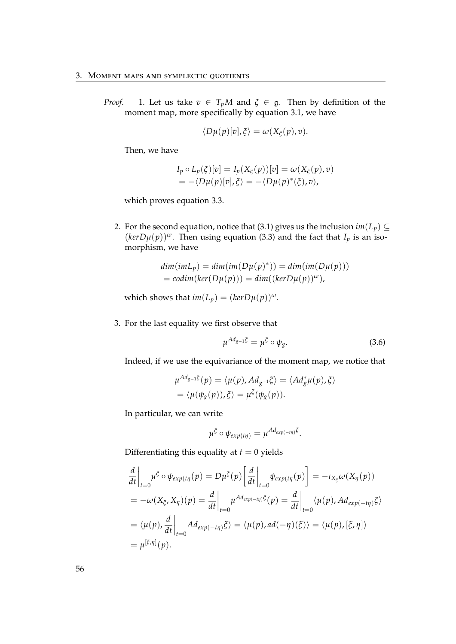*Proof.* 1. Let us take  $v \in T_pM$  and  $\xi \in \mathfrak{g}$ . Then by definition of the moment map, more specifically by equation [3.1,](#page-60-0) we have

$$
\langle D\mu(p)[v],\xi\rangle=\omega(X_{\xi}(p),v).
$$

Then, we have

$$
I_p \circ L_p(\xi)[v] = I_p(X_{\xi}(p))[v] = \omega(X_{\xi}(p), v)
$$
  
= -\langle D\mu(p)[v], \xi \rangle = -\langle D\mu(p)^\*(\xi), v \rangle,

which proves equation [3.3.](#page-60-1)

2. For the second equation, notice that [\(3.1\)](#page-60-0) gives us the inclusion  $im(L_p) \subseteq$  $(kerD\mu(p))^{\omega}$ . Then using equation [\(3.3\)](#page-60-1) and the fact that *I<sub>p</sub>* is an isomorphism, we have

$$
dim(imL_p) = dim(im(D\mu(p)^*)) = dim(im(D\mu(p)))
$$
  
= codim(ker(D\mu(p))) = dim((kerD\mu(p))^{\omega}),

which shows that  $im(L_p) = (kerD\mu(p))^{\omega}$ .

3. For the last equality we first observe that

$$
\mu^{Ad_{g-1}\xi} = \mu^{\xi} \circ \psi_g. \tag{3.6}
$$

Indeed, if we use the equivariance of the moment map, we notice that

$$
\mu^{Ad_{g-1}\xi}(p) = \langle \mu(p), Ad_{g^{-1}}\xi \rangle = \langle Ad_g^*\mu(p), \xi \rangle
$$
  
=  $\langle \mu(\psi_g(p)), \xi \rangle = \mu^{\xi}(\psi_g(p)).$ 

In particular, we can write

$$
\mu^{\xi} \circ \psi_{exp(t\eta)} = \mu^{Ad_{exp(-t\eta)}\xi}.
$$

Differentiating this equality at  $t = 0$  yields

$$
\frac{d}{dt}\Big|_{t=0} \mu^{\xi} \circ \psi_{exp(t\eta}(p) = D\mu^{\xi}(p) \Big[\frac{d}{dt}\Big|_{t=0} \psi_{exp(t\eta}(p)\Big] = -\iota_{X_{\xi}} \omega(X_{\eta}(p))
$$
\n
$$
= -\omega(X_{\xi}, X_{\eta})(p) = \frac{d}{dt}\Big|_{t=0} \mu^{Ad_{exp(-t\eta)}\xi}(p) = \frac{d}{dt}\Big|_{t=0} \langle \mu(p), Ad_{exp(-t\eta)}\xi \rangle
$$
\n
$$
= \langle \mu(p), \frac{d}{dt}\Big|_{t=0} Ad_{exp(-t\eta)}\xi \rangle = \langle \mu(p), ad(-\eta)(\xi) \rangle = \langle \mu(p), [\xi, \eta] \rangle
$$
\n
$$
= \mu^{[\xi, \eta]}(p).
$$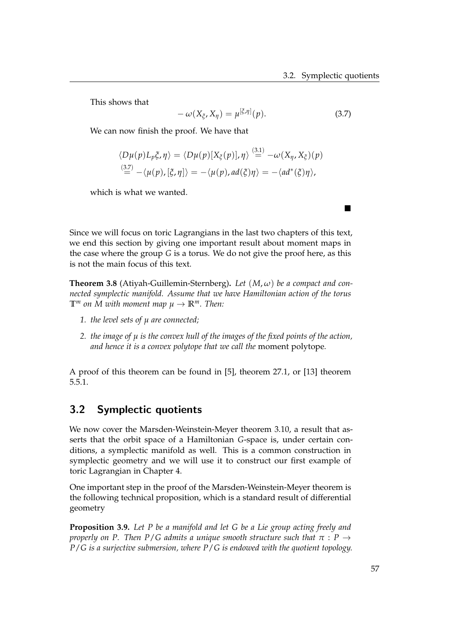This shows that

<span id="page-62-0"></span>
$$
-\omega(X_{\xi}, X_{\eta}) = \mu^{[\xi, \eta]}(p). \tag{3.7}
$$

We can now finish the proof. We have that

$$
\langle D\mu(p)L_p \xi, \eta \rangle = \langle D\mu(p)[X_{\xi}(p)], \eta \rangle \stackrel{(3.1)}{=} -\omega(X_{\eta}, X_{\xi})(p)
$$
  

$$
\stackrel{(3.7)}{=} -\langle \mu(p), [\xi, \eta] \rangle = -\langle \mu(p), ad(\xi)\eta \rangle = -\langle ad^*(\xi)\eta \rangle,
$$

which is what we wanted.

Since we will focus on toric Lagrangians in the last two chapters of this text, we end this section by giving one important result about moment maps in the case where the group *G* is a torus. We do not give the proof here, as this is not the main focus of this text.

**Theorem 3.8** (Atiyah-Guillemin-Sternberg). Let  $(M, \omega)$  be a compact and con*nected symplectic manifold. Assume that we have Hamiltonian action of the torus*  $\mathbb{T}^m$  *on M with moment map*  $\mu \to \mathbb{R}^m$ *. Then:* 

- *1. the level sets of µ are connected;*
- *2. the image of µ is the convex hull of the images of the fixed points of the action, and hence it is a convex polytope that we call the* moment polytope*.*

A proof of this theorem can be found in [\[5\]](#page-108-0), theorem 27.1, or [\[13\]](#page-109-0) theorem 5.5.1.

### 3.2 Symplectic quotients

We now cover the Marsden-Weinstein-Meyer theorem [3.10,](#page-63-0) a result that asserts that the orbit space of a Hamiltonian *G*-space is, under certain conditions, a symplectic manifold as well. This is a common construction in symplectic geometry and we will use it to construct our first example of toric Lagrangian in Chapter [4.](#page-68-0)

One important step in the proof of the Marsden-Weinstein-Meyer theorem is the following technical proposition, which is a standard result of differential geometry

<span id="page-62-1"></span>**Proposition 3.9.** *Let P be a manifold and let G be a Lie group acting freely and properly on P. Then P/G admits a unique smooth structure such that*  $\pi$  :  $P \rightarrow$ *P*/*G is a surjective submersion, where P*/*G is endowed with the quotient topology.*

 $\overline{\phantom{a}}$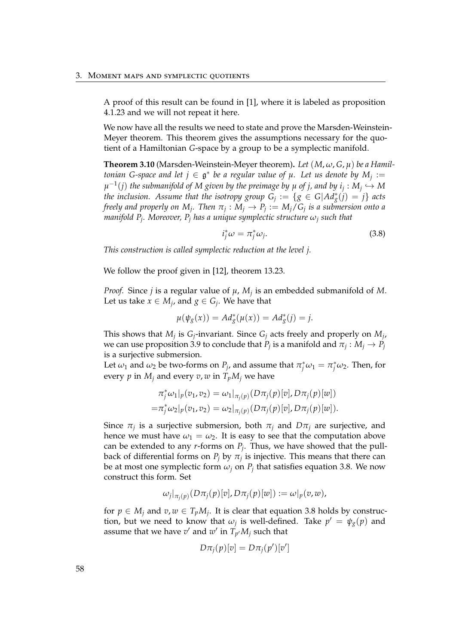A proof of this result can be found in [\[1\]](#page-108-1), where it is labeled as proposition 4.1.23 and we will not repeat it here.

We now have all the results we need to state and prove the Marsden-Weinstein-Meyer theorem. This theorem gives the assumptions necessary for the quotient of a Hamiltonian *G*-space by a group to be a symplectic manifold.

<span id="page-63-0"></span>**Theorem 3.10** (Marsden-Weinstein-Meyer theorem). Let  $(M, \omega, G, \mu)$  be a Hamil*tonian G-space and let*  $j \in \mathfrak{g}^*$  *be a regular value of*  $\mu$ *. Let us denote by*  $M_j :=$  $\mu^{-1}(j)$  the submanifold of M given by the preimage by  $\mu$  of  $j$ , and by  $i_j: M_j \hookrightarrow M$ *the inclusion.* Assume that the isotropy group  $G_j := \{g \in G | Ad_g^*(j) = j\}$  acts *freely and properly on*  $M_j$ *. Then*  $\pi_j : M_j \to P_j := M_j/G_j$  *is a submersion onto a manifold P<sup>j</sup> . Moreover, P<sup>j</sup> has a unique symplectic structure ω<sup>j</sup> such that*

<span id="page-63-1"></span>
$$
i_j^* \omega = \pi_j^* \omega_j. \tag{3.8}
$$

*This construction is called symplectic reduction at the level j.*

We follow the proof given in [\[12\]](#page-109-1), theorem 13.23.

*Proof.* Since *j* is a regular value of *µ*, *M<sup>j</sup>* is an embedded submanifold of *M*. Let us take  $x \in M_j$ , and  $g \in G_j$ . We have that

$$
\mu(\psi_g(x)) = Ad_g^*(\mu(x)) = Ad_g^*(j) = j.
$$

This shows that  $M_j$  is  $G_j$ -invariant. Since  $G_j$  acts freely and properly on  $M_j$ , we can use proposition [3.9](#page-62-1) to conclude that  $P_j$  is a manifold and  $\pi_j : M_j \to P_j$ is a surjective submersion.

Let  $\omega_1$  and  $\omega_2$  be two-forms on  $P_j$ , and assume that  $\pi_j^* \omega_1 = \pi_j^* \omega_2$ . Then, for every *p* in  $M_i$  and every  $v, w$  in  $T_pM_i$  we have

$$
\pi_j^* \omega_1|_p(v_1, v_2) = \omega_1|_{\pi_j(p)}(D\pi_j(p)[v], D\pi_j(p)[w])
$$
  
= 
$$
\pi_j^* \omega_2|_p(v_1, v_2) = \omega_2|_{\pi_j(p)}(D\pi_j(p)[v], D\pi_j(p)[w]).
$$

Since  $\pi_j$  is a surjective submersion, both  $\pi_j$  and  $D\pi_j$  are surjective, and hence we must have  $\omega_1 = \omega_2$ . It is easy to see that the computation above can be extended to any *r*-forms on *P<sup>j</sup>* . Thus, we have showed that the pullback of differential forms on  $P_j$  by  $\pi_j$  is injective. This means that there can be at most one symplectic form  $\omega_j$  on  $P_j$  that satisfies equation [3.8.](#page-63-1) We now construct this form. Set

$$
\omega_j|_{\pi_j(p)}(D\pi_j(p)[v], D\pi_j(p)[w]) := \omega|_p(v,w),
$$

for  $p \in M_j$  and  $v, w \in T_pM_j$ . It is clear that equation [3.8](#page-63-1) holds by construction, but we need to know that  $\omega_j$  is well-defined. Take  $p' = \psi_g(p)$  and assume that we have  $v'$  and  $w'$  in  $T_{p'}M_j$  such that

$$
D\pi_j(p)[v] = D\pi_j(p')[v']
$$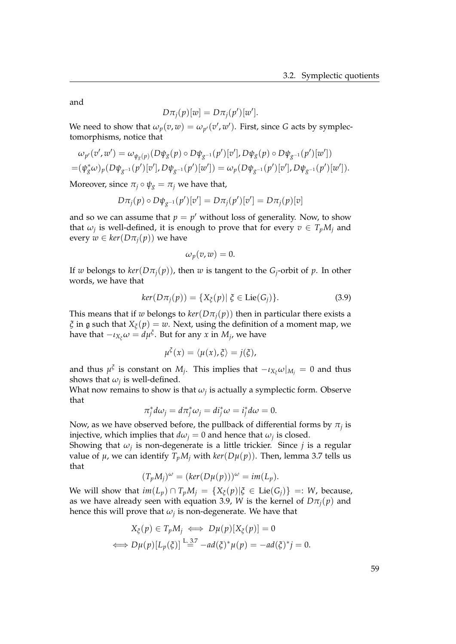and

$$
D\pi_j(p)[w] = D\pi_j(p')[w'].
$$

We need to show that  $\omega_p(v,w) = \omega_{p'}(v',w')$ . First, since *G* acts by symplectomorphisms, notice that

$$
\omega_{p'}(v',w') = \omega_{\psi_g(p)}(D\psi_g(p) \circ D\psi_{g^{-1}}(p')[v'], D\psi_g(p) \circ D\psi_{g^{-1}}(p')[w'])
$$
  
=  $(\psi_g^*\omega)_p(D\psi_{g^{-1}}(p')[v'], D\psi_{g^{-1}}(p')[w']) = \omega_p(D\psi_{g^{-1}}(p')[v'], D\psi_{g^{-1}}(p')[w']).$ 

Moreover, since  $\pi_j \circ \psi_g = \pi_j$  we have that,

$$
D\pi_j(p) \circ D\psi_{g^{-1}}(p')[v'] = D\pi_j(p')[v'] = D\pi_j(p)[v]
$$

and so we can assume that  $p = p'$  without loss of generality. Now, to show that  $\omega_j$  is well-defined, it is enough to prove that for every  $v \in T_pM_j$  and every  $w \in \text{ker}(D\pi_i(p))$  we have

$$
\omega_p(v,w)=0.
$$

If *w* belongs to  $\ker(D\pi_j(p))$ , then *w* is tangent to the *G*<sub>*j*</sub>-orbit of *p*. In other words, we have that

<span id="page-64-0"></span>
$$
ker(D\pi_j(p)) = \{X_{\xi}(p) | \xi \in Lie(G_j)\}.
$$
 (3.9)

This means that if *w* belongs to  $\text{ker}(D\pi_i(p))$  then in particular there exists a *ξ* in g such that *X<sup>ξ</sup>* (*p*) = *w*. Next, using the definition of a moment map, we have that  $-\iota_{X_{\xi}}\omega = d\mu^{\xi}$ . But for any  $x$  in  $M_j$ , we have

$$
\mu^{\xi}(x) = \langle \mu(x), \xi \rangle = j(\xi),
$$

and thus  $\mu^{\xi}$  is constant on  $M_j$ . This implies that  $-\iota_{X_{\xi}}\omega|_{M_j} = 0$  and thus shows that  $\omega_j$  is well-defined.

What now remains to show is that  $\omega_j$  is actually a symplectic form. Observe that

$$
\pi_j^* d\omega_j = d\pi_j^* \omega_j = d i_j^* \omega = i_j^* d\omega = 0.
$$

Now, as we have observed before, the pullback of differential forms by  $\pi_j$  is injective, which implies that  $d\omega_j = 0$  and hence that  $\omega_j$  is closed.

Showing that *ω<sup>j</sup>* is non-degenerate is a little trickier. Since *j* is a regular value of  $\mu$ , we can identify  $T_pM_i$  with  $\ker(D\mu(p))$ . Then, lemma [3.7](#page-60-2) tells us that

$$
(T_pM_j)^{\omega} = (ker(D\mu(p)))^{\omega} = im(L_p).
$$

We will show that  $im(L_p) \cap T_p M_j = \{X_{\xi}(p) | \xi \in Lie(G_j)\} =: W$ , because, as we have already seen with equation [3.9,](#page-64-0) *W* is the kernel of  $D\pi_i(p)$  and hence this will prove that  $\omega_j$  is non-degenerate. We have that

$$
X_{\xi}(p) \in T_p M_j \iff D\mu(p)[X_{\xi}(p)] = 0
$$
  

$$
\iff D\mu(p)[L_p(\xi)] \stackrel{\text{L.3.7}}{=} -ad(\xi)^*\mu(p) = -ad(\xi)^*j = 0.
$$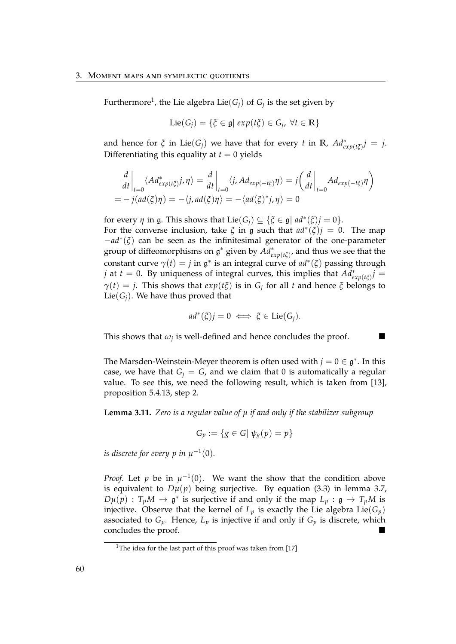Furthermore<sup>[1](#page-65-0)</sup>, the Lie algebra Lie $(G_j)$  of  $G_j$  is the set given by

$$
\text{Lie}(G_j) = \{ \xi \in \mathfrak{g} \mid \exp(t\xi) \in G_j, \ \forall t \in \mathbb{R} \}
$$

and hence for  $\xi$  in Lie( $G_j$ ) we have that for every *t* in **R**,  $Ad^*_{exp(t\xi)}j = j$ . Differentiating this equality at  $t = 0$  yields

$$
\frac{d}{dt}\Big|_{t=0} \langle Ad^*_{exp(t\xi)}j, \eta \rangle = \frac{d}{dt}\Big|_{t=0} \langle j, Ad_{exp(-t\xi)}\eta \rangle = j\left(\frac{d}{dt}\Big|_{t=0} Ad_{exp(-t\xi)}\eta\right)
$$
  
=  $-j(ad(\xi)\eta) = -\langle j, ad(\xi)\eta \rangle = -\langle ad(\xi)^*j, \eta \rangle = 0$ 

for every  $\eta$  in  $\mathfrak{g}$ . This shows that  $Lie(G_j) \subseteq {\{\xi \in \mathfrak{g} \mid ad^*(\xi)j = 0\}}$ . For the converse inclusion, take  $\zeta$  in  $\zeta$  such that  $ad^*(\zeta)j = 0$ . The map −*ad*<sup>∗</sup> (*ξ*) can be seen as the infinitesimal generator of the one-parameter group of diffeomorphisms on  $\mathfrak{g}^*$  given by  $\overline{Ad}^*_{exp(t\xi)}$ , and thus we see that the constant curve  $\gamma(t) = j$  in  $\mathfrak{g}^*$  is an integral curve of  $ad^*(\xi)$  passing through *j* at *t* = 0. By uniqueness of integral curves, this implies that  $Ad_{exp(t\xi)}^*j =$ *γ*(*t*) = *j*. This shows that  $exp(t\zeta)$  is in  $G_j$  for all *t* and hence *ξ* belongs to Lie( $G_i$ ). We have thus proved that

$$
ad^*(\xi)j=0 \iff \xi \in \mathrm{Lie}(G_j).
$$

This shows that  $\omega_j$  is well-defined and hence concludes the proof.

The Marsden-Weinstein-Meyer theorem is often used with  $j = 0 \in \mathfrak{g}^*$ . In this case, we have that  $G_i = G$ , and we claim that 0 is automatically a regular value. To see this, we need the following result, which is taken from [\[13\]](#page-109-0), proposition 5.4.13, step 2.

<span id="page-65-1"></span>**Lemma 3.11.** *Zero is a regular value of µ if and only if the stabilizer subgroup*

$$
G_p := \{ g \in G | \psi_g(p) = p \}
$$

*is discrete for every p in*  $\mu^{-1}(0)$ *.* 

*Proof.* Let *p* be in  $\mu^{-1}(0)$ . We want the show that the condition above is equivalent to  $D\mu(p)$  being surjective. By equation [\(3.3\)](#page-60-1) in lemma [3.7,](#page-60-2)  $D\mu(p)$  :  $T_pM \to \mathfrak{g}^*$  is surjective if and only if the map  $L_p : \mathfrak{g} \to T_pM$  is injective. Observe that the kernel of  $L_p$  is exactly the Lie algebra  $Lie(G_p)$ associated to  $G_p$ . Hence,  $L_p$  is injective if and only if  $G_p$  is discrete, which concludes the proof.

<span id="page-65-0"></span><sup>&</sup>lt;sup>1</sup>The idea for the last part of this proof was taken from [\[17\]](#page-109-2)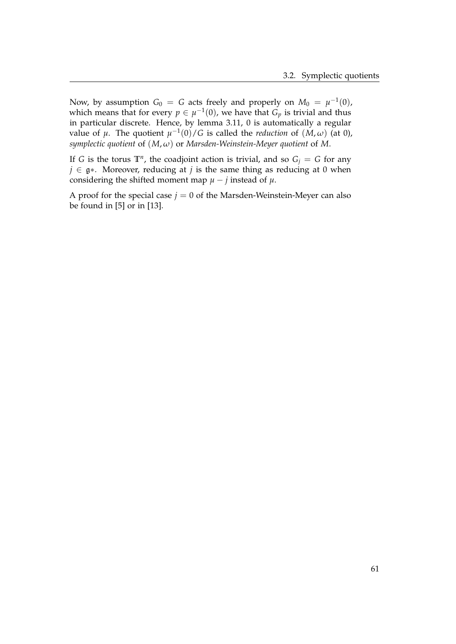Now, by assumption  $G_0 = G$  acts freely and properly on  $M_0 = \mu^{-1}(0)$ , which means that for every  $p \in \mu^{-1}(0)$ , we have that  $G_p$  is trivial and thus in particular discrete. Hence, by lemma [3.11,](#page-65-1) 0 is automatically a regular value of  $\mu$ . The quotient  $\mu^{-1}(0)/G$  is called the *reduction* of  $(M, \omega)$  (at 0), *symplectic quotient* of (*M*, *ω*) or *Marsden-Weinstein-Meyer quotient* of *M*.

If *G* is the torus  $\mathbb{T}^n$ , the coadjoint action is trivial, and so  $G_j = G$  for any *j* ∈ g∗. Moreover, reducing at *j* is the same thing as reducing at 0 when considering the shifted moment map  $\mu - j$  instead of  $\mu$ .

A proof for the special case  $j = 0$  of the Marsden-Weinstein-Meyer can also be found in [\[5\]](#page-108-0) or in [\[13\]](#page-109-0).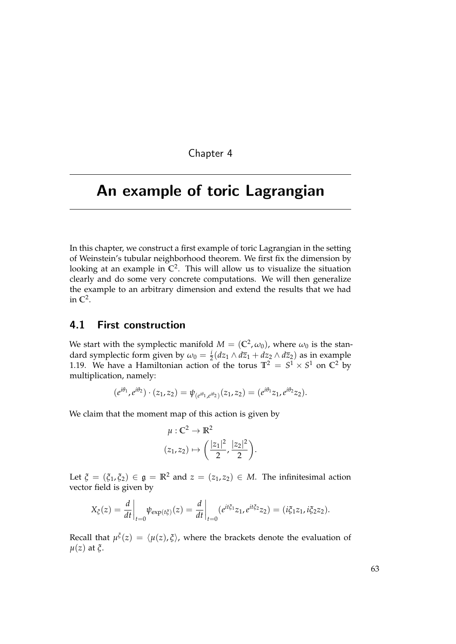Chapter 4

# <span id="page-68-0"></span>An example of toric Lagrangian

In this chapter, we construct a first example of toric Lagrangian in the setting of Weinstein's tubular neighborhood theorem. We first fix the dimension by looking at an example in **C**<sup>2</sup> . This will allow us to visualize the situation clearly and do some very concrete computations. We will then generalize the example to an arbitrary dimension and extend the results that we had in **C**<sup>2</sup> .

### 4.1 First construction

We start with the symplectic manifold  $M = (\mathbb{C}^2, \omega_0)$ , where  $\omega_0$  is the standard symplectic form given by  $\omega_0 = \frac{i}{2} (dz_1 \wedge d\overline{z}_1 + dz_2 \wedge d\overline{z}_2)$  as in example [1.19.](#page-17-0) We have a Hamiltonian action of the torus  $\mathbb{T}^2 = S^1 \times S^1$  on  $\mathbb{C}^2$  by multiplication, namely:

$$
(e^{i\theta_1}, e^{i\theta_2}) \cdot (z_1, z_2) = \psi_{(e^{i\theta_1}, e^{i\theta_2})}(z_1, z_2) = (e^{i\theta_1}z_1, e^{i\theta_2}z_2).
$$

We claim that the moment map of this action is given by

$$
\mu: \mathbb{C}^2 \to \mathbb{R}^2
$$

$$
(z_1, z_2) \mapsto \left(\frac{|z_1|^2}{2}, \frac{|z_2|^2}{2}\right).
$$

Let  $\xi = (\xi_1, \xi_2) \in \mathfrak{g} = \mathbb{R}^2$  and  $z = (z_1, z_2) \in M$ . The infinitesimal action vector field is given by

$$
X_{\xi}(z) = \frac{d}{dt}\bigg|_{t=0} \psi_{\exp(t\xi)}(z) = \frac{d}{dt}\bigg|_{t=0} (e^{it\xi_1}z_1, e^{it\xi_2}z_2) = (i\xi_1z_1, i\xi_2z_2).
$$

Recall that  $\mu^{\xi}(z) = \langle \mu(z), \xi \rangle$ , where the brackets denote the evaluation of *µ*(*z*) at *ξ*.

63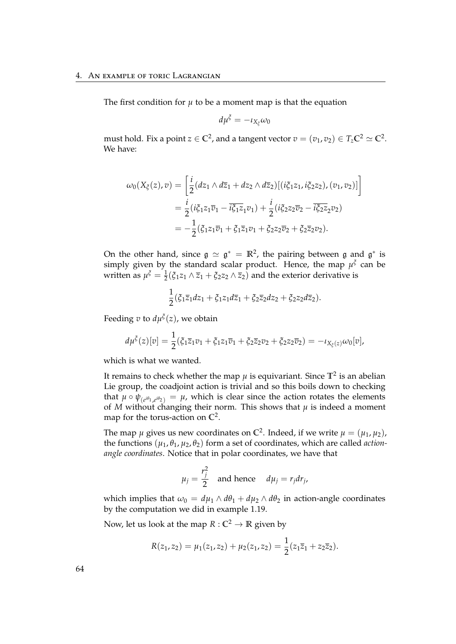The first condition for  $\mu$  to be a moment map is that the equation

$$
d\mu^{\xi}=-\iota_{X_{\xi}}\omega_0
$$

must hold. Fix a point  $z \in \mathbb{C}^2$ , and a tangent vector  $v = (v_1, v_2) \in T_z\mathbb{C}^2 \simeq \mathbb{C}^2$ . We have:

$$
\omega_0(X_{\xi}(z), v) = \left[\frac{i}{2}(dz_1 \wedge d\overline{z}_1 + dz_2 \wedge d\overline{z}_2)[(i\xi_1 z_1, i\xi_2 z_2), (v_1, v_2)]\right]
$$
  
=  $\frac{i}{2}(i\xi_1 z_1 \overline{v}_1 - i\overline{\xi_1 z}_1 v_1) + \frac{i}{2}(i\xi_2 z_2 \overline{v}_2 - i\overline{\xi_2 z}_2 v_2)$   
=  $-\frac{1}{2}(\xi_1 z_1 \overline{v}_1 + \xi_1 \overline{z}_1 v_1 + \xi_2 z_2 \overline{v}_2 + \xi_2 \overline{z}_2 v_2).$ 

On the other hand, since  $\mathfrak{g} \simeq \mathfrak{g}^* = \mathbb{R}^2$ , the pairing between  $\mathfrak g$  and  $\mathfrak{g}^*$  is simply given by the standard scalar product. Hence, the map  $\mu^{\xi}$  can be written as  $\mu^{\xi} = \frac{1}{2}(\xi_1 z_1 \wedge \overline{z}_1 + \xi_2 z_2 \wedge \overline{z}_2)$  and the exterior derivative is

$$
\frac{1}{2}(\xi_1\overline{z}_1dz_1+\xi_1z_1d\overline{z}_1+\xi_2\overline{z}_2dz_2+\xi_2z_2d\overline{z}_2).
$$

Feeding *v* to  $d\mu^{\xi}(z)$ , we obtain

$$
d\mu^{\xi}(z)[v] = \frac{1}{2}(\xi_1\overline{z}_1v_1 + \xi_1z_1\overline{v}_1 + \xi_2\overline{z}_2v_2 + \xi_2z_2\overline{v}_2) = -\iota_{X_{\xi}(z)}\omega_0[v],
$$

which is what we wanted.

It remains to check whether the map  $\mu$  is equivariant. Since  $\mathbb{T}^2$  is an abelian Lie group, the coadjoint action is trivial and so this boils down to checking that  $\mu \circ \psi_{(e^{i\theta_1}, e^{i\theta_2})} = \mu$ , which is clear since the action rotates the elements of *M* without changing their norm. This shows that  $\mu$  is indeed a moment map for the torus-action on **C**<sup>2</sup> .

The map  $\mu$  gives us new coordinates on  $\mathbb{C}^2$ . Indeed, if we write  $\mu = (\mu_1, \mu_2)$ , the functions  $(\mu_1, \theta_1, \mu_2, \theta_2)$  form a set of coordinates, which are called *actionangle coordinates*. Notice that in polar coordinates, we have that

$$
\mu_j = \frac{r_j^2}{2}
$$
 and hence  $d\mu_j = r_j dr_j$ ,

which implies that  $\omega_0 = d\mu_1 \wedge d\theta_1 + d\mu_2 \wedge d\theta_2$  in action-angle coordinates by the computation we did in example [1.19.](#page-17-0)

Now, let us look at the map  $R : \mathbb{C}^2 \to \mathbb{R}$  given by

$$
R(z_1, z_2) = \mu_1(z_1, z_2) + \mu_2(z_1, z_2) = \frac{1}{2}(z_1\overline{z}_1 + z_2\overline{z}_2).
$$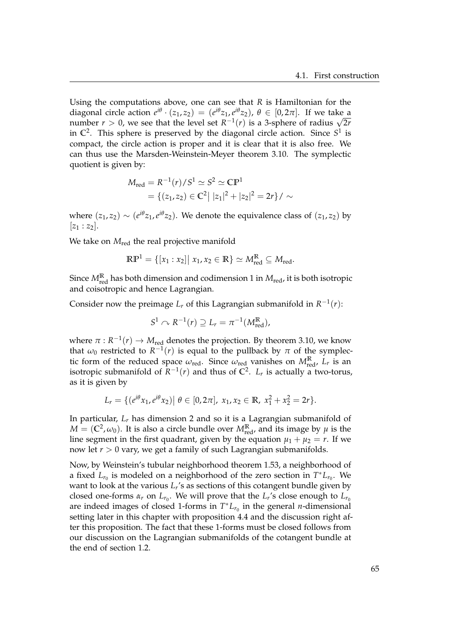Using the computations above, one can see that *R* is Hamiltonian for the diagonal circle action  $e^{i\theta} \cdot (z_1, z_2) = (e^{i\theta} z_1, e^{i\theta} z_2), \theta \in [0, 2\pi]$ . If we take a diagonal circle action  $e^x \cdot (z_1, z_2) = (e^x z_1, e^x z_2), \, \theta \in [0, 2\pi]$ . If we take a number  $r > 0$ , we see that the level set  $R^{-1}(r)$  is a 3-sphere of radius  $\sqrt{2r}$ in  $\mathbb{C}^2$ . This sphere is preserved by the diagonal circle action. Since  $S^1$  is compact, the circle action is proper and it is clear that it is also free. We can thus use the Marsden-Weinstein-Meyer theorem [3.10.](#page-63-0) The symplectic quotient is given by:

$$
M_{\text{red}} = R^{-1}(r)/S^1 \simeq S^2 \simeq \mathbb{CP}^1
$$
  
= { $(z_1, z_2) \in \mathbb{C}^2 | |z_1|^2 + |z_2|^2 = 2r$  } / \sim

where  $(z_1, z_2) \sim (e^{i\theta} z_1, e^{i\theta} z_2)$ . We denote the equivalence class of  $(z_1, z_2)$  by  $|z_1 : z_2|$ .

We take on *M*<sub>red</sub> the real projective manifold

$$
\mathbb{RP}^1 = \{ [x_1 : x_2] | x_1, x_2 \in \mathbb{R} \} \simeq M_{\text{red}}^{\mathbb{R}} \subseteq M_{\text{red}}.
$$

Since  $M^{\mathbb{R}}_{\text{red}}$  has both dimension and codimension 1 in  $M_{\text{red}}$ , it is both isotropic and coisotropic and hence Lagrangian.

Consider now the preimage  $L_r$  of this Lagrangian submanifold in  $R^{-1}(r)$ :

$$
S^1 \cap R^{-1}(r) \supseteq L_r = \pi^{-1}(M_{\text{red}}^{\mathbb{R}}),
$$

where  $\pi$  :  $R^{-1}(r) \to M_{\text{red}}$  denotes the projection. By theorem [3.10,](#page-63-0) we know that  $\omega_0$  restricted to  $R^{-1}(r)$  is equal to the pullback by  $\pi$  of the symplectic form of the reduced space  $\omega_{\text{red}}$ . Since  $\omega_{\text{red}}$  vanishes on  $M_{\text{red}}^{\mathbb{R}}$ ,  $L_r$  is an isotropic submanifold of  $\overline{R}^{-1}(r)$  and thus of  $\mathbb{C}^2$ .  $L_r$  is actually a two-torus, as it is given by

$$
L_r = \{ (e^{i\theta} x_1, e^{i\theta} x_2) | \theta \in [0, 2\pi], x_1, x_2 \in \mathbb{R}, x_1^2 + x_2^2 = 2r \}.
$$

In particular, *L<sup>r</sup>* has dimension 2 and so it is a Lagrangian submanifold of  $M = (\mathbb{C}^2, \omega_0)$ . It is also a circle bundle over  $M_{\text{red}}^{\mathbb{R}}$ , and its image by  $\mu$  is the line segment in the first quadrant, given by the equation  $\mu_1 + \mu_2 = r$ . If we now let *r* > 0 vary, we get a family of such Lagrangian submanifolds.

Now, by Weinstein's tubular neighborhood theorem [1.53,](#page-37-0) a neighborhood of a fixed  $L_{r_0}$  is modeled on a neighborhood of the zero section in  $T^*L_{r_0}$ . We want to look at the various *L<sup>r</sup>* 's as sections of this cotangent bundle given by closed one-forms  $\alpha_r$  on  $L_{r_0}$ . We will prove that the  $L_r$ 's close enough to  $L_{r_0}$ are indeed images of closed 1-forms in  $T^*L_{r_0}$  in the general *n*-dimensional setting later in this chapter with proposition [4.4](#page-75-0) and the discussion right after this proposition. The fact that these 1-forms must be closed follows from our discussion on the Lagrangian submanifolds of the cotangent bundle at the end of section [1.2.](#page-16-0)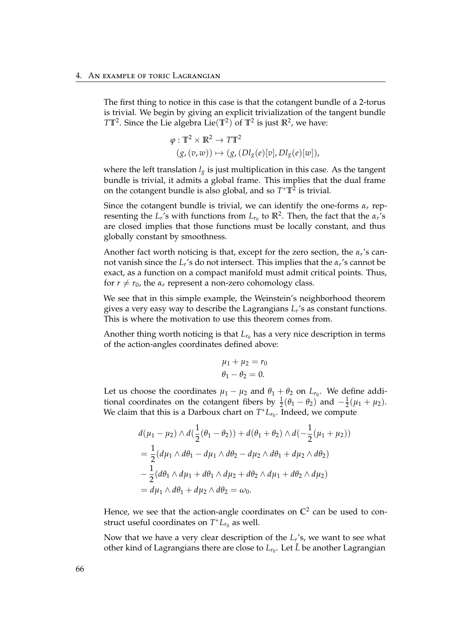The first thing to notice in this case is that the cotangent bundle of a 2-torus is trivial. We begin by giving an explicit trivialization of the tangent bundle  $TT^2$ . Since the Lie algebra Lie( $\mathbb{T}^2$ ) of  $\mathbb{T}^2$  is just  $\mathbb{R}^2$ , we have:

$$
\varphi: \mathbb{T}^2 \times \mathbb{R}^2 \to T\mathbb{T}^2
$$
  

$$
(g, (v, w)) \mapsto (g, (Dl_g(e)[v], Dl_g(e)[w]),
$$

where the left translation  $l_g$  is just multiplication in this case. As the tangent bundle is trivial, it admits a global frame. This implies that the dual frame on the cotangent bundle is also global, and so  $T^*T^2$  is trivial.

Since the cotangent bundle is trivial, we can identify the one-forms *α<sup>r</sup>* representing the  $L_r$ 's with functions from  $L_{r_0}$  to  $\mathbb{R}^2$ . Then, the fact that the  $\alpha_r$ 's are closed implies that those functions must be locally constant, and thus globally constant by smoothness.

Another fact worth noticing is that, except for the zero section, the *α<sup>r</sup>* 's cannot vanish since the *L<sup>r</sup>* 's do not intersect. This implies that the *α<sup>r</sup>* 's cannot be exact, as a function on a compact manifold must admit critical points. Thus, for  $r \neq r_0$ , the  $\alpha_r$  represent a non-zero cohomology class.

We see that in this simple example, the Weinstein's neighborhood theorem gives a very easy way to describe the Lagrangians *L<sup>r</sup>* 's as constant functions. This is where the motivation to use this theorem comes from.

Another thing worth noticing is that  $L_{r_0}$  has a very nice description in terms of the action-angles coordinates defined above:

$$
\mu_1 + \mu_2 = r_0
$$
  

$$
\theta_1 - \theta_2 = 0.
$$

Let us choose the coordinates  $\mu_1 - \mu_2$  and  $\theta_1 + \theta_2$  on  $L_{r_0}$ . We define additional coordinates on the cotangent fibers by  $\frac{1}{2}(\theta_1 - \theta_2)$  and  $-\frac{1}{2}(\mu_1 + \mu_2)$ . We claim that this is a Darboux chart on  $T^*L_{r_0}$ . Indeed, we compute

$$
d(\mu_1 - \mu_2) \wedge d(\frac{1}{2}(\theta_1 - \theta_2)) + d(\theta_1 + \theta_2) \wedge d(-\frac{1}{2}(\mu_1 + \mu_2))
$$
  
=  $\frac{1}{2}(d\mu_1 \wedge d\theta_1 - d\mu_1 \wedge d\theta_2 - d\mu_2 \wedge d\theta_1 + d\mu_2 \wedge d\theta_2)$   
 $-\frac{1}{2}(d\theta_1 \wedge d\mu_1 + d\theta_1 \wedge d\mu_2 + d\theta_2 \wedge d\mu_1 + d\theta_2 \wedge d\mu_2)$   
=  $d\mu_1 \wedge d\theta_1 + d\mu_2 \wedge d\theta_2 = \omega_0.$ 

Hence, we see that the action-angle coordinates on  $\mathbb{C}^2$  can be used to construct useful coordinates on  $T^*L_{r_0}$  as well.

Now that we have a very clear description of the *L<sup>r</sup>* 's, we want to see what other kind of Lagrangians there are close to  $L_{r_0}$ . Let  $\tilde{L}$  be another Lagrangian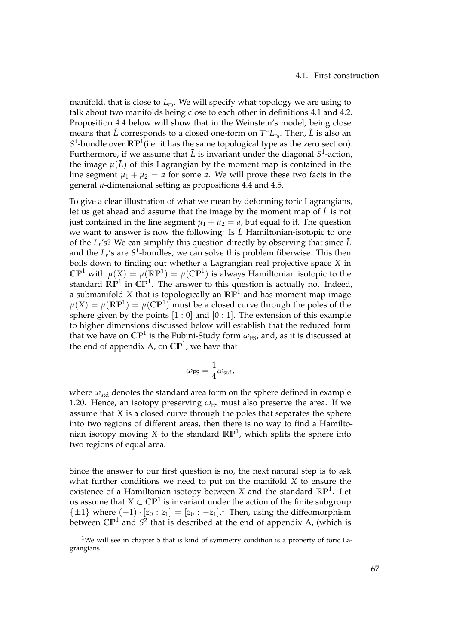manifold, that is close to  $L_{r_0}$ . We will specify what topology we are using to talk about two manifolds being close to each other in definitions [4.1](#page-74-0) and [4.2.](#page-74-1) Proposition [4.4](#page-75-0) below will show that in the Weinstein's model, being close means that  $\tilde{L}$  corresponds to a closed one-form on  $T^*L_{r_0}$ . Then,  $\tilde{L}$  is also an  $S^1$ -bundle over  $\mathbb{RP}^1$  (i.e. it has the same topological type as the zero section). Furthermore, if we assume that  $\tilde{L}$  is invariant under the diagonal  $S^1$ -action, the image  $\mu(\tilde{L})$  of this Lagrangian by the moment map is contained in the line segment  $\mu_1 + \mu_2 = a$  for some *a*. We will prove these two facts in the general *n*-dimensional setting as propositions [4.4](#page-75-0) and [4.5.](#page-76-0)

To give a clear illustration of what we mean by deforming toric Lagrangians, let us get ahead and assume that the image by the moment map of *L*˜ is not just contained in the line segment  $\mu_1 + \mu_2 = a$ , but equal to it. The question we want to answer is now the following: Is  $\tilde{L}$  Hamiltonian-isotopic to one of the *L<sup>r</sup>* 's? We can simplify this question directly by observing that since *L*˜ and the  $L_r$ 's are  $S^1$ -bundles, we can solve this problem fiberwise. This then boils down to finding out whether a Lagrangian real projective space *X* in  $\mathbb{CP}^1$  with  $\mu(X) = \mu(\mathbb{RP}^1) = \mu(\mathbb{CP}^1)$  is always Hamiltonian isotopic to the standard **RP**<sup>1</sup> in **CP**<sup>1</sup> . The answer to this question is actually no. Indeed, a submanifold *X* that is topologically an **RP**<sup>1</sup> and has moment map image  $\mu(X) = \mu(\mathbb{RP}^1) = \mu(\mathbb{CP}^1)$  must be a closed curve through the poles of the sphere given by the points  $[1:0]$  and  $[0:1]$ . The extension of this example to higher dimensions discussed below will establish that the reduced form that we have on  $\mathbb{CP}^1$  is the Fubini-Study form  $\omega_{\text{FS}}$ , and, as it is discussed at the end of appendix [A,](#page-100-0) on **CP**<sup>1</sup> , we have that

$$
\omega_{\rm FS} = \frac{1}{4}\omega_{\rm std},
$$

where  $\omega_{\text{std}}$  denotes the standard area form on the sphere defined in example [1.20.](#page-17-0) Hence, an isotopy preserving  $\omega_{FS}$  must also preserve the area. If we assume that *X* is a closed curve through the poles that separates the sphere into two regions of different areas, then there is no way to find a Hamiltonian isotopy moving *X* to the standard **RP**<sup>1</sup> , which splits the sphere into two regions of equal area.

Since the answer to our first question is no, the next natural step is to ask what further conditions we need to put on the manifold *X* to ensure the existence of a Hamiltonian isotopy between *X* and the standard **RP**<sup>1</sup> . Let us assume that  $X\subset\mathbb{CP}^1$  is invariant under the action of the finite subgroup  $\{\pm 1\}$  $\{\pm 1\}$  $\{\pm 1\}$  where  $(-1) \cdot [z_0 : z_1] = [z_0 : -z_1]$ .<sup>1</sup> Then, using the diffeomorphism between  $\mathbb{CP}^1$  and  $S^2$  that is described at the end of appendix [A,](#page-100-0) (which is

<span id="page-72-0"></span><sup>&</sup>lt;sup>1</sup>We will see in chapter [5](#page-80-0) that is kind of symmetry condition is a property of toric Lagrangians.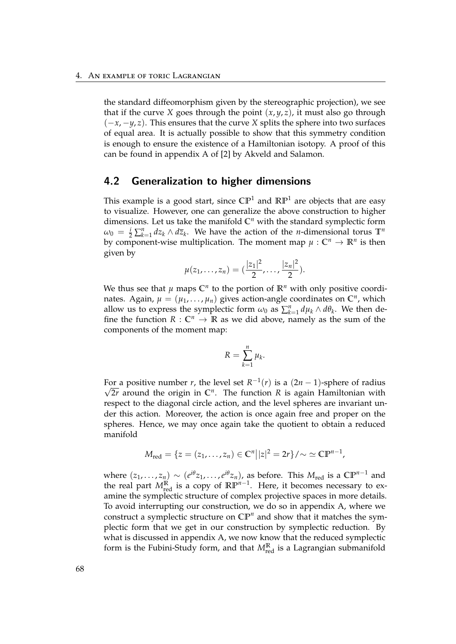the standard diffeomorphism given by the stereographic projection), we see that if the curve *X* goes through the point  $(x, y, z)$ , it must also go through (−*x*, −*y*, *z*). This ensures that the curve *X* splits the sphere into two surfaces of equal area. It is actually possible to show that this symmetry condition is enough to ensure the existence of a Hamiltonian isotopy. A proof of this can be found in appendix A of [\[2\]](#page-108-0) by Akveld and Salamon.

#### 4.2 Generalization to higher dimensions

This example is a good start, since  $\mathbb{CP}^1$  and  $\mathbb{RP}^1$  are objects that are easy to visualize. However, one can generalize the above construction to higher dimensions. Let us take the manifold  $\mathbb{C}^n$  with the standard symplectic form  $\omega_0 = \frac{i}{2} \sum_{k=1}^n dz_k \wedge d\overline{z}_k$ . We have the action of the *n*-dimensional torus  $\mathbb{T}^n$ by component-wise multiplication. The moment map  $\mu: \mathbb{C}^n \to \mathbb{R}^n$  is then given by

$$
\mu(z_1,\ldots,z_n)=(\frac{|z_1|^2}{2},\ldots,\frac{|z_n|^2}{2}).
$$

We thus see that  $\mu$  maps  $\mathbb{C}^n$  to the portion of  $\mathbb{R}^n$  with only positive coordinates. Again,  $\mu = (\mu_1, \dots, \mu_n)$  gives action-angle coordinates on  $\mathbb{C}^n$ , which allow us to express the symplectic form  $\omega_0$  as  $\sum_{k=1}^n d\mu_k \wedge d\theta_k$ . We then define the function  $R: \mathbb{C}^n \to \mathbb{R}$  as we did above, namely as the sum of the components of the moment map:

$$
R=\sum_{k=1}^n\mu_k.
$$

For a positive number *r*, the level set  $R^{-1}(r)$  is a  $(2n - 1)$ -sphere of radius 2*r* around the origin in **C***<sup>n</sup>* . The function *R* is again Hamiltonian with respect to the diagonal circle action, and the level spheres are invariant under this action. Moreover, the action is once again free and proper on the spheres. Hence, we may once again take the quotient to obtain a reduced manifold

$$
M_{\rm red} = \{ z = (z_1, \ldots, z_n) \in \mathbb{C}^n | |z|^2 = 2r \}/\!sim \simeq \mathbb{CP}^{n-1},
$$

where  $(z_1, \ldots, z_n) \sim (e^{i\theta}z_1, \ldots, e^{i\theta}z_n)$ , as before. This  $M_{\text{red}}$  is a  $\mathbb{CP}^{n-1}$  and the real part  $M_{\text{red}}^{\mathbb{R}}$  is a copy of  $\mathbb{RP}^{n-1}$ . Here, it becomes necessary to examine the symplectic structure of complex projective spaces in more details. To avoid interrupting our construction, we do so in appendix [A,](#page-100-0) where we construct a symplectic structure on **CP***<sup>n</sup>* and show that it matches the symplectic form that we get in our construction by symplectic reduction. By what is discussed in appendix [A,](#page-100-0) we now know that the reduced symplectic form is the Fubini-Study form, and that  $M_{\text{red}}^{\mathbb{R}}$  is a Lagrangian submanifold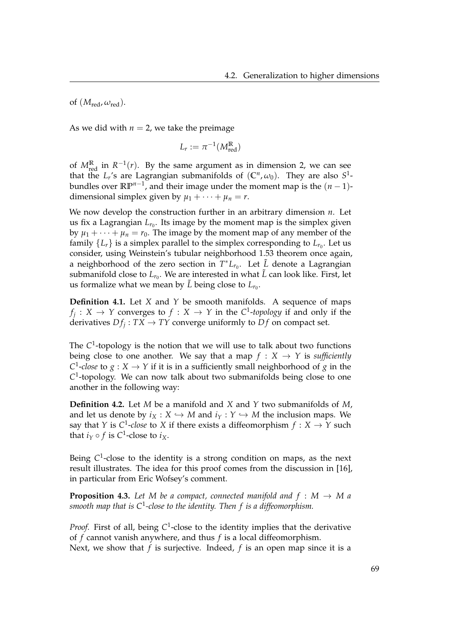of  $(M_{\text{red}}, \omega_{\text{red}})$ .

As we did with  $n = 2$ , we take the preimage

$$
L_r := \pi^{-1}(M_{\text{red}}^{\mathbb{R}})
$$

of  $M_{\text{red}}^{\mathbb{R}}$  in  $R^{-1}(r)$ . By the same argument as in dimension 2, we can see that the  $L_r$ 's are Lagrangian submanifolds of  $(\mathbb{C}^n,\omega_0)$ . They are also  $S^1$ bundles over  $\mathbb{RP}^{n-1}$ , and their image under the moment map is the  $(n-1)$ dimensional simplex given by  $\mu_1 + \cdots + \mu_n = r$ .

We now develop the construction further in an arbitrary dimension *n*. Let us fix a Lagrangian  $L_{r_0}$ . Its image by the moment map is the simplex given by  $\mu_1 + \cdots + \mu_n = r_0$ . The image by the moment map of any member of the family  $\{L_r\}$  is a simplex parallel to the simplex corresponding to  $L_{r_0}$ . Let us consider, using Weinstein's tubular neighborhood [1.53](#page-37-0) theorem once again, a neighborhood of the zero section in  $T^*L_{r_0}$ . Let  $\tilde{L}$  denote a Lagrangian submanifold close to  $L_{r_0}$ . We are interested in what  $\tilde{L}$  can look like. First, let us formalize what we mean by  $\tilde{L}$  being close to  $L_{r_0}$ .

<span id="page-74-0"></span>**Definition 4.1.** Let *X* and *Y* be smooth manifolds. A sequence of maps  $f_j: X \to Y$  converges to  $f: X \to Y$  in the *C*<sup>1</sup>-topology if and only if the derivatives  $Df_j: TX \to TY$  converge uniformly to  $Df$  on compact set.

The *C* 1 -topology is the notion that we will use to talk about two functions being close to one another. We say that a map  $f : X \rightarrow Y$  is *sufficiently C*<sup>1</sup>-*close* to  $g: X \to Y$  if it is in a sufficiently small neighborhood of  $g$  in the *C* 1 -topology. We can now talk about two submanifolds being close to one another in the following way:

<span id="page-74-1"></span>**Definition 4.2.** Let *M* be a manifold and *X* and *Y* two submanifolds of *M*, and let us denote by  $i_X : X \hookrightarrow M$  and  $i_Y : Y \hookrightarrow M$  the inclusion maps. We say that *Y* is *C*<sup>1</sup>-*close* to *X* if there exists a diffeomorphism  $f: X \rightarrow Y$  such that  $i_Y \circ f$  is  $C^1$ -close to  $i_X$ .

Being C<sup>1</sup>-close to the identity is a strong condition on maps, as the next result illustrates. The idea for this proof comes from the discussion in [\[16\]](#page-109-0), in particular from Eric Wofsey's comment.

<span id="page-74-2"></span>**Proposition 4.3.** Let M be a compact, connected manifold and  $f : M \rightarrow M$  a *smooth map that is C*<sup>1</sup> *-close to the identity. Then f is a diffeomorphism.*

Proof. First of all, being C<sup>1</sup>-close to the identity implies that the derivative of *f* cannot vanish anywhere, and thus *f* is a local diffeomorphism. Next, we show that *f* is surjective. Indeed, *f* is an open map since it is a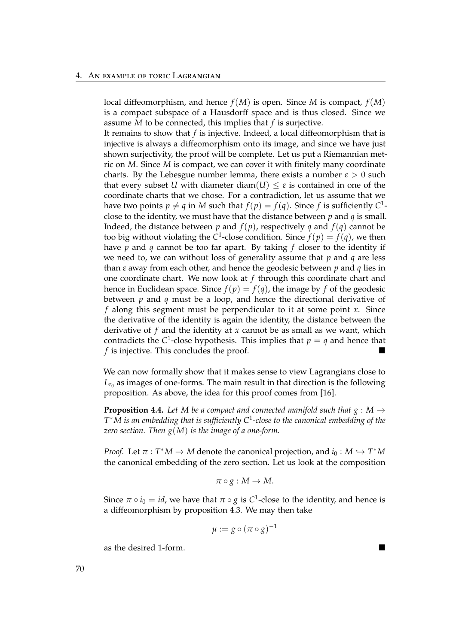local diffeomorphism, and hence *f*(*M*) is open. Since *M* is compact, *f*(*M*) is a compact subspace of a Hausdorff space and is thus closed. Since we assume *M* to be connected, this implies that *f* is surjective.

It remains to show that *f* is injective. Indeed, a local diffeomorphism that is injective is always a diffeomorphism onto its image, and since we have just shown surjectivity, the proof will be complete. Let us put a Riemannian metric on *M*. Since *M* is compact, we can cover it with finitely many coordinate charts. By the Lebesgue number lemma, there exists a number  $\varepsilon > 0$  such that every subset *U* with diameter diam(*U*)  $\leq \varepsilon$  is contained in one of the coordinate charts that we chose. For a contradiction, let us assume that we have two points  $p \neq q$  in *M* such that  $f(p) = f(q)$ . Since *f* is sufficiently  $C^1$ close to the identity, we must have that the distance between *p* and *q* is small. Indeed, the distance between *p* and  $f(p)$ , respectively *q* and  $f(q)$  cannot be too big without violating the C<sup>1</sup>-close condition. Since  $f(p) = f(q)$ , we then have *p* and *q* cannot be too far apart. By taking *f* closer to the identity if we need to, we can without loss of generality assume that *p* and *q* are less than *ε* away from each other, and hence the geodesic between *p* and *q* lies in one coordinate chart. We now look at *f* through this coordinate chart and hence in Euclidean space. Since  $f(p) = f(q)$ , the image by *f* of the geodesic between *p* and *q* must be a loop, and hence the directional derivative of *f* along this segment must be perpendicular to it at some point *x*. Since the derivative of the identity is again the identity, the distance between the derivative of *f* and the identity at *x* cannot be as small as we want, which contradicts the C<sup>1</sup>-close hypothesis. This implies that  $p = q$  and hence that *f* is injective. This concludes the proof.

We can now formally show that it makes sense to view Lagrangians close to  $L_{r_0}$  as images of one-forms. The main result in that direction is the following proposition. As above, the idea for this proof comes from [\[16\]](#page-109-0).

<span id="page-75-0"></span>**Proposition 4.4.** Let M be a compact and connected manifold such that  $g : M \to$ *T* <sup>∗</sup>*M is an embedding that is sufficiently C*<sup>1</sup> *-close to the canonical embedding of the zero section. Then g*(*M*) *is the image of a one-form.*

*Proof.* Let  $\pi : T^*M \to M$  denote the canonical projection, and  $i_0 : M \hookrightarrow T^*M$ the canonical embedding of the zero section. Let us look at the composition

$$
\pi \circ g: M \to M.
$$

Since  $\pi \circ i_0 = id$ , we have that  $\pi \circ g$  is  $C^1$ -close to the identity, and hence is a diffeomorphism by proposition [4.3.](#page-74-2) We may then take

$$
\mu := g \circ (\pi \circ g)^{-1}
$$

as the desired 1-form.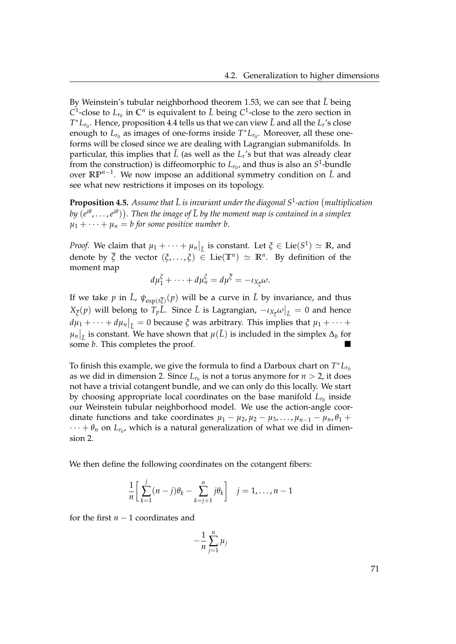By Weinstein's tubular neighborhood theorem [1.53,](#page-37-0) we can see that *L*˜ being *C*<sup>1</sup>-close to *L*<sub>*r*0</sub> in *C*<sup>*n*</sup> is equivalent to *L*<sup>*b*</sup> being *C*<sup>1</sup>-close to the zero section in  $T^*L_{r_0}$ . Hence, proposition [4.4](#page-75-0) tells us that we can view  $\tilde{L}$  and all the  $L_r$ 's close enough to  $L_{r_0}$  as images of one-forms inside  $T^*L_{r_0}$ . Moreover, all these oneforms will be closed since we are dealing with Lagrangian submanifolds. In particular, this implies that  $\tilde{L}$  (as well as the  $L_r$ 's but that was already clear from the construction) is diffeomorphic to  $L_{r_0}$ , and thus is also an  $S^1$ -bundle over **RP***n*−<sup>1</sup> . We now impose an additional symmetry condition on *L*˜ and see what new restrictions it imposes on its topology.

<span id="page-76-0"></span>**Proposition 4.5.** Assume that  $\tilde{L}$  is invariant under the diagonal S<sup>1</sup>-action (multiplication *by* (*e iθ* , . . . ,*e iθ* ) *. Then the image of L by the moment map is contained in a simplex* ˜  $\mu_1 + \cdots + \mu_n = b$  for some positive number b.

*Proof.* We claim that  $\mu_1 + \cdots + \mu_n|_{\tilde{L}}$  is constant. Let  $\zeta \in \text{Lie}(S^1) \simeq \mathbb{R}$ , and denote by  $\overline{\xi}$  the vector  $(\xi, \ldots, \xi) \in \text{Lie}(\mathbb{T}^n) \simeq \mathbb{R}^n$ . By definition of the moment map

$$
d\mu_1^{\xi} + \cdots + d\mu_n^{\xi} = d\mu^{\overline{\xi}} = -\iota_{X_{\overline{\xi}}} \omega.
$$

If we take  $p$  in  $\tilde{L}$ ,  $\psi_{exp(t\overline{\xi})}(p)$  will be a curve in  $\tilde{L}$  by invariance, and thus  $X_{\overline{\xi}}(p)$  will belong to  $T_p\tilde{L}$ . Since  $\tilde{L}$  is Lagrangian,  $-{\iota_X}_{\overline{\xi}}\omega\big|_{\tilde{L}}=0$  and hence  $d\mu_1 + \cdots + d\mu_n|_{\tilde{L}} = 0$  because *ξ* was arbitrary. This implies that  $\mu_1 + \cdots + \mu_n$  $\mu_n|_{\tilde{L}}$  is constant. We have shown that  $\mu(\tilde{L})$  is included in the simplex  $\Delta_b$  for some *b*. This completes the proof.

To finish this example, we give the formula to find a Darboux chart on  $T^*L_{r_0}$ as we did in dimension 2. Since  $L_{r_0}$  is not a torus anymore for  $n > 2$ , it does not have a trivial cotangent bundle, and we can only do this locally. We start by choosing appropriate local coordinates on the base manifold  $L_{r_0}$  inside our Weinstein tubular neighborhood model. We use the action-angle coordinate functions and take coordinates  $\mu_1 - \mu_2, \mu_2 - \mu_3, \ldots, \mu_{n-1} - \mu_n, \theta_1 + \theta_2$  $\cdots + \theta_n$  on  $L_{r_0}$ , which is a natural generalization of what we did in dimension 2.

We then define the following coordinates on the cotangent fibers:

$$
\frac{1}{n} \left[ \sum_{k=1}^{j} (n-j)\theta_k - \sum_{k=j+1}^{n} j\theta_k \right] \quad j=1,\ldots,n-1
$$

for the first *n* − 1 coordinates and

 $\frac{1}{1}$ *n n* ∑ *j*=1 *µj*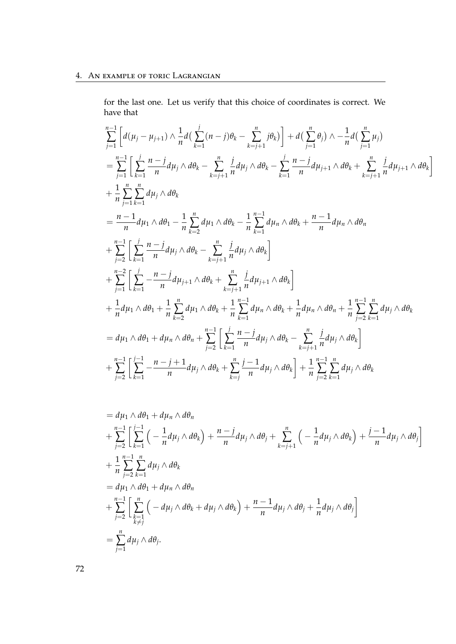for the last one. Let us verify that this choice of coordinates is correct. We have that

$$
\sum_{j=1}^{n-1} \left[ d(\mu_j - \mu_{j+1}) \wedge \frac{1}{n} d\left( \sum_{k=1}^{j} (n-j) \theta_k - \sum_{k=j+1}^{n} j \theta_k \right) \right] + d\left( \sum_{j=1}^{n} \theta_j \right) \wedge -\frac{1}{n} d\left( \sum_{j=1}^{n} \mu_j \right)
$$
\n
$$
= \sum_{j=1}^{n-1} \left[ \sum_{k=1}^{j} \frac{n-j}{n} d\mu_j \wedge d\theta_k - \sum_{k=j+1}^{n} \frac{j}{n} d\mu_j \wedge d\theta_k - \sum_{k=1}^{j} \frac{n-j}{n} d\mu_{j+1} \wedge d\theta_k + \sum_{k=j+1}^{n} \frac{j}{n} d\mu_{j+1} \wedge d\theta_k \right]
$$
\n
$$
+ \frac{1}{n} \sum_{j=1}^{n} \sum_{k=1}^{n} d\mu_j \wedge d\theta_1 - \frac{1}{n} \sum_{k=2}^{n} d\mu_1 \wedge d\theta_k - \frac{1}{n} \sum_{k=1}^{n-1} d\mu_n \wedge d\theta_k + \frac{n-1}{n} d\mu_n \wedge d\theta_n
$$
\n
$$
+ \sum_{j=2}^{n-1} \left[ \sum_{k=1}^{j} \frac{n-j}{n} d\mu_j \wedge d\theta_k - \sum_{k=j+1}^{n} \frac{j}{n} d\mu_j \wedge d\theta_k \right]
$$
\n
$$
+ \sum_{j=1}^{n-2} \left[ \sum_{k=1}^{j} -\frac{n-j}{n} d\mu_{j+1} \wedge d\theta_k + \sum_{k=j+1}^{n} \frac{j}{n} d\mu_{j+1} \wedge d\theta_k \right]
$$
\n
$$
+ \frac{1}{n} d\mu_1 \wedge d\theta_1 + \frac{1}{n} \sum_{k=2}^{n} d\mu_1 \wedge d\theta_k + \frac{1}{n} \sum_{k=1}^{n-1} d\mu_n \wedge d\theta_k + \frac{1}{n} d\mu_n \wedge d\theta_n + \frac{1}{n} \sum_{j=2}^{n-1} \sum_{k=1}^{n} d\mu_j \wedge d\theta_k
$$
\n
$$
= d\mu_1
$$

$$
= d\mu_1 \wedge d\theta_1 + d\mu_n \wedge d\theta_n
$$
  
+ 
$$
\sum_{j=2}^{n-1} \left[ \sum_{k=1}^{j-1} \left( -\frac{1}{n} d\mu_j \wedge d\theta_k \right) + \frac{n-j}{n} d\mu_j \wedge d\theta_j + \sum_{k=j+1}^{n} \left( -\frac{1}{n} d\mu_j \wedge d\theta_k \right) + \frac{j-1}{n} d\mu_j \wedge d\theta_j \right]
$$
  
+ 
$$
\frac{1}{n} \sum_{j=2}^{n-1} \sum_{k=1}^{n} d\mu_j \wedge d\theta_k
$$
  
= 
$$
d\mu_1 \wedge d\theta_1 + d\mu_n \wedge d\theta_n
$$
  
+ 
$$
\sum_{j=2}^{n-1} \left[ \sum_{\substack{k=1 \ k \neq j}}^{n} \left( -d\mu_j \wedge d\theta_k + d\mu_j \wedge d\theta_k \right) + \frac{n-1}{n} d\mu_j \wedge d\theta_j + \frac{1}{n} d\mu_j \wedge d\theta_j \right]
$$
  
= 
$$
\sum_{j=1}^{n} d\mu_j \wedge d\theta_j.
$$

72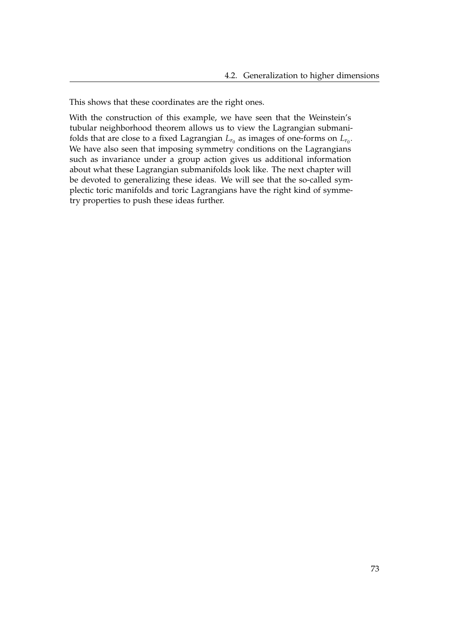This shows that these coordinates are the right ones.

With the construction of this example, we have seen that the Weinstein's tubular neighborhood theorem allows us to view the Lagrangian submanifolds that are close to a fixed Lagrangian  $L_{r_0}$  as images of one-forms on  $L_{r_0}.$ We have also seen that imposing symmetry conditions on the Lagrangians such as invariance under a group action gives us additional information about what these Lagrangian submanifolds look like. The next chapter will be devoted to generalizing these ideas. We will see that the so-called symplectic toric manifolds and toric Lagrangians have the right kind of symmetry properties to push these ideas further.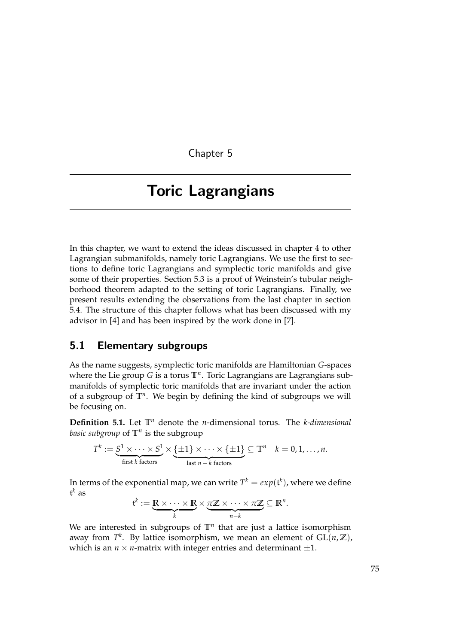Chapter 5

# <span id="page-80-0"></span>Toric Lagrangians

In this chapter, we want to extend the ideas discussed in chapter [4](#page-68-0) to other Lagrangian submanifolds, namely toric Lagrangians. We use the first to sections to define toric Lagrangians and symplectic toric manifolds and give some of their properties. Section [5.3](#page-84-0) is a proof of Weinstein's tubular neighborhood theorem adapted to the setting of toric Lagrangians. Finally, we present results extending the observations from the last chapter in section [5.4.](#page-94-0) The structure of this chapter follows what has been discussed with my advisor in [\[4\]](#page-108-1) and has been inspired by the work done in [\[7\]](#page-108-2).

### 5.1 Elementary subgroups

As the name suggests, symplectic toric manifolds are Hamiltonian *G*-spaces where the Lie group *G* is a torus **T***<sup>n</sup>* . Toric Lagrangians are Lagrangians submanifolds of symplectic toric manifolds that are invariant under the action of a subgroup of **T***<sup>n</sup>* . We begin by defining the kind of subgroups we will be focusing on.

**Definition 5.1.** Let **T***<sup>n</sup>* denote the *n*-dimensional torus. The *k-dimensional basic subgroup* of **T***<sup>n</sup>* is the subgroup

$$
T^k := \underbrace{S^1 \times \cdots \times S^1}_{\text{first } k \text{ factors}} \times \underbrace{\{\pm 1\} \times \cdots \times \{\pm 1\}}_{\text{last } n - k \text{ factors}} \subseteq \mathbb{T}^n \quad k = 0, 1, \ldots, n.
$$

In terms of the exponential map, we can write  $T^k = exp(\mathfrak{t}^k)$ , where we define t *<sup>k</sup>* as

$$
\mathfrak{t}^k := \underbrace{\mathbb{R} \times \cdots \times \mathbb{R}}_{k} \times \underbrace{\pi \mathbb{Z} \times \cdots \times \pi \mathbb{Z}}_{n-k} \subseteq \mathbb{R}^n.
$$

We are interested in subgroups of  $\mathbb{T}^n$  that are just a lattice isomorphism away from  $T^k$ . By lattice isomorphism, we mean an element of  $GL(n,\mathbb{Z})$ , which is an  $n \times n$ -matrix with integer entries and determinant  $\pm 1$ .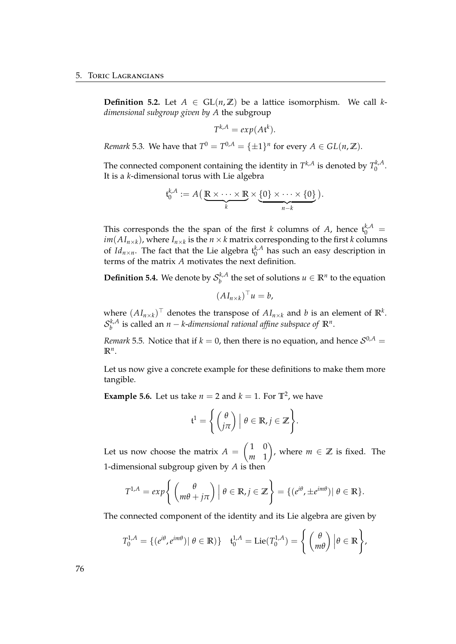**Definition 5.2.** Let  $A \in GL(n,\mathbb{Z})$  be a lattice isomorphism. We call  $k$ *dimensional subgroup given by A* the subgroup

$$
T^{k,A} = exp(At^k).
$$

*Remark* 5.3*.* We have that  $T^0 = T^{0,A} = {\pm 1}^n$  for every  $A \in GL(n, \mathbb{Z})$ .

The connected component containing the identity in  $T^{k,A}$  is denoted by  $T_0^{k,A}$  $\int_0^{\pi/4}$ It is a *k*-dimensional torus with Lie algebra

$$
\mathfrak{t}_{0}^{k,A} := A\left(\underbrace{\mathbb{R}\times\cdots\times\mathbb{R}}_{k}\times\underbrace{\{0\}\times\cdots\times\{0\}}_{n-k}\right).
$$

This corresponds the the span of the first *k* columns of *A*, hence  $t_0^{k,A}$  =  $im(AI_{n\times k})$ , where  $I_{n\times k}$  is the  $n\times k$  matrix corresponding to the first *k* columns of *Id*<sub>*n*×*n*</sub>. The fact that the Lie algebra  $t_0^{k,A}$  $n_0^{\kappa, A}$  has such an easy description in terms of the matrix *A* motivates the next definition.

**Definition 5.4.** We denote by  $S_h^{k,A}$  $\mathbf{R}^{k,A}$  the set of solutions  $u \in \mathbb{R}^n$  to the equation

$$
(AI_{n\times k})^\top u = b,
$$

where  $(AI_{n\times k})^{\top}$  denotes the transpose of  $AI_{n\times k}$  and *b* is an element of  $\mathbb{R}^{k}$ .  $\mathcal{S}_h^{k,A}$ *b* is called an *n* − *k*-*dimensional rational affine subspace of* **R***<sup>n</sup>* .

*Remark* 5.5. Notice that if  $k = 0$ , then there is no equation, and hence  $S^{0,A}$  =  $\mathbb{R}^n$ .

Let us now give a concrete example for these definitions to make them more tangible.

**Example 5.6.** Let us take  $n = 2$  and  $k = 1$ . For  $\mathbb{T}^2$ , we have

$$
\mathfrak{t}^1 = \left\{ \begin{pmatrix} \theta \\ j\pi \end{pmatrix} \middle| \ \theta \in \mathbb{R}, j \in \mathbb{Z} \right\}.
$$

Let us now choose the matrix  $A = \begin{pmatrix} 1 & 0 \\ w & 1 \end{pmatrix}$ *m* 1 ), where  $m \in \mathbb{Z}$  is fixed. The 1-dimensional subgroup given by *A* is then

$$
T^{1,A} = exp\left\{ \left( \begin{array}{c} \theta \\ m\theta + j\pi \end{array} \right) \middle| \ \theta \in \mathbb{R}, j \in \mathbb{Z} \right\} = \{ (e^{i\theta}, \pm e^{im\theta}) \middle| \ \theta \in \mathbb{R} \}.
$$

The connected component of the identity and its Lie algebra are given by

$$
T_0^{1,A} = \{ (e^{i\theta}, e^{im\theta}) | \theta \in \mathbb{R} \} \quad t_0^{1,A} = \mathrm{Lie}(T_0^{1,A}) = \left\{ \begin{pmatrix} \theta \\ m\theta \end{pmatrix} | \theta \in \mathbb{R} \right\},\
$$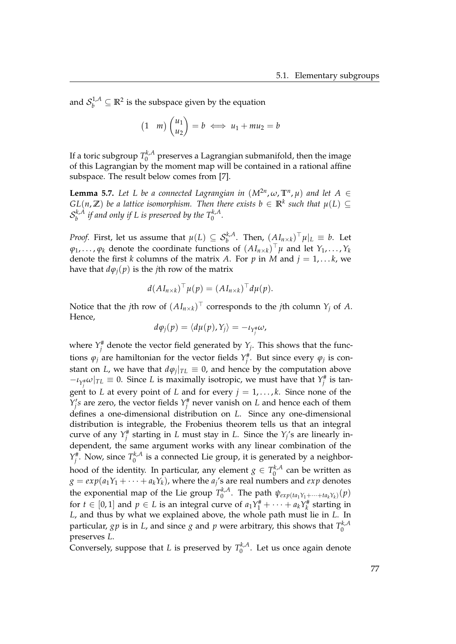and  $\mathcal{S}_b^{1,A} \subseteq \mathbb{R}^2$  is the subspace given by the equation

$$
(1 \quad m) \begin{pmatrix} u_1 \\ u_2 \end{pmatrix} = b \iff u_1 + m u_2 = b
$$

If a toric subgroup  $T_0^{k,A}$  $\int_0^{\kappa,A}$  preserves a Lagrangian submanifold, then the image of this Lagrangian by the moment map will be contained in a rational affine subspace. The result below comes from [\[7\]](#page-108-2).

<span id="page-82-0"></span>**Lemma 5.7.** Let L be a connected Lagrangian in  $(M^{2n}, \omega, \mathbb{T}^n, \mu)$  and let  $A \in$  $GL(n,\mathbb{Z})$  be a lattice isomorphism. Then there exists  $b \in \mathbb{R}^k$  such that  $\mu(L) \subseteq$  $\mathcal{S}_h^{k,A}$  $b^{k,A}$  *if and only if L is preserved by the*  $T_0^{k,A}$ *.* 

*Proof.* First, let us assume that  $\mu(L) \subseteq \mathcal{S}_{b}^{k,A}$ . Then,  $(AI_{n\times k})^{\top}\mu|_{L}\equiv b$ . Let  $\varphi_1, \ldots, \varphi_k$  denote the coordinate functions of  $(AI_{n\times k})^\top \mu$  and let  $Y_1, \ldots, Y_k$ denote the first *k* columns of the matrix *A*. For *p* in *M* and  $j = 1, \ldots, k$ , we have that  $d\varphi_j(p)$  is the *j*th row of the matrix

$$
d(AI_{n\times k})^{\top}\mu(p)=(AI_{n\times k})^{\top}d\mu(p).
$$

Notice that the *j*th row of  $(AI_{n\times k})^\top$  corresponds to the *j*th column  $Y_j$  of  $A$ . Hence,

$$
d\varphi_j(p) = \langle d\mu(p), Y_j \rangle = -\iota_{Y_j^*} \omega,
$$

where  $Y_j^{\#}$  denote the vector field generated by  $Y_j$ . This shows that the functions  $\varphi_j$  are hamiltonian for the vector fields  $Y_j^{\#}$ . But since every  $\varphi_j$  is constant on *L*, we have that  $d\varphi_j|_{TL} \equiv 0$ , and hence by the computation above  $-\iota_{Y_j^{\#}}\omega|_{TL} \equiv 0$ . Since *L* is maximally isotropic, we must have that  $Y_j^{\#}$  is tangent to *L* at every point of *L* and for every  $j = 1, \ldots, k$ . Since none of the  $\hat{Y}_j$ 's are zero, the vector fields  $Y_j^{\#}$  never vanish on *L* and hence each of them defines a one-dimensional distribution on *L*. Since any one-dimensional distribution is integrable, the Frobenius theorem tells us that an integral curve of any  $Y_j^{\#}$  starting in *L* must stay in *L*. Since the  $Y_j$ 's are linearly independent, the same argument works with any linear combination of the  $Y_j^{\#}$ . Now, since  $T_0^{k,A}$  $\int_{0}^{\kappa_{\prime}\Lambda}$  is a connected Lie group, it is generated by a neighborhood of the identity. In particular, any element  $g \in T_0^{k,A}$  $\int_0^{\pi/A}$  can be written as  $g = exp(a_1Y_1 + \cdots + a_kY_k)$ , where the  $a_j$ 's are real numbers and  $exp$  denotes the exponential map of the Lie group  $T_0^{k,A}$  $\psi_{exp(ta_1Y_1+\cdots+ta_kY_k)}(p)$ for  $t \in [0,1]$  and  $p \in L$  is an integral curve of  $a_1 Y_1^{\#} + \cdots + a_k Y_k^{\#}$  starting in *L*, and thus by what we explained above, the whole path must lie in *L*. In particular,  $gp$  is in  $L$ , and since  $g$  and  $p$  were arbitrary, this shows that  $T_0^{k,A}$  $\mathbf 0$ preserves *L*.

Conversely, suppose that *L* is preserved by  $T_0^{k,A}$  $\int_0^{\pi_{A,A}}$ . Let us once again denote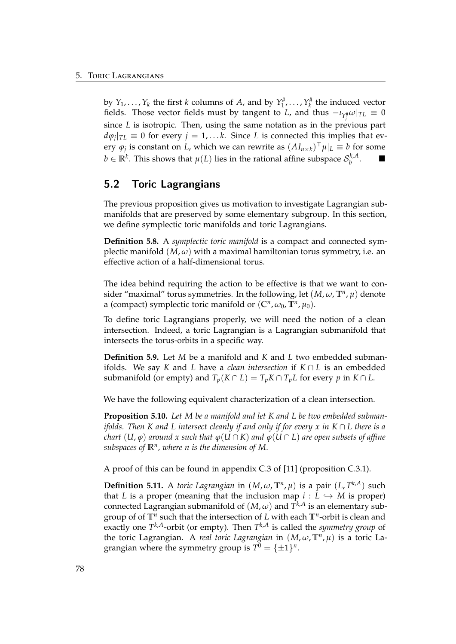by  $Y_1, \ldots, Y_k$  the first *k* columns of *A*, and by  $Y_1^{\#}, \ldots, Y_k^{\#}$  the induced vector fields. Those vector fields must by tangent to *L*, and thus  $-\iota_{Y_j^{\#}}\omega|_{TL}\equiv 0$ since *L* is isotropic. Then, using the same notation as in the previous part  $d\varphi_j|_{TL} \equiv 0$  for every  $j = 1, \ldots k$ . Since *L* is connected this implies that every  $\varphi_j$  is constant on *L*, which we can rewrite as  $(AI_{n\times k})^\top \mu|_L \equiv b$  for some  $b \in \mathbb{R}^k$ . This shows that  $\mu(L)$  lies in the rational affine subspace  $\mathcal{S}_b^{k,A}$ *b* .

### 5.2 Toric Lagrangians

The previous proposition gives us motivation to investigate Lagrangian submanifolds that are preserved by some elementary subgroup. In this section, we define symplectic toric manifolds and toric Lagrangians.

**Definition 5.8.** A *symplectic toric manifold* is a compact and connected symplectic manifold  $(M, \omega)$  with a maximal hamiltonian torus symmetry, i.e. an effective action of a half-dimensional torus.

The idea behind requiring the action to be effective is that we want to consider "maximal" torus symmetries. In the following, let  $(M, \omega, \mathbb{T}^n, \mu)$  denote a (compact) symplectic toric manifold or  $(\mathbb{C}^n, \omega_0, \mathbb{T}^n, \mu_0)$ .

To define toric Lagrangians properly, we will need the notion of a clean intersection. Indeed, a toric Lagrangian is a Lagrangian submanifold that intersects the torus-orbits in a specific way.

**Definition 5.9.** Let *M* be a manifold and *K* and *L* two embedded submanifolds. We say *K* and *L* have a *clean intersection* if *K* ∩ *L* is an embedded submanifold (or empty) and  $T_p(K \cap L) = T_p K \cap T_p L$  for every *p* in  $K \cap L$ .

We have the following equivalent characterization of a clean intersection.

**Proposition 5.10.** *Let M be a manifold and let K and L be two embedded submanifolds. Then K and L intersect cleanly if and only if for every x in K* ∩ *L there is a chart*  $(U, \varphi)$  *around* x such that  $\varphi(U \cap K)$  *and*  $\varphi(U \cap L)$  *are open subsets of affine subspaces of* **R***<sup>n</sup> , where n is the dimension of M.*

A proof of this can be found in appendix C.3 of [\[11\]](#page-109-1) (proposition C.3.1).

**Definition 5.11.** A *toric Lagrangian* in  $(M, \omega, \mathbb{T}^n, \mu)$  is a pair  $(L, T^{k,A})$  such that *L* is a proper (meaning that the inclusion map  $i: L \hookrightarrow M$  is proper) connected Lagrangian submanifold of  $(M, \omega)$  and  $T^{k,A}$  is an elementary subgroup of of **T***<sup>n</sup>* such that the intersection of *L* with each **T***<sup>n</sup>* -orbit is clean and exactly one *T <sup>k</sup>*,*A*-orbit (or empty). Then *T <sup>k</sup>*,*<sup>A</sup>* is called the *symmetry group* of the toric Lagrangian. A *real toric Lagrangian* in (*M*, *ω*, **T***<sup>n</sup>* , *µ*) is a toric Lagrangian where the symmetry group is  $T^0 = {\pm 1}^n$ .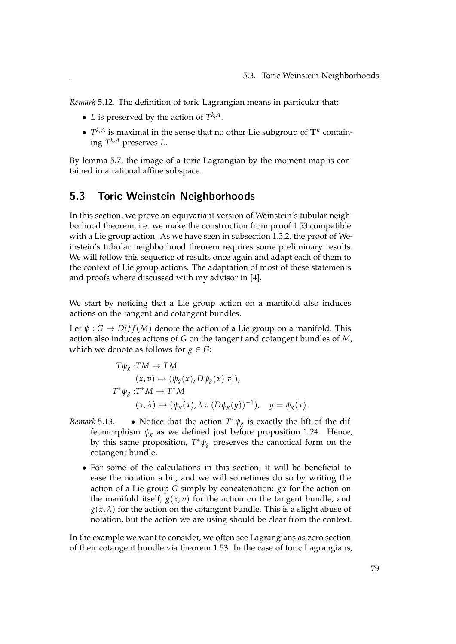*Remark* 5.12*.* The definition of toric Lagrangian means in particular that:

- *L* is preserved by the action of  $T^{k,A}$ .
- $T^{k,A}$  is maximal in the sense that no other Lie subgroup of  $\mathbb{T}^n$  containing *T <sup>k</sup>*,*<sup>A</sup>* preserves *L*.

By lemma [5.7,](#page-82-0) the image of a toric Lagrangian by the moment map is contained in a rational affine subspace.

### <span id="page-84-0"></span>5.3 Toric Weinstein Neighborhoods

In this section, we prove an equivariant version of Weinstein's tubular neighborhood theorem, i.e. we make the construction from proof [1.53](#page-37-0) compatible with a Lie group action. As we have seen in subsection [1.3.2,](#page-27-0) the proof of Weinstein's tubular neighborhood theorem requires some preliminary results. We will follow this sequence of results once again and adapt each of them to the context of Lie group actions. The adaptation of most of these statements and proofs where discussed with my advisor in [\[4\]](#page-108-1).

We start by noticing that a Lie group action on a manifold also induces actions on the tangent and cotangent bundles.

Let  $\psi$  :  $G \rightarrow Diff(M)$  denote the action of a Lie group on a manifold. This action also induces actions of *G* on the tangent and cotangent bundles of *M*, which we denote as follows for *g*  $\in$  *G*:

$$
T\psi_{g}: TM \to TM
$$
  
\n
$$
(x, v) \mapsto (\psi_{g}(x), D\psi_{g}(x)[v]),
$$
  
\n
$$
T^*\psi_{g}: T^*M \to T^*M
$$
  
\n
$$
(x, \lambda) \mapsto (\psi_{g}(x), \lambda \circ (D\psi_{g}(y))^{-1}), \quad y = \psi_{g}(x).
$$

- *Remark* 5.13. Notice that the action  $T^*\psi_g$  is exactly the lift of the diffeomorphism  $\psi_g$  as we defined just before proposition [1.24.](#page-20-0) Hence, by this same proposition, *T* <sup>∗</sup>*ψ<sup>g</sup>* preserves the canonical form on the cotangent bundle.
	- For some of the calculations in this section, it will be beneficial to ease the notation a bit, and we will sometimes do so by writing the action of a Lie group *G* simply by concatenation: *gx* for the action on the manifold itself,  $g(x, v)$  for the action on the tangent bundle, and  $g(x, \lambda)$  for the action on the cotangent bundle. This is a slight abuse of notation, but the action we are using should be clear from the context.

In the example we want to consider, we often see Lagrangians as zero section of their cotangent bundle via theorem [1.53.](#page-37-0) In the case of toric Lagrangians,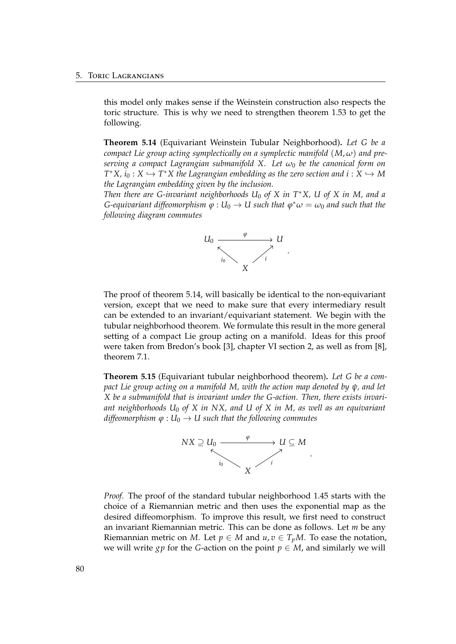this model only makes sense if the Weinstein construction also respects the toric structure. This is why we need to strengthen theorem [1.53](#page-37-0) to get the following.

<span id="page-85-0"></span>**Theorem 5.14** (Equivariant Weinstein Tubular Neighborhood)**.** *Let G be a compact Lie group acting symplectically on a symplectic manifold*  $(M, \omega)$  and pre*serving a compact Lagrangian submanifold X. Let ω*<sup>0</sup> *be the canonical form on*  $T^*X$ ,  $i_0: X \hookrightarrow T^*X$  the Lagrangian embedding as the zero section and  $i: X \hookrightarrow M$ *the Lagrangian embedding given by the inclusion.*

*Then there are G-invariant neighborhoods U*<sup>0</sup> *of X in T*∗*X, U of X in M, and a G*-equivariant diffeomorphism  $\varphi : U_0 \to U$  such that  $\varphi^* \omega = \omega_0$  and such that the *following diagram commutes*



The proof of theorem [5.14,](#page-85-0) will basically be identical to the non-equivariant version, except that we need to make sure that every intermediary result can be extended to an invariant/equivariant statement. We begin with the tubular neighborhood theorem. We formulate this result in the more general setting of a compact Lie group acting on a manifold. Ideas for this proof were taken from Bredon's book [\[3\]](#page-108-3), chapter VI section 2, as well as from [\[8\]](#page-108-4), theorem 7.1.

<span id="page-85-1"></span>**Theorem 5.15** (Equivariant tubular neighborhood theorem)**.** *Let G be a compact Lie group acting on a manifold M, with the action map denoted by ψ, and let X be a submanifold that is invariant under the G-action. Then, there exists invariant neighborhoods U*<sup>0</sup> *of X in NX, and U of X in M, as well as an equivariant diffeomorphism*  $\varphi$  :  $U_0 \rightarrow U$  *such that the following commutes* 



*Proof.* The proof of the standard tubular neighborhood [1.45](#page-28-0) starts with the choice of a Riemannian metric and then uses the exponential map as the desired diffeomorphism. To improve this result, we first need to construct an invariant Riemannian metric. This can be done as follows. Let *m* be any Riemannian metric on *M*. Let  $p \in M$  and  $u, v \in T_pM$ . To ease the notation, we will write *gp* for the *G*-action on the point  $p \in M$ , and similarly we will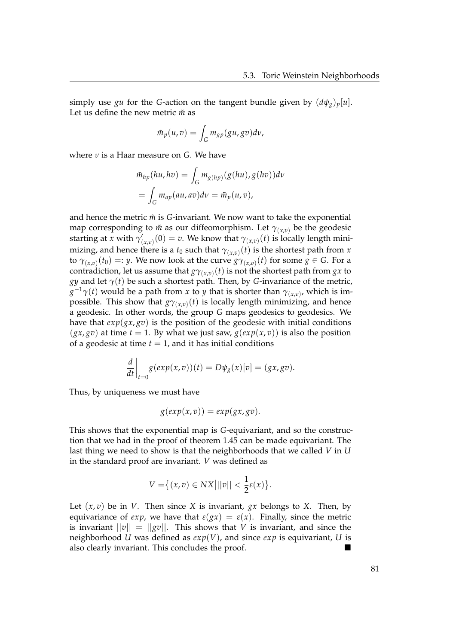simply use *gu* for the *G*-action on the tangent bundle given by  $(d\psi_g)_p[u]$ . Let us define the new metric  $\tilde{m}$  as

$$
\tilde{m}_p(u,v) = \int_G m_{gp}(gu,gv) dv,
$$

where *ν* is a Haar measure on *G*. We have

$$
\tilde{m}_{hp}(hu, hv) = \int_G m_{g(hp)}(g(hu), g(hv))dv
$$

$$
= \int_G m_{ap}(au, av)dv = \tilde{m}_p(u, v),
$$

and hence the metric  $\tilde{m}$  is  $G$ -invariant. We now want to take the exponential map corresponding to  $\tilde{m}$  as our diffeomorphism. Let  $\gamma_{(x,v)}$  be the geodesic starting at *x* with  $\gamma'_{0}$  $\gamma_{(x,v)}'(0) = v.$  We know that  $\gamma_{(x,v)}(t)$  is locally length minimizing, and hence there is a  $t_0$  such that  $\gamma_{(x,v)}(t)$  is the shortest path from  $x$ to  $\gamma_{(x,v)}(t_0) =: y$ . We now look at the curve  $g\gamma_{(x,v)}(t)$  for some  $g \in G$ . For a contradiction, let us assume that  $g\gamma_{(x,v)}(t)$  is not the shortest path from  $gx$  to *gy* and let  $\gamma(t)$  be such a shortest path. Then, by *G*-invariance of the metric,  $g^{-1}\gamma(t)$  would be a path from *x* to *y* that is shorter than  $\gamma_{(x,v)}$ , which is impossible. This show that  $g\gamma_{(x,v)}(t)$  is locally length minimizing, and hence a geodesic. In other words, the group *G* maps geodesics to geodesics. We have that  $exp(gx, g\bar{v})$  is the position of the geodesic with initial conditions  $(gx, gv)$  at time  $t = 1$ . By what we just saw,  $g(exp(x, v))$  is also the position of a geodesic at time  $t = 1$ , and it has initial conditions

$$
\frac{d}{dt}\bigg|_{t=0} g(exp(x,v))(t) = D\psi_g(x)[v] = (gx, gv).
$$

Thus, by uniqueness we must have

$$
g(exp(x,v)) = exp(gx, gv).
$$

This shows that the exponential map is *G*-equivariant, and so the construction that we had in the proof of theorem [1.45](#page-28-0) can be made equivariant. The last thing we need to show is that the neighborhoods that we called *V* in *U* in the standard proof are invariant. *V* was defined as

$$
V = \left\{ (x, v) \in NX \middle| ||v|| < \frac{1}{2}\varepsilon(x) \right\}.
$$

Let  $(x, v)$  be in *V*. Then since *X* is invariant, *gx* belongs to *X*. Then, by equivariance of *exp*, we have that  $\varepsilon(gx) = \varepsilon(x)$ . Finally, since the metric is invariant  $||v|| = ||gv||$ . This shows that *V* is invariant, and since the neighborhood *U* was defined as *exp*(*V*), and since *exp* is equivariant, *U* is also clearly invariant. This concludes the proof.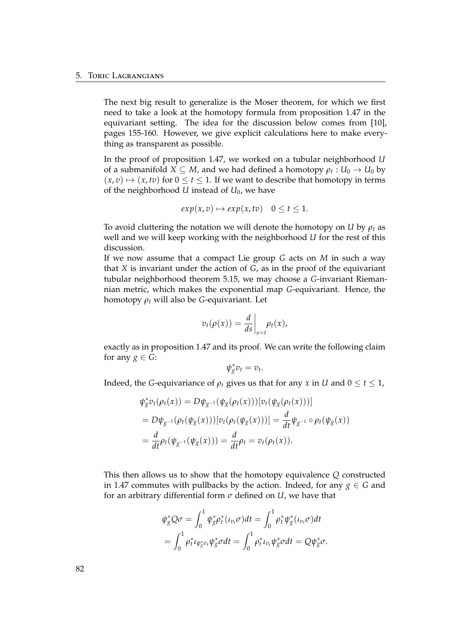The next big result to generalize is the Moser theorem, for which we first need to take a look at the homotopy formula from proposition [1.47](#page-31-0) in the equivariant setting. The idea for the discussion below comes from [\[10\]](#page-108-5), pages 155-160. However, we give explicit calculations here to make everything as transparent as possible.

In the proof of proposition [1.47,](#page-31-0) we worked on a tubular neighborhood *U* of a submanifold  $X \subseteq M$ , and we had defined a homotopy  $\rho_t : U_0 \to U_0$  by  $(x, v) \mapsto (x, tv)$  for  $0 \le t \le 1$ . If we want to describe that homotopy in terms of the neighborhood *U* instead of *U*0, we have

$$
exp(x, v) \mapsto exp(x, tv)
$$
  $0 \le t \le 1$ .

To avoid cluttering the notation we will denote the homotopy on *U* by *ρ<sup>t</sup>* as well and we will keep working with the neighborhood *U* for the rest of this discussion.

If we now assume that a compact Lie group *G* acts on *M* in such a way that *X* is invariant under the action of *G*, as in the proof of the equivariant tubular neighborhood theorem [5.15,](#page-85-1) we may choose a *G*-invariant Riemannian metric, which makes the exponential map *G*-equivariant. Hence, the homotopy *ρ<sup>t</sup>* will also be *G*-equivariant. Let

$$
v_t(\rho(x)) = \frac{d}{ds}\bigg|_{s=t} \rho_t(x),
$$

exactly as in proposition [1.47](#page-31-0) and its proof. We can write the following claim for any  $g \in G$ :

$$
\psi_g^* v_t = v_t.
$$

Indeed, the *G*-equivariance of  $\rho_t$  gives us that for any *x* in *U* and  $0 \le t \le 1$ ,

$$
\psi_{g}^{*}v_{t}(\rho_{t}(x)) = D\psi_{g^{-1}}(\psi_{g}(\rho_{t}(x)))[v_{t}(\psi_{g}(\rho_{t}(x)))]
$$
\n
$$
= D\psi_{g^{-1}}(\rho_{t}(\psi_{g}(x)))[v_{t}(\rho_{t}(\psi_{g}(x)))] = \frac{d}{dt}\psi_{g^{-1}} \circ \rho_{t}(\psi_{g}(x))
$$
\n
$$
= \frac{d}{dt}\rho_{t}(\psi_{g^{-1}}(\psi_{g}(x))) = \frac{d}{dt}\rho_{t} = v_{t}(\rho_{t}(x)).
$$

This then allows us to show that the homotopy equivalence *Q* constructed in [1.47](#page-31-0) commutes with pullbacks by the action. Indeed, for any  $g \in G$  and for an arbitrary differential form *σ* defined on *U*, we have that

$$
\psi_{g}^{*}Q\sigma = \int_{0}^{1} \psi_{g}^{*} \rho_{t}^{*} (\iota_{v_{t}} \sigma) dt = \int_{0}^{1} \rho_{t}^{*} \psi_{g}^{*} (\iota_{v_{t}} \sigma) dt \n= \int_{0}^{1} \rho_{t}^{*} \iota_{\psi_{g}^{*} v_{t}} \psi_{g}^{*} \sigma dt = \int_{0}^{1} \rho_{t}^{*} \iota_{v_{t}} \psi_{g}^{*} \sigma dt = Q \psi_{g}^{*} \sigma.
$$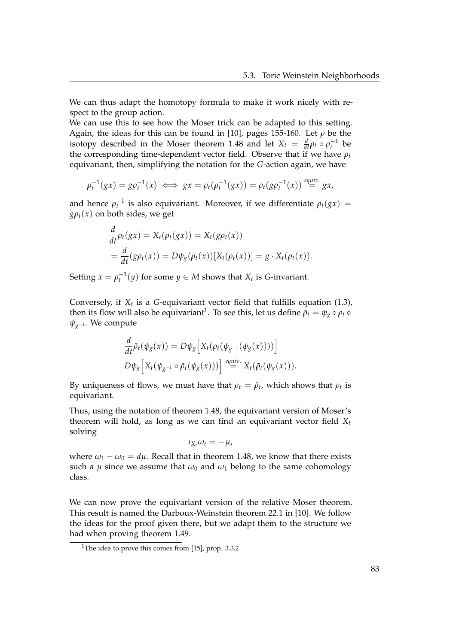We can thus adapt the homotopy formula to make it work nicely with respect to the group action.

We can use this to see how the Moser trick can be adapted to this setting. Again, the ideas for this can be found in [\[10\]](#page-108-5), pages 155-160. Let *ρ* be the isotopy described in the Moser theorem [1.48](#page-32-0) and let  $X_t = \frac{d}{dt} \rho_t \circ \rho_t^{-1}$  be the corresponding time-dependent vector field. Observe that if we have *ρ<sup>t</sup>* equivariant, then, simplifying the notation for the *G*-action again, we have

$$
\rho_t^{-1}(gx) = g\rho_t^{-1}(x) \iff gx = \rho_t(\rho_t^{-1}(gx)) = \rho_t(g\rho_t^{-1}(x)) \stackrel{equiv.}{=} gx,
$$

and hence  $\rho_t^{-1}$  is also equivariant. Moreover, if we differentiate  $\rho_t(gx)$  =  $g\rho_t(x)$  on both sides, we get

$$
\frac{d}{dt}\rho_t(gx) = X_t(\rho_t(gx)) = X_t(g\rho_t(x))
$$
  
= 
$$
\frac{d}{dt}(g\rho_t(x)) = D\psi_g(\rho_t(x))[X_t(\rho_t(x))] = g \cdot X_t(\rho_t(x)).
$$

Setting  $x = \rho_t^{-1}(y)$  for some  $y \in M$  shows that  $X_t$  is *G*-invariant.

Conversely, if *X<sup>t</sup>* is a *G*-equivariant vector field that fulfills equation [\(1.3\)](#page-33-0), then its flow will also be equivariant<sup>[1](#page-88-0)</sup>. To see this, let us define  $\tilde{\rho}_t = \psi_g \circ \rho_t \circ$ *ψg*−<sup>1</sup> . We compute

$$
\frac{d}{dt}\tilde{\rho}_t(\psi_g(x)) = D\psi_g\Big[X_t(\rho_t(\psi_{g^{-1}}(\psi_g(x))))\Big]\nD\psi_g\Big[X_t(\psi_{g^{-1}}\circ\tilde{\rho}_t(\psi_g(x)))\Big] \stackrel{equiv}{=} X_t(\tilde{\rho}_t(\psi_g(x))).
$$

By uniqueness of flows, we must have that  $\rho_t = \tilde{\rho}_t$ , which shows that  $\rho_t$  is equivariant.

Thus, using the notation of theorem [1.48,](#page-32-0) the equivariant version of Moser's theorem will hold, as long as we can find an equivariant vector field *X<sup>t</sup>* solving

$$
\iota_{X_t}\omega_t=-\mu,
$$

where  $\omega_1 - \omega_0 = d\mu$ . Recall that in theorem [1.48,](#page-32-0) we know that there exists such a  $\mu$  since we assume that  $\omega_0$  and  $\omega_1$  belong to the same cohomology class.

We can now prove the equivariant version of the relative Moser theorem. This result is named the Darboux-Weinstein theorem 22.1 in [\[10\]](#page-108-5). We follow the ideas for the proof given there, but we adapt them to the structure we had when proving theorem [1.49.](#page-33-1)

<span id="page-88-0"></span><sup>&</sup>lt;sup>1</sup>The idea to prove this comes from [\[15\]](#page-109-2), prop. 3.3.2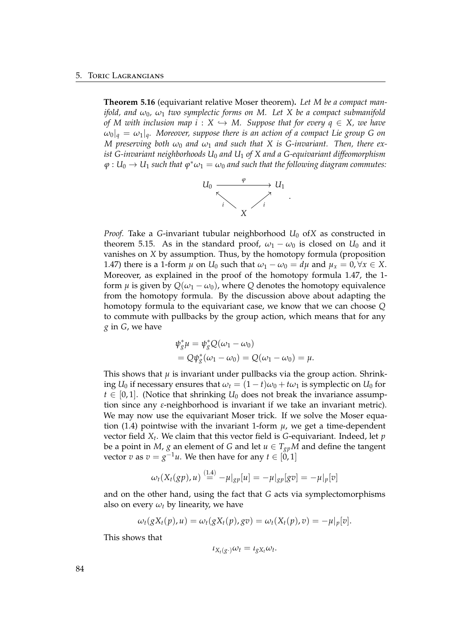**Theorem 5.16** (equivariant relative Moser theorem)**.** *Let M be a compact manifold, and*  $\omega_0$ ,  $\omega_1$  *two symplectic forms on* M. Let X be a compact submanifold *of M* with inclusion map  $i : X \hookrightarrow M$ . Suppose that for every  $q \in X$ , we have  $\omega_0|_q = \omega_1|_q$ *. Moreover, suppose there is an action of a compact Lie group G on M* preserving both  $\omega_0$  and  $\omega_1$  and such that X is G-invariant. Then, there ex*ist G-invariant neighborhoods U*<sup>0</sup> *and U*<sup>1</sup> *of X and a G-equivariant diffeomorphism*  $\varphi : U_0 \to U_1$  such that  $\varphi^*\omega_1 = \omega_0$  and such that the following diagram commutes:



*Proof.* Take a *G*-invariant tubular neighborhood  $U_0$  of*X* as constructed in theorem [5.15.](#page-85-1) As in the standard proof,  $\omega_1 - \omega_0$  is closed on *U*<sup>0</sup> and it vanishes on *X* by assumption. Thus, by the homotopy formula (proposition [1.47\)](#page-31-0) there is a 1-form  $\mu$  on  $U_0$  such that  $\omega_1 - \omega_0 = d\mu$  and  $\mu_x = 0$ ,  $\forall x \in X$ . Moreover, as explained in the proof of the homotopy formula [1.47,](#page-31-0) the 1 form  $\mu$  is given by  $Q(\omega_1 - \omega_0)$ , where  $Q$  denotes the homotopy equivalence from the homotopy formula. By the discussion above about adapting the homotopy formula to the equivariant case, we know that we can choose *Q* to commute with pullbacks by the group action, which means that for any *g* in *G*, we have

$$
\begin{aligned} \psi_g^* \mu &= \psi_g^* Q(\omega_1 - \omega_0) \\ &= Q \psi_g^* (\omega_1 - \omega_0) = Q(\omega_1 - \omega_0) = \mu. \end{aligned}
$$

This shows that  $\mu$  is invariant under pullbacks via the group action. Shrinking *U*<sub>0</sub> if necessary ensures that  $\omega_t = (1 - t)\omega_0 + t\omega_1$  is symplectic on *U*<sub>0</sub> for  $t \in [0, 1]$ . (Notice that shrinking  $U_0$  does not break the invariance assumption since any *ε*-neighborhood is invariant if we take an invariant metric). We may now use the equivariant Moser trick. If we solve the Moser equa-tion [\(1.4\)](#page-33-2) pointwise with the invariant 1-form  $\mu$ , we get a time-dependent vector field *X<sup>t</sup>* . We claim that this vector field is *G*-equivariant. Indeed, let *p* be a point in *M*, *g* an element of *G* and let  $u \in T_{gp}M$  and define the tangent vector *v* as  $v = g^{-1}u$ . We then have for any  $t \in [0, 1]$ 

$$
\omega_t(X_t(gp),u) \stackrel{(1.4)}{=} -\mu|_{gp}[u] = -\mu|_{gp}[gv] = -\mu|_p[v]
$$

and on the other hand, using the fact that *G* acts via symplectomorphisms also on every  $\omega_t$  by linearity, we have

$$
\omega_t(gX_t(p),u)=\omega_t(gX_t(p),gv)=\omega_t(X_t(p),v)=-\mu|_p[v].
$$

This shows that

$$
\iota_{X_t(g\cdot)}\omega_t = \iota_{gX_t}\omega_t.
$$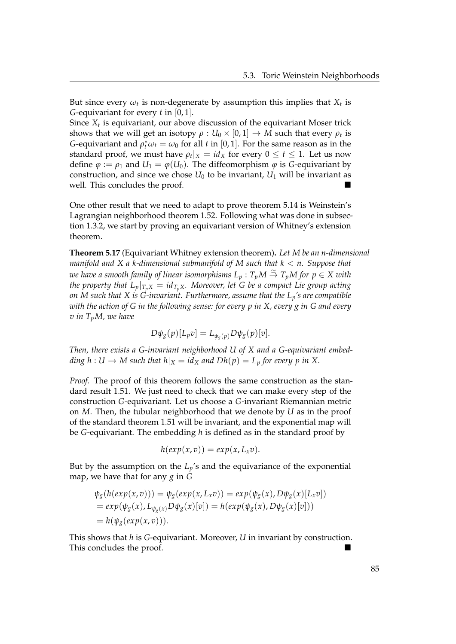But since every  $\omega_t$  is non-degenerate by assumption this implies that  $X_t$  is *G*-equivariant for every *t* in [0, 1].

Since *X<sup>t</sup>* is equivariant, our above discussion of the equivariant Moser trick shows that we will get an isotopy  $\rho:U_0\times [0,1]\to M$  such that every  $\rho_t$  is *G*-equivariant and  $\rho_t^* \omega_t = \omega_0$  for all *t* in [0, 1]. For the same reason as in the standard proof, we must have  $\rho_t|_X = id_X$  for every  $0 \leq t \leq 1$ . Let us now define  $\varphi := \rho_1$  and  $U_1 = \varphi(U_0)$ . The diffeomorphism  $\varphi$  is *G*-equivariant by construction, and since we chose  $U_0$  to be invariant,  $U_1$  will be invariant as well. This concludes the proof.

One other result that we need to adapt to prove theorem [5.14](#page-85-0) is Weinstein's Lagrangian neighborhood theorem [1.52.](#page-36-0) Following what was done in subsection [1.3.2,](#page-27-0) we start by proving an equivariant version of Whitney's extension theorem.

<span id="page-90-0"></span>**Theorem 5.17** (Equivariant Whitney extension theorem)**.** *Let M be an n-dimensional manifold and X a k-dimensional submanifold of M such that k* < *n. Suppose that*  $\omega$ e have a smooth family of linear isomorphisms  $L_p:T_pM\stackrel{\simeq}{\to}T_pM$  for  $p\in X$  with *the property that*  $L_p|_{T_pX} = id_{T_pX}$ *. Moreover, let G be a compact Lie group acting on M such that X is G-invariant. Furthermore, assume that the Lp's are compatible with the action of G in the following sense: for every p in X, every g in G and every v in TpM, we have*

$$
D\psi_g(p)[L_p v] = L_{\psi_g(p)} D\psi_g(p)[v].
$$

*Then, there exists a G-invariant neighborhood U of X and a G-equivariant embedding*  $h: U \to M$  such that  $h|_X = id_X$  and  $Dh(p) = L_p$  for every p in X.

*Proof.* The proof of this theorem follows the same construction as the standard result [1.51.](#page-35-0) We just need to check that we can make every step of the construction *G*-equivariant. Let us choose a *G*-invariant Riemannian metric on *M*. Then, the tubular neighborhood that we denote by *U* as in the proof of the standard theorem [1.51](#page-35-0) will be invariant, and the exponential map will be *G*-equivariant. The embedding *h* is defined as in the standard proof by

$$
h(exp(x,v))=exp(x,L_xv).
$$

But by the assumption on the  $L_p$ 's and the equivariance of the exponential map, we have that for any *g* in *G*

$$
\psi_{g}(h(exp(x,v))) = \psi_{g}(exp(x,L_{x}v)) = exp(\psi_{g}(x),D\psi_{g}(x)[L_{x}v])
$$
  
=  $exp(\psi_{g}(x),L_{\psi_{g}(x)}D\psi_{g}(x)[v]) = h(exp(\psi_{g}(x),D\psi_{g}(x)[v]))$   
=  $h(\psi_{g}(exp(x,v))).$ 

This shows that *h* is *G*-equivariant. Moreover, *U* in invariant by construction. This concludes the proof.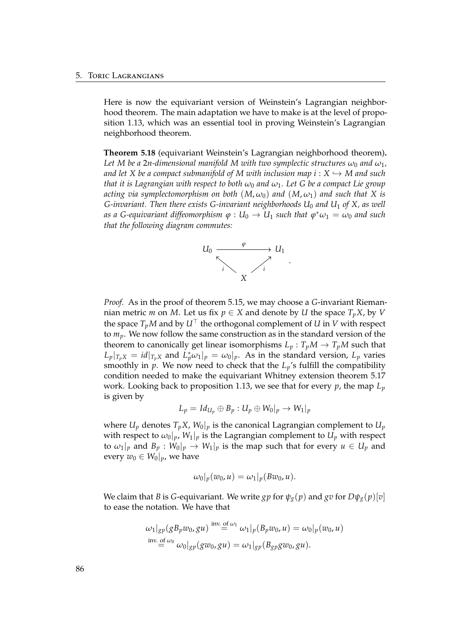Here is now the equivariant version of Weinstein's Lagrangian neighborhood theorem. The main adaptation we have to make is at the level of proposition [1.13,](#page-15-0) which was an essential tool in proving Weinstein's Lagrangian neighborhood theorem.

<span id="page-91-0"></span>**Theorem 5.18** (equivariant Weinstein's Lagrangian neighborhood theorem)**.** *Let* M be a 2*n*-dimensional manifold M with two symplectic structures  $\omega_0$  and  $\omega_1$ , *and let X be a compact submanifold of M with inclusion map i* :  $X \hookrightarrow M$  *and such that it is Lagrangian with respect to both*  $\omega_0$  *and*  $\omega_1$ *. Let G be a compact Lie group acting via symplectomorphism on both*  $(M, \omega_0)$  *and*  $(M, \omega_1)$  *and such that* X *is G-invariant. Then there exists G-invariant neighborhoods U*<sup>0</sup> *and U*<sup>1</sup> *of X, as well*  $\alpha$  *as a G-equivariant diffeomorphism*  $\varphi : U_0 \to U_1$  *such that*  $\varphi^* \omega_1 = \omega_0$  *and such that the following diagram commutes:*



*Proof.* As in the proof of theorem [5.15,](#page-85-1) we may choose a *G*-invariant Riemannian metric *m* on *M*. Let us fix  $p \in X$  and denote by *U* the space  $T_pX$ , by *V* the space  $T_pM$  and by  $U^{\top}$  the orthogonal complement of *U* in *V* with respect to *mp*. We now follow the same construction as in the standard version of the theorem to canonically get linear isomorphisms  $L_p: T_pM \to T_pM$  such that  $L_p|_{T_pX} = id|_{T_pX}$  and  $L_p^*\omega_1|_p = \omega_0|_p$ . As in the standard version,  $L_p$  varies smoothly in  $p$ . We now need to check that the  $L_p$ 's fulfill the compatibility condition needed to make the equivariant Whitney extension theorem [5.17](#page-90-0) work. Looking back to proposition [1.13,](#page-15-0) we see that for every *p*, the map *L<sup>p</sup>* is given by

$$
L_p = Id_{U_p} \oplus B_p : U_p \oplus W_0|_p \rightarrow W_1|_p
$$

where  $U_p$  denotes  $T_p X$ ,  $W_0|_p$  is the canonical Lagrangian complement to  $U_p$ with respect to  $\omega_0|_p$ ,  $W_1|_p$  is the Lagrangian complement to  $U_p$  with respect to  $\omega_1|_p$  and  $B_p: W_0|_p \to W_1|_p$  is the map such that for every  $u \in U_p$  and every  $w_0 \in W_0|_p$ , we have

$$
\omega_0|_p(w_0,u)=\omega_1|_p(Bw_0,u).
$$

We claim that *B* is *G*-equivariant. We write *gp* for  $\psi_g(p)$  and *gv* for  $D\psi_g(p)[v]$ to ease the notation. We have that

$$
\omega_1|_{gp}(gB_p w_0, gu) \stackrel{\text{inv. of } \omega_1}{=} \omega_1|_p(B_p w_0, u) = \omega_0|_p(w_0, u)
$$
  
inv. of  $\omega_0$   

$$
= \omega_0|_{gp}(gw_0, gu) = \omega_1|_{gp}(B_{gp} gw_0, gu).
$$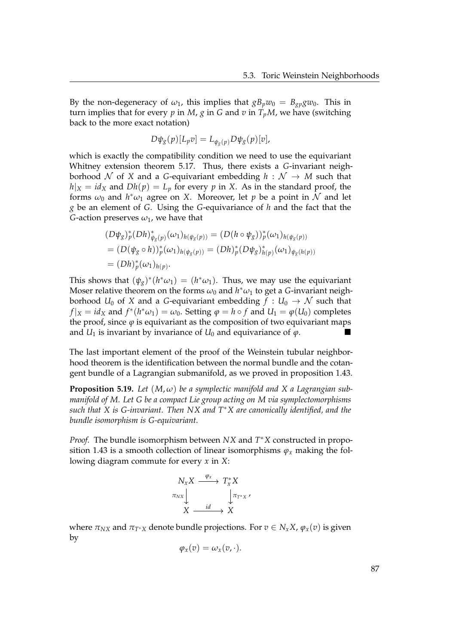By the non-degeneracy of  $\omega_1$ , this implies that  $gB_pw_0 = B_{gp}gw_0$ . This in turn implies that for every  $p$  in  $M$ ,  $g$  in  $G$  and  $v$  in  $T_pM$ , we have (switching back to the more exact notation)

$$
D\psi_g(p)[L_p v] = L_{\psi_g(p)} D\psi_g(p)[v],
$$

which is exactly the compatibility condition we need to use the equivariant Whitney extension theorem [5.17.](#page-90-0) Thus, there exists a *G*-invariant neighborhood  $N$  of  $X$  and a *G*-equivariant embedding  $h : N \rightarrow M$  such that  $h|_X = id_X$  and  $Dh(p) = L_p$  for every  $p$  in *X*. As in the standard proof, the forms  $\omega_0$  and  $h^*\omega_1$  agree on X. Moreover, let  $p$  be a point in  $\bar{\cal N}$  and let *g* be an element of *G*. Using the *G*-equivariance of *h* and the fact that the *G*-action preserves  $\omega_1$ , we have that

$$
(D\psi_g)^*_{p} (Dh)^*_{\psi_g(p)} (\omega_1)_{h(\psi_g(p))} = (D(h \circ \psi_g))^*_{p} (\omega_1)_{h(\psi_g(p))}
$$
  
= 
$$
(D(\psi_g \circ h))^*_{p} (\omega_1)_{h(\psi_g(p))} = (Dh)^*_{p} (D\psi_g)^*_{h(p)} (\omega_1)_{\psi_g(h(p))}
$$
  
= 
$$
(Dh)^*_{p} (\omega_1)_{h(p)}.
$$

This shows that  $(\psi_g)^*(h^*\omega_1) = (h^*\omega_1)$ . Thus, we may use the equivariant Moser relative theorem on the forms  $\omega_0$  and  $h^*\omega_1$  to get a *G*-invariant neighborhood  $U_0$  of X and a *G*-equivariant embedding  $f: U_0 \to \mathcal{N}$  such that  $f|_X = id_X$  and  $f^*(h^*\omega_1) = \omega_0$ . Setting  $\varphi = h \circ f$  and  $U_1 = \varphi(U_0)$  completes the proof, since  $\varphi$  is equivariant as the composition of two equivariant maps and  $U_1$  is invariant by invariance of  $U_0$  and equivariance of  $\varphi$ .

The last important element of the proof of the Weinstein tubular neighborhood theorem is the identification between the normal bundle and the cotangent bundle of a Lagrangian submanifold, as we proved in proposition [1.43.](#page-27-1)

<span id="page-92-0"></span>**Proposition 5.19.** Let  $(M, \omega)$  be a symplectic manifold and X a Lagrangian sub*manifold of M. Let G be a compact Lie group acting on M via symplectomorphisms such that X is G-invariant. Then NX and T*∗*X are canonically identified, and the bundle isomorphism is G-equivariant.*

*Proof.* The bundle isomorphism between *NX* and *T* <sup>∗</sup>*X* constructed in propo-sition [1.43](#page-27-1) is a smooth collection of linear isomorphisms  $\varphi_x$  making the following diagram commute for every *x* in *X*:

$$
N_{X}X \xrightarrow{\varphi_{X}} T_{X}^{*}X
$$
  

$$
\pi_{NX} \downarrow \qquad \qquad \downarrow \pi_{T^{*}X} \wedge
$$
  

$$
X \xrightarrow{id} X
$$

where  $\pi_{NX}$  and  $\pi_{T^*X}$  denote bundle projections. For  $v \in N_xX$ ,  $\varphi_x(v)$  is given by

$$
\varphi_x(v)=\omega_x(v,\cdot).
$$

| ٠            | × |
|--------------|---|
| ٠<br>ł       |   |
| i<br>×<br>۰. |   |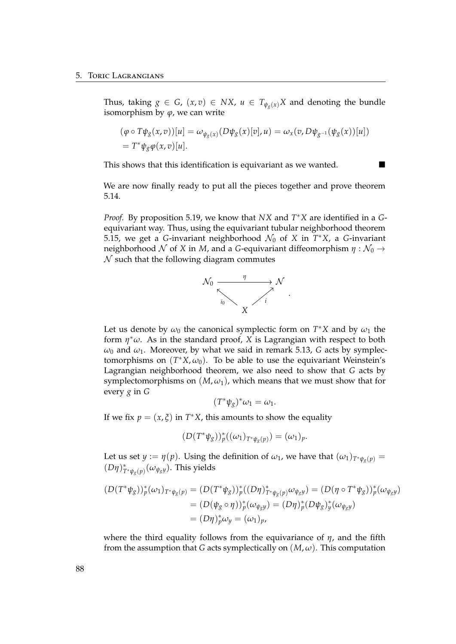Thus, taking  $g \in G$ ,  $(x, v) \in N X$ ,  $u \in T_{\psi_o(x)}X$  and denoting the bundle isomorphism by  $\varphi$ , we can write

$$
(\varphi \circ T\psi_g(x,v))[u] = \omega_{\psi_g(x)}(D\psi_g(x)[v],u) = \omega_x(v,D\psi_{g^{-1}}(\psi_g(x))[u])
$$
  
=  $T^*\psi_g\varphi(x,v)[u].$ 

This shows that this identification is equivariant as we wanted.

We are now finally ready to put all the pieces together and prove theorem [5.14.](#page-85-0)

*Proof.* By proposition [5.19,](#page-92-0) we know that *NX* and *T* <sup>∗</sup>*X* are identified in a *G*equivariant way. Thus, using the equivariant tubular neighborhood theorem [5.15,](#page-85-1) we get a *G*-invariant neighborhood  $\mathcal{N}_0$  of *X* in  $T^*X$ , a *G*-invariant neighborhood  $N$  of  $X$  in  $M$ , and a *G*-equivariant diffeomorphism  $\eta : \mathcal{N}_0 \to$  $\mathcal N$  such that the following diagram commutes



Let us denote by  $\omega_0$  the canonical symplectic form on  $T^*X$  and by  $\omega_1$  the form *η* <sup>∗</sup>*ω*. As in the standard proof, *X* is Lagrangian with respect to both  $\omega_0$  and  $\omega_1$ . Moreover, by what we said in remark [5.13,](#page-0-0) *G* acts by symplectomorphisms on  $(T^*X, \omega_0)$ . To be able to use the equivariant Weinstein's Lagrangian neighborhood theorem, we also need to show that *G* acts by symplectomorphisms on  $(M, \omega_1)$ , which means that we must show that for every *g* in *G*

$$
(T^*\psi_g)^*\omega_1=\omega_1.
$$

If we fix  $p = (x, \xi)$  in  $T^*X$ , this amounts to show the equality

 $(D(T^*\psi_g))^*_{p}((\omega_1)_{T^*\psi_g(p)}) = (\omega_1)_p.$ 

Let us set  $y := \eta(p)$ . Using the definition of  $\omega_1$ , we have that  $(\omega_1)_{T^*\psi_q(p)} =$  $(D\eta)_{T^*\psi_g(p)}^*$  ( $\omega_{\psi_g y}$ ). This yields

$$
(D(T^*\psi_g))^*(\omega_1)_{T^*\psi_g(p)} = (D(T^*\psi_g))^*(D\eta)^*_{T^*\psi_g(p)}\omega_{\psi_g y}) = (D(\eta \circ T^*\psi_g))^*(\omega_{\psi_g y})
$$
  
=  $(D(\psi_g \circ \eta))^*(\omega_{\psi_g y}) = (D\eta)^*(D\psi_g)^*(\omega_{\psi_g y})$   
=  $(D\eta)^*_{p}\omega_y = (\omega_1)_{p}$ ,

where the third equality follows from the equivariance of *η*, and the fifth from the assumption that *G* acts symplectically on  $(M, \omega)$ . This computation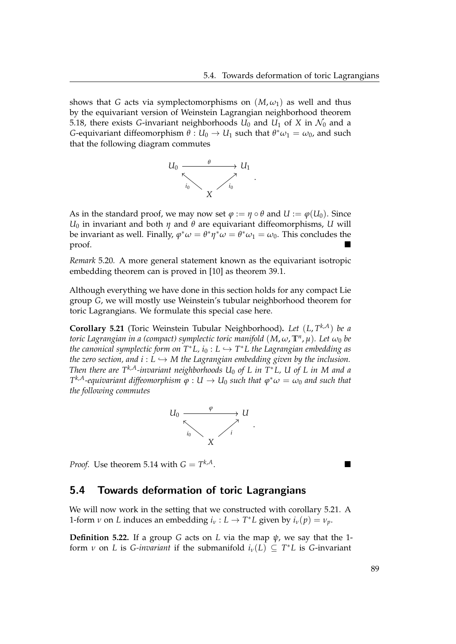shows that *G* acts via symplectomorphisms on  $(M, \omega_1)$  as well and thus by the equivariant version of Weinstein Lagrangian neighborhood theorem [5.18,](#page-91-0) there exists *G*-invariant neighborhoods  $U_0$  and  $U_1$  of *X* in  $\mathcal{N}_0$  and a *G*-equivariant diffeomorphism  $\theta$  :  $U_0 \rightarrow U_1$  such that  $\theta^* \omega_1 = \omega_0$ , and such that the following diagram commutes



As in the standard proof, we may now set  $\varphi := \eta \circ \theta$  and  $U := \varphi(U_0)$ . Since *U*<sup>0</sup> in invariant and both *η* and *θ* are equivariant diffeomorphisms, *U* will be invariant as well. Finally,  $\varphi^*\omega = \theta^*\eta^*\omega = \theta^*\omega_1 = \omega_0$ . This concludes the proof.

*Remark* 5.20*.* A more general statement known as the equivariant isotropic embedding theorem can is proved in [\[10\]](#page-108-5) as theorem 39.1.

Although everything we have done in this section holds for any compact Lie group *G*, we will mostly use Weinstein's tubular neighborhood theorem for toric Lagrangians. We formulate this special case here.

<span id="page-94-1"></span>**Corollary 5.21** (Toric Weinstein Tubular Neighborhood)**.** *Let* (*L*, *T <sup>k</sup>*,*A*) *be a toric Lagrangian in a (compact) symplectic toric manifold* (*M*, *ω*, **T***<sup>n</sup>* , *µ*)*. Let ω*<sup>0</sup> *be the canonical symplectic form on T*∗*L, i*<sup>0</sup> : *L* ,→ *T* <sup>∗</sup>*L the Lagrangian embedding as the zero section, and i* :  $L \hookrightarrow M$  *the Lagrangian embedding given by the inclusion. Then there are Tk*,*A-invariant neighborhoods U*<sup>0</sup> *of L in T*∗*L, U of L in M and a*  $T^{k,A}$ -equivariant diffeomorphism  $\overline{\varphi}: U \to U_0$  such that  $\varphi^*\omega = \omega_0$  and such that *the following commutes*



*Proof.* Use theorem [5.14](#page-85-0) with  $G = T^{k,A}$ . *<sup>k</sup>*,*A*.

#### <span id="page-94-0"></span>5.4 Towards deformation of toric Lagrangians

We will now work in the setting that we constructed with corollary [5.21.](#page-94-1) A 1-form *ν* on *L* induces an embedding  $i_v : L \to T^*L$  given by  $i_v(p) = v_p$ .

**Definition 5.22.** If a group *G* acts on *L* via the map  $\psi$ , we say that the 1form *v* on *L* is *G-invariant* if the submanifold  $i_{\nu}(L) \subseteq T^*L$  is *G-invariant*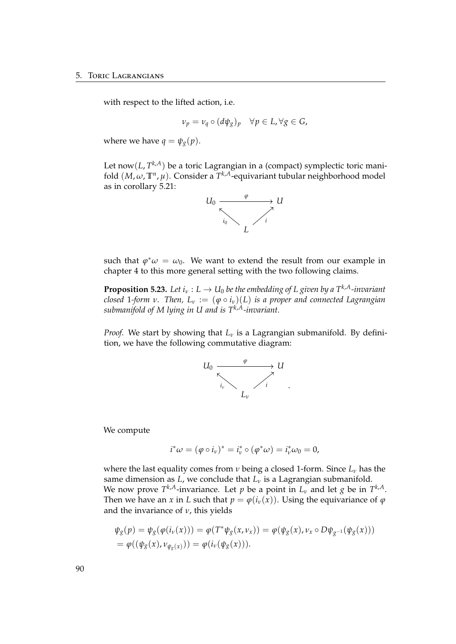with respect to the lifted action, i.e.

$$
\nu_p = \nu_q \circ (d\psi_g)_p \quad \forall p \in L, \forall g \in G,
$$

where we have  $q = \psi_g(p)$ .

Let now(*L*, *T <sup>k</sup>*,*A*) be a toric Lagrangian in a (compact) symplectic toric manifold (*M*, *ω*, **T***<sup>n</sup>* , *µ*). Consider a *T <sup>k</sup>*,*A*-equivariant tubular neighborhood model as in corollary [5.21:](#page-94-1)



such that  $\varphi^* \omega = \omega_0$ . We want to extend the result from our example in chapter [4](#page-68-0) to this more general setting with the two following claims.

<span id="page-95-0"></span>**Proposition 5.23.** Let  $i_v : L \to U_0$  be the embedding of L given by a  $T^{k,A}$ -invariant *closed* 1-form *v*. Then,  $L_v := (\varphi \circ i_v)(L)$  *is a proper and connected Lagrangian submanifold of M lying in U and is Tk*,*A-invariant.*

*Proof.* We start by showing that  $L<sub>v</sub>$  is a Lagrangian submanifold. By definition, we have the following commutative diagram:



We compute

$$
i^*\omega = (\varphi \circ i_\nu)^* = i_\nu^* \circ (\varphi^*\omega) = i_\nu^*\omega_0 = 0,
$$

where the last equality comes from *ν* being a closed 1-form. Since *L<sup>ν</sup>* has the same dimension as  $L$ , we conclude that  $L<sub>v</sub>$  is a Lagrangian submanifold. We now prove  $T^{k,A}$ -invariance. Let  $p$  be a point in  $L_\nu$  and let  $g$  be in  $T^{k,A}$ . Then we have an *x* in *L* such that  $p = \varphi(i_v(x))$ . Using the equivariance of  $\varphi$ and the invariance of *ν*, this yields

$$
\psi_{g}(p) = \psi_{g}(\varphi(i_{\nu}(x))) = \varphi(T^{*}\psi_{g}(x,\nu_{x})) = \varphi(\psi_{g}(x),\nu_{x} \circ D\psi_{g^{-1}}(\psi_{g}(x))) \n= \varphi((\psi_{g}(x),\nu_{\psi_{g}(x)})) = \varphi(i_{\nu}(\psi_{g}(x))).
$$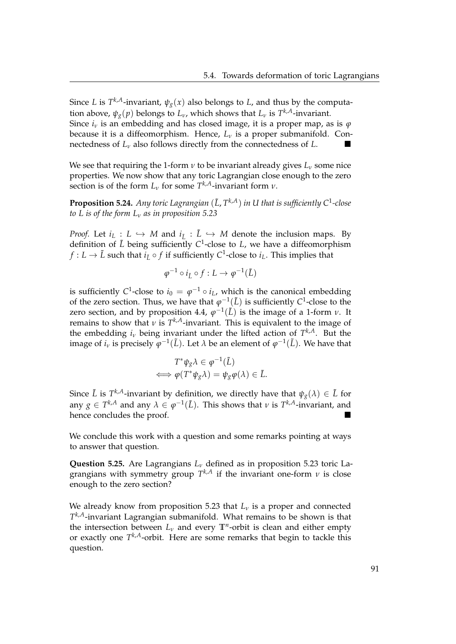Since *L* is  $T^{k,A}$ -invariant,  $\psi_g(x)$  also belongs to *L*, and thus by the computation above,  $\psi_g(p)$  belongs to  $L_\nu$ , which shows that  $L_\nu$  is  $T^{k,A}$ -invariant. Since  $i_\nu$  is an embedding and has closed image, it is a proper map, as is  $\varphi$ because it is a diffeomorphism. Hence, *L<sup>ν</sup>* is a proper submanifold. Connectedness of *<sup>L</sup><sup>ν</sup>* also follows directly from the connectedness of *<sup>L</sup>*.

We see that requiring the 1-form  $\nu$  to be invariant already gives  $L_{\nu}$  some nice properties. We now show that any toric Lagrangian close enough to the zero section is of the form  $L_v$  for some  $T^{k,A}$ -invariant form  $v$ .

**Proposition 5.24.** Any toric Lagrangian  $(\tilde{L}, T^{k,A})$  in U that is sufficiently  $C^1$ -close *to L is of the form L<sup>ν</sup> as in proposition [5.23](#page-95-0)*

*Proof.* Let  $i_L : L \hookrightarrow M$  and  $i_{\tilde{L}} : \tilde{L} \hookrightarrow M$  denote the inclusion maps. By definition of  $\tilde{L}$  being sufficiently C<sup>1</sup>-close to L, we have a diffeomorphism  $f: L \to \tilde{L}$  such that  $i_{\tilde{L}} \circ f$  if sufficiently  $C^1$ -close to  $i_L$ . This implies that

$$
\varphi^{-1} \circ i_{\tilde{L}} \circ f : L \to \varphi^{-1}(\tilde{L})
$$

is sufficiently C<sup>1</sup>-close to  $i_0 = \varphi^{-1} \circ i_L$ , which is the canonical embedding of the zero section. Thus, we have that  $\varphi^{-1}(\tilde{L})$  is sufficiently  $C^1$ -close to the zero section, and by proposition [4.4,](#page-75-0)  $\varphi^{-1}(\tilde{L})$  is the image of a 1-form *ν*. It remains to show that *ν* is *T <sup>k</sup>*,*A*-invariant. This is equivalent to the image of the embedding  $i_\nu$  being invariant under the lifted action of  $T^{k,A}$ . But the image of  $i_\nu$  is precisely  $\varphi^{-1}(\tilde{L})$ . Let  $\lambda$  be an element of  $\varphi^{-1}(\tilde{L})$ . We have that

$$
T^*\psi_g \lambda \in \varphi^{-1}(\tilde{L})
$$
  

$$
\iff \varphi(T^*\psi_g \lambda) = \psi_g \varphi(\lambda) \in \tilde{L}.
$$

Since  $\tilde{L}$  is  $T^{k,A}$ -invariant by definition, we directly have that  $\psi_g(\lambda) \in \tilde{L}$  for any  $g \in T^{k,A}$  and any  $\lambda \in \varphi^{-1}(\tilde{L}).$  This shows that  $\nu$  is  $T^{k,A}$ -invariant, and hence concludes the proof.

We conclude this work with a question and some remarks pointing at ways to answer that question.

**Question 5.25.** Are Lagrangians *L<sup>ν</sup>* defined as in proposition [5.23](#page-95-0) toric Lagrangians with symmetry group *T <sup>k</sup>*,*<sup>A</sup>* if the invariant one-form *ν* is close enough to the zero section?

We already know from proposition [5.23](#page-95-0) that *L<sup>ν</sup>* is a proper and connected *T <sup>k</sup>*,*A*-invariant Lagrangian submanifold. What remains to be shown is that the intersection between  $L_v$  and every  $\mathbb{T}^n$ -orbit is clean and either empty or exactly one *T <sup>k</sup>*,*A*-orbit. Here are some remarks that begin to tackle this question.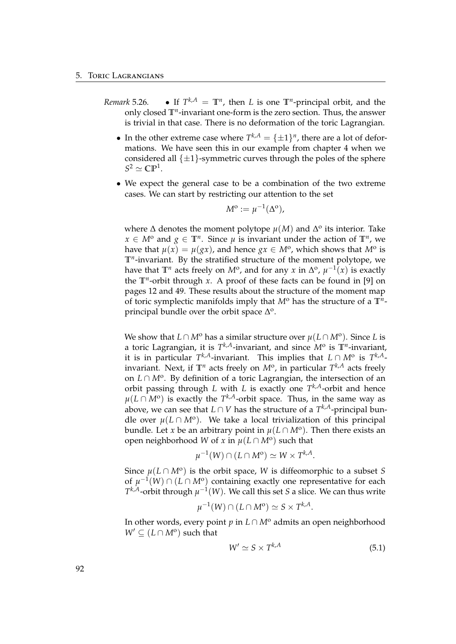- *Remark* 5.26*.*  $k, A = \mathbb{T}^n$ , then *L* is one  $\mathbb{T}^n$ -principal orbit, and the only closed **T***<sup>n</sup>* -invariant one-form is the zero section. Thus, the answer is trivial in that case. There is no deformation of the toric Lagrangian.
	- In the other extreme case where  $T^{k,A} = {\pm 1}^n$ , there are a lot of deformations. We have seen this in our example from chapter [4](#page-68-0) when we considered all  $\{\pm 1\}$ -symmetric curves through the poles of the sphere  $S^2 \simeq \mathbb{CP}^1$ .
	- We expect the general case to be a combination of the two extreme cases. We can start by restricting our attention to the set

$$
M^{\mathrm{o}} := \mu^{-1}(\Delta^{\mathrm{o}}),
$$

where  $\Delta$  denotes the moment polytope  $\mu(M)$  and  $\Delta^{\rm o}$  its interior. Take *x* ∈ *M*<sup>o</sup> and *g* ∈  $\mathbb{T}^n$ . Since *µ* is invariant under the action of  $\mathbb{T}^n$ , we have that  $\mu(x) = \mu(gx)$ , and hence  $gx \in M^{\text{o}}$ , which shows that  $M^{\text{o}}$  is **T***<sup>n</sup>* -invariant. By the stratified structure of the moment polytope, we have that  $\mathbb{T}^n$  acts freely on  $M^o$ , and for any *x* in  $\Delta^o$ ,  $\mu^{-1}(x)$  is exactly the **T***<sup>n</sup>* -orbit through *x*. A proof of these facts can be found in [\[9\]](#page-108-6) on pages 12 and 49. These results about the structure of the moment map of toric symplectic manifolds imply that *M*<sup>o</sup> has the structure of a **T***<sup>n</sup>* principal bundle over the orbit space  $\Delta$ <sup>o</sup>.

We show that  $L \cap M^{\text{o}}$  has a similar structure over  $\mu(L \cap M^{\text{o}})$ . Since *L* is a toric Lagrangian, it is *T <sup>k</sup>*,*A*-invariant, and since *M*<sup>o</sup> is **T***<sup>n</sup>* -invariant, it is in particular  $T^{k,A}$ -invariant. This implies that  $L \cap M^{\rm o}$  is  $T^{k,A}$ invariant. Next, if  $\mathbb{T}^n$  acts freely on  $M^{\text{o}}$ , in particular  $T^{k,A}$  acts freely on *L* ∩ *M*<sup>o</sup>. By definition of a toric Lagrangian, the intersection of an orbit passing through *L* with *L* is exactly one *T <sup>k</sup>*,*A*-orbit and hence *µ*(*L* ∩ *M*<sup>o</sup>) is exactly the *T<sup>k,A</sup>*-orbit space. Thus, in the same way as above, we can see that *L* ∩ *V* has the structure of a *T <sup>k</sup>*,*A*-principal bundle over  $\mu(L \cap M^{\circ})$ . We take a local trivialization of this principal bundle. Let *x* be an arbitrary point in  $\mu(L \cap M^{\rm o})$ . Then there exists an open neighborhood *W* of *x* in  $\mu(L \cap M^{\text{o}})$  such that

$$
\mu^{-1}(W) \cap (L \cap M^{\mathsf{o}}) \simeq W \times T^{k,A}
$$

Since  $\mu(L \cap M^{\text{o}})$  is the orbit space, *W* is diffeomorphic to a subset *S* of  $\mu^{-1}(W) \cap (L \cap M^{\text{o}})$  containing exactly one representative for each  $T^{k,A}$ -orbit through  $\mu^{-1}(W)$ . We call this set *S* a slice. We can thus write

$$
\mu^{-1}(W) \cap (L \cap M^{\mathbf{0}}) \simeq S \times T^{k,A}.
$$

In other words, every point *p* in *L* ∩ *M*<sup>o</sup> admits an open neighborhood  $W' \subseteq (L \cap M^{\rm o})$  such that

$$
W' \simeq S \times T^{k,A} \tag{5.1}
$$

.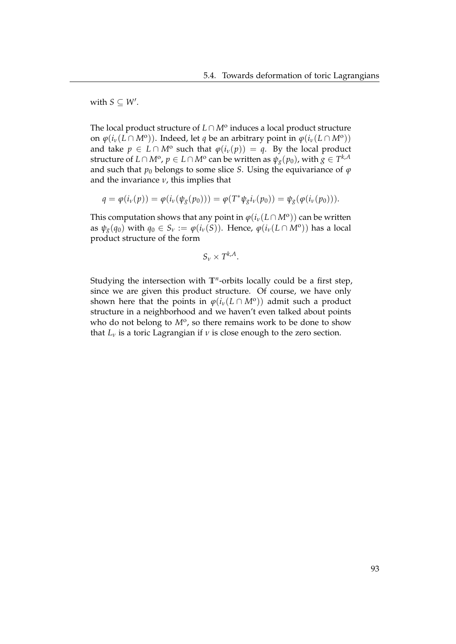with  $S \subseteq W'$ .

The local product structure of *L* ∩ *M*<sup>o</sup> induces a local product structure on  $\varphi(i_\nu(L \cap M^{\text{o}}))$ . Indeed, let *q* be an arbitrary point in  $\varphi(i_\nu(L \cap M^{\text{o}}))$ and take  $p \in L \cap M^{\circ}$  such that  $\varphi(i_v(p)) = q$ . By the local product structure of  $L \cap M^{\rm o}$  ,  $p \in L \cap M^{\rm o}$  can be written as  $\psi_g(p_0)$  , with  $g \in T^{k,A}$ and such that  $p_0$  belongs to some slice *S*. Using the equivariance of  $\varphi$ and the invariance *ν*, this implies that

$$
q = \varphi(i_{\nu}(p)) = \varphi(i_{\nu}(\psi_{g}(p_{0}))) = \varphi(T^{*}\psi_{g}i_{\nu}(p_{0})) = \psi_{g}(\varphi(i_{\nu}(p_{0}))).
$$

This computation shows that any point in  $\varphi(i_\nu(L \cap M^{\rm o}))$  can be written as  $\psi_{g}(q_{0})$  with  $q_{0} \in S_{\nu} := \varphi(i_{\nu}(S))$ . Hence,  $\varphi(i_{\nu}(L \cap M^{\text{o}}))$  has a local product structure of the form

$$
S_{\nu} \times T^{k,A}.
$$

Studying the intersection with **T***<sup>n</sup>* -orbits locally could be a first step, since we are given this product structure. Of course, we have only shown here that the points in  $\varphi(i_\nu(L \cap M^{\rm o}))$  admit such a product structure in a neighborhood and we haven't even talked about points who do not belong to  $M^{\circ}$ , so there remains work to be done to show that  $L<sub>v</sub>$  is a toric Lagrangian if  $v$  is close enough to the zero section.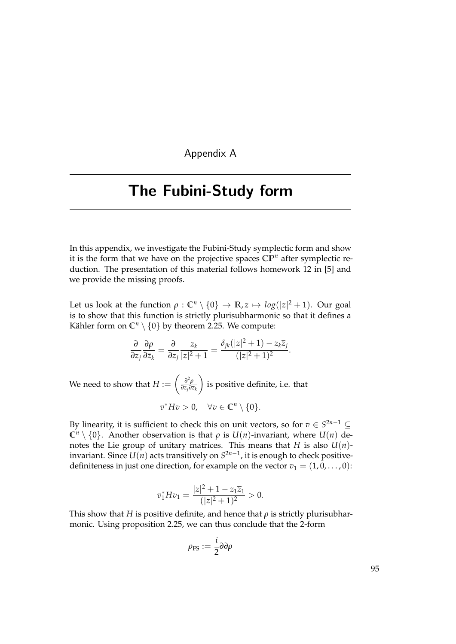Appendix A

# <span id="page-100-0"></span>The Fubini-Study form

In this appendix, we investigate the Fubini-Study symplectic form and show it is the form that we have on the projective spaces **CP***<sup>n</sup>* after symplectic reduction. The presentation of this material follows homework 12 in [\[5\]](#page-108-7) and we provide the missing proofs.

Let us look at the function  $\rho : \mathbb{C}^n \setminus \{0\} \to \mathbb{R}, z \mapsto \log(|z|^2 + 1)$ . Our goal is to show that this function is strictly plurisubharmonic so that it defines a Kähler form on  $\mathbb{C}^n \setminus \{0\}$  by theorem [2.25.](#page-55-0) We compute:

$$
\frac{\partial}{\partial z_j}\frac{\partial \rho}{\partial \overline{z}_k} = \frac{\partial}{\partial z_j}\frac{z_k}{|z|^2+1} = \frac{\delta_{jk}(|z|^2+1)-z_k\overline{z}_j}{(|z|^2+1)^2}.
$$

We need to show that  $H := \begin{pmatrix} \frac{\partial^2 \rho}{\partial z_i \partial \overline{z_i}} & 0 \end{pmatrix}$ *∂zj∂z<sup>k</sup>*  $\setminus$ is positive definite, i.e. that  $v^* H v > 0$ ,  $\forall v \in \mathbb{C}^n \setminus \{0\}.$ 

By linearity, it is sufficient to check this on unit vectors, so for  $v \in S^{2n-1} \subseteq I$  $\mathbb{C}^n \setminus \{0\}$ . Another observation is that  $\rho$  is  $U(n)$ -invariant, where  $U(n)$  denotes the Lie group of unitary matrices. This means that *H* is also  $U(n)$ invariant. Since  $U(n)$  acts transitively on  $S^{2n-1}$ , it is enough to check positivedefiniteness in just one direction, for example on the vector  $v_1 = (1, 0, \dots, 0)$ :

$$
v_1^* H v_1 = \frac{|z|^2 + 1 - z_1 \overline{z}_1}{(|z|^2 + 1)^2} > 0.
$$

This show that *H* is positive definite, and hence that  $\rho$  is strictly plurisubharmonic. Using proposition [2.25,](#page-55-0) we can thus conclude that the 2-form

$$
\rho_{\rm FS}:=\frac{i}{2}\partial\overline{\partial}\rho
$$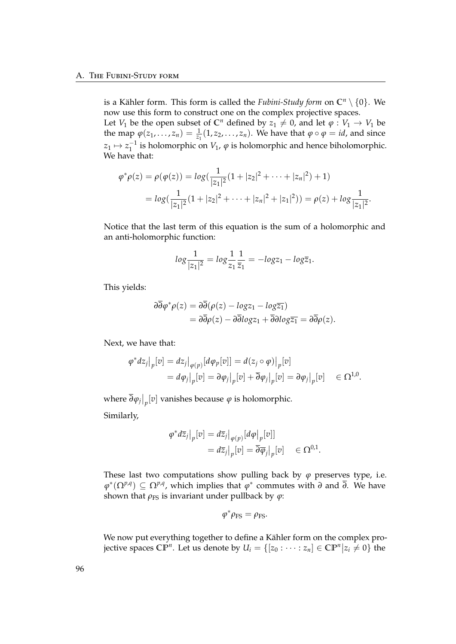is a Kähler form. This form is called the *Fubini-Study form* on  $\mathbb{C}^n \setminus \{0\}$ . We now use this form to construct one on the complex projective spaces. Let *V*<sub>1</sub> be the open subset of  $\mathbb{C}^n$  defined by  $z_1 \neq 0$ , and let  $\varphi : V_1 \to V_1$  be the map  $\varphi(z_1, \ldots, z_n) = \frac{1}{z_1}(1, z_2, \ldots, z_n)$ . We have that  $\varphi \circ \varphi = id$ , and since  $z_1 \mapsto z_1^{-1}$  is holomorphic on *V*<sub>1</sub>,  $\varphi$  is holomorphic and hence biholomorphic. We have that:

$$
\varphi^* \rho(z) = \rho(\varphi(z)) = \log(\frac{1}{|z_1|^2} (1 + |z_2|^2 + \dots + |z_n|^2) + 1)
$$
  
=  $\log(\frac{1}{|z_1|^2} (1 + |z_2|^2 + \dots + |z_n|^2 + |z_1|^2)) = \rho(z) + \log \frac{1}{|z_1|^2}.$ 

Notice that the last term of this equation is the sum of a holomorphic and an anti-holomorphic function:

$$
log \frac{1}{|z_1|^2} = log \frac{1}{z_1} \frac{1}{\overline{z}_1} = -log z_1 - log \overline{z}_1.
$$

This yields:

$$
\begin{aligned} \partial \overline{\partial} \varphi^* \rho(z) &= \partial \overline{\partial} (\rho(z) - \log z_1 - \log \overline{z_1}) \\ &= \partial \overline{\partial} \rho(z) - \partial \overline{\partial} \log z_1 + \overline{\partial} \partial \log \overline{z_1} = \partial \overline{\partial} \rho(z). \end{aligned}
$$

Next, we have that:

$$
\varphi^* dz_j\big|_p[v] = dz_j\big|_{\varphi(p)}[d\varphi_p[v]] = d(z_j \circ \varphi)\big|_p[v]
$$
  
=  $d\varphi_j\big|_p[v] = \partial\varphi_j\big|_p[v] + \overline{\partial}\varphi_j\big|_p[v] = \partial\varphi_j\big|_p[v] \in \Omega^{1,0}.$ 

where  $\left.\overline{\partial}\varphi_{j}\right|_{p}[v]$  vanishes because  $\varphi$  is holomorphic. Similarly,

$$
\varphi^* d\overline{z}_j\big|_p[v] = d\overline{z}_j\big|_{\varphi(p)} [d\varphi\big|_p[v]]
$$
  
=  $d\overline{z}_j\big|_p[v] = \overline{\partial}\overline{\varphi}_j\big|_p[v] \in \Omega^{0,1}.$ 

These last two computations show pulling back by  $\varphi$  preserves type, i.e.  $\varphi^*(\Omega^{p,q}) \subseteq \Omega^{p,q}$ , which implies that  $\varphi^*$  commutes with *∂* and *∂*. We have shown that  $\rho$ <sub>FS</sub> is invariant under pullback by  $\varphi$ :

$$
\varphi^*\rho_{\rm FS}=\rho_{\rm FS}.
$$

We now put everything together to define a Kähler form on the complex projective spaces  $\mathbb{CP}^n$ . Let us denote by  $U_i = \{[z_0: \cdots : z_n] \in \mathbb{CP}^n | z_i \neq 0\}$  the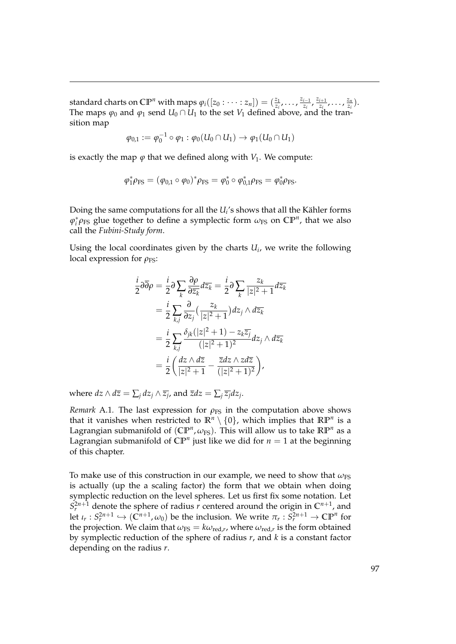standard charts on  $\mathbb{CP}^n$  with maps  $\varphi_i([z_0: \cdots : z_n]) = (\frac{z_1}{z_i}, \cdots, \frac{z_{i-1}}{z_i})$  $\frac{z_{i+1}}{z_i}$ ,  $\frac{z_{i+1}}{z_i}$  $\frac{z_{i+1}}{z_i}$ , ...,  $\frac{z_n}{z_i}$  $\frac{z_n}{z_i}$ ). The maps  $\varphi_0$  and  $\varphi_1$  send  $U_0 \cap U_1$  to the set  $V_1$  defined above, and the transition map

$$
\varphi_{0,1} := \varphi_0^{-1} \circ \varphi_1 : \varphi_0(U_0 \cap U_1) \to \varphi_1(U_0 \cap U_1)
$$

is exactly the map  $\varphi$  that we defined along with  $V_1$ . We compute:

$$
\varphi_1^* \rho_{FS} = (\varphi_{0,1} \circ \varphi_0)^* \rho_{FS} = \varphi_0^* \circ \varphi_{0,1}^* \rho_{FS} = \varphi_0^* \rho_{FS}.
$$

Doing the same computations for all the  $U_i^{\prime}$ s shows that all the Kähler forms  $\varphi_i^* \rho_{\text{FS}}$  glue together to define a symplectic form  $\omega_{\text{FS}}$  on  $\mathbb{CP}^n$ , that we also call the *Fubini-Study form*.

Using the local coordinates given by the charts *U<sup>i</sup>* , we write the following local expression for  $\rho$ <sub>FS</sub>:

$$
\frac{i}{2}\partial\overline{\partial}\rho = \frac{i}{2}\partial\sum_{k}\frac{\partial\rho}{\partial\overline{z}_{k}}d\overline{z}_{k} = \frac{i}{2}\partial\sum_{k}\frac{z_{k}}{|z|^{2}+1}d\overline{z}_{k}
$$
\n
$$
= \frac{i}{2}\sum_{k,j}\frac{\partial}{\partial z_{j}}\left(\frac{z_{k}}{|z|^{2}+1}\right)dz_{j}\wedge d\overline{z}_{k}
$$
\n
$$
= \frac{i}{2}\sum_{k,j}\frac{\delta_{jk}(|z|^{2}+1)-z_{k}\overline{z}_{j}}{(|z|^{2}+1)^{2}}dz_{j}\wedge d\overline{z}_{k}
$$
\n
$$
= \frac{i}{2}\left(\frac{dz\wedge d\overline{z}}{|z|^{2}+1}-\frac{\overline{z}dz\wedge zd\overline{z}}{(|z|^{2}+1)^{2}}\right),
$$

where  $dz \wedge d\overline{z} = \sum_j dz_j \wedge \overline{z_j}$ , and  $\overline{z}dz = \sum_j \overline{z_j}dz_j$ .

*Remark* A.1. The last expression for  $\rho_{FS}$  in the computation above shows that it vanishes when restricted to  $\mathbb{R}^n \setminus \{0\}$ , which implies that  $\mathbb{RP}^n$  is a Lagrangian submanifold of  $(\mathbb{CP}^n, \omega_{\text{FS}})$ . This will allow us to take  $\mathbb{RP}^n$  as a Lagrangian submanifold of  $\mathbb{CP}^n$  just like we did for  $n = 1$  at the beginning of this chapter.

To make use of this construction in our example, we need to show that  $\omega_{FS}$ is actually (up the a scaling factor) the form that we obtain when doing symplectic reduction on the level spheres. Let us first fix some notation. Let  $S_r^{2n+1}$  denote the sphere of radius *r* centered around the origin in  $\mathbb{C}^{n+1}$ , and let  $\iota_r: S_r^{2n+1} \hookrightarrow (\tilde{C}^{n+1}, \omega_0)$  be the inclusion. We write  $\pi_r: \tilde{S}_r^{2n+1} \to \mathbb{CP}^n$  for the projection. We claim that  $\omega_{FS} = k\omega_{\text{red},r}$ , where  $\omega_{\text{red},r}$  is the form obtained by symplectic reduction of the sphere of radius *r*, and *k* is a constant factor depending on the radius *r*.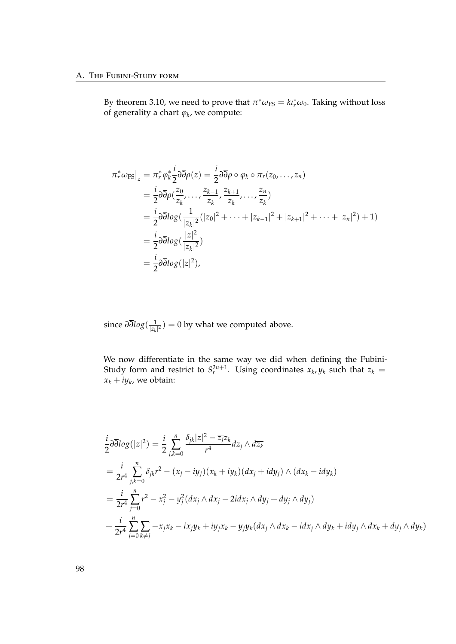By theorem [3.10,](#page-63-0) we need to prove that  $\pi^* \omega_{FS} = k \iota_r^* \omega_0$ . Taking without loss of generality a chart *ϕ<sup>k</sup>* , we compute:

$$
\pi_r^* \omega_{\rm FS}|_z = \pi_r^* \varphi_k^* \frac{i}{2} \partial \overline{\partial} \rho(z) = \frac{i}{2} \partial \overline{\partial} \rho \circ \varphi_k \circ \pi_r(z_0, \dots, z_n)
$$
  
\n
$$
= \frac{i}{2} \partial \overline{\partial} \rho(\frac{z_0}{z_k}, \dots, \frac{z_{k-1}}{z_k}, \frac{z_{k+1}}{z_k}, \dots, \frac{z_n}{z_k})
$$
  
\n
$$
= \frac{i}{2} \partial \overline{\partial} \log(\frac{1}{|z_k|^2} (|z_0|^2 + \dots + |z_{k-1}|^2 + |z_{k+1}|^2 + \dots + |z_n|^2) + 1)
$$
  
\n
$$
= \frac{i}{2} \partial \overline{\partial} \log(\frac{|z|^2}{|z_k|^2})
$$
  
\n
$$
= \frac{i}{2} \partial \overline{\partial} \log(|z|^2),
$$

since *∂∂log*( 1 |*zk* | <sup>2</sup> ) = 0 by what we computed above.

We now differentiate in the same way we did when defining the Fubini-Study form and restrict to  $S_r^{2n+1}$ . Using coordinates  $x_k$ ,  $y_k$  such that  $z_k =$  $x_k + iy_k$ , we obtain:

$$
\frac{i}{2}\partial\overline{\partial}\log(|z|^2) = \frac{i}{2}\sum_{j,k=0}^n \frac{\delta_{jk}|z|^2 - \overline{z_j}z_k}{r^4}dz_j \wedge d\overline{z_k}
$$
\n  
\n
$$
= \frac{i}{2r^4}\sum_{j,k=0}^n \delta_{jk}r^2 - (x_j - iy_j)(x_k + iy_k)(dx_j + idy_j) \wedge (dx_k - idy_k)
$$
\n  
\n
$$
= \frac{i}{2r^4}\sum_{j=0}^n r^2 - x_j^2 - y_j^2(dx_j \wedge dx_j - 2idx_j \wedge dy_j + dy_j \wedge dy_j)
$$
\n  
\n
$$
+ \frac{i}{2r^4}\sum_{j=0}^n \sum_{k \neq j} -x_jx_k - ix_jy_k + iy_jx_k - y_jy_k(dx_j \wedge dx_k - idx_j \wedge dy_k + idy_j \wedge dx_k + dy_j \wedge dy_k)
$$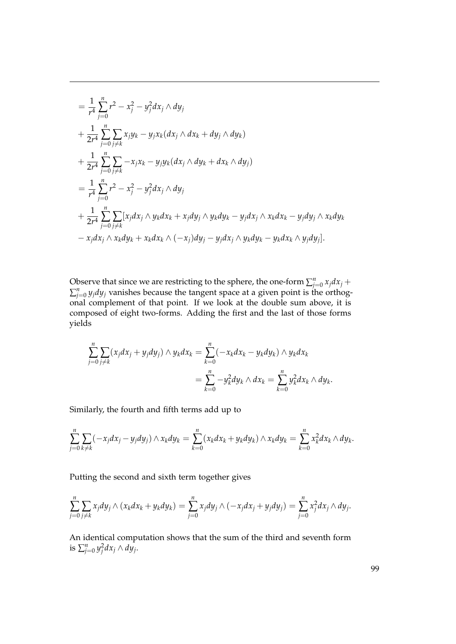$$
= \frac{1}{r^4} \sum_{j=0}^{n} r^2 - x_j^2 - y_j^2 dx_j \wedge dy_j
$$
  
+ 
$$
\frac{1}{2r^4} \sum_{j=0}^{n} \sum_{j \neq k} x_j y_k - y_j x_k (dx_j \wedge dx_k + dy_j \wedge dy_k)
$$
  
+ 
$$
\frac{1}{2r^4} \sum_{j=0}^{n} \sum_{j \neq k} -x_j x_k - y_j y_k (dx_j \wedge dy_k + dx_k \wedge dy_j)
$$
  
= 
$$
\frac{1}{r^4} \sum_{j=0}^{n} r^2 - x_j^2 - y_j^2 dx_j \wedge dy_j
$$
  
+ 
$$
\frac{1}{2r^4} \sum_{j=0}^{n} \sum_{j \neq k} [x_j dx_j \wedge y_k dx_k + x_j dy_j \wedge y_k dy_k - y_j dx_j \wedge x_k dx_k - y_j dy_j \wedge x_k dy_k
$$
  
- 
$$
x_j dx_j \wedge x_k dy_k + x_k dx_k \wedge (-x_j) dy_j - y_j dx_j \wedge y_k dy_k - y_k dx_k \wedge y_j dy_j].
$$

Observe that since we are restricting to the sphere, the one-form  $\sum_{j=0}^{n} x_j dx_j +$  $\sum_{j=0}^{n} y_j dy_j$  vanishes because the tangent space at a given point is the orthogonal complement of that point. If we look at the double sum above, it is composed of eight two-forms. Adding the first and the last of those forms yields

$$
\sum_{j=0}^{n} \sum_{j\neq k} (x_j dx_j + y_j dy_j) \wedge y_k dx_k = \sum_{k=0}^{n} (-x_k dx_k - y_k dy_k) \wedge y_k dx_k
$$
  
= 
$$
\sum_{k=0}^{n} -y_k^2 dy_k \wedge dx_k = \sum_{k=0}^{n} y_k^2 dx_k \wedge dy_k.
$$

Similarly, the fourth and fifth terms add up to

$$
\sum_{j=0}^n\sum_{k\neq k}(-x_jdx_j-y_jdy_j)\wedge x_kdy_k=\sum_{k=0}^n(x_kdx_k+y_kdy_k)\wedge x_kdy_k=\sum_{k=0}^n x_k^2dx_k\wedge dy_k.
$$

Putting the second and sixth term together gives

$$
\sum_{j=0}^n\sum_{j\neq k}x_jdy_j\wedge(x_kdx_k+y_kdy_k)=\sum_{j=0}^n x_jdy_j\wedge(-x_jdx_j+y_jdy_j)=\sum_{j=0}^n x_j^2dx_j\wedge dy_j.
$$

An identical computation shows that the sum of the third and seventh form is  $\sum_{j=0}^n y_j^2 dx_j \wedge dy_j$ .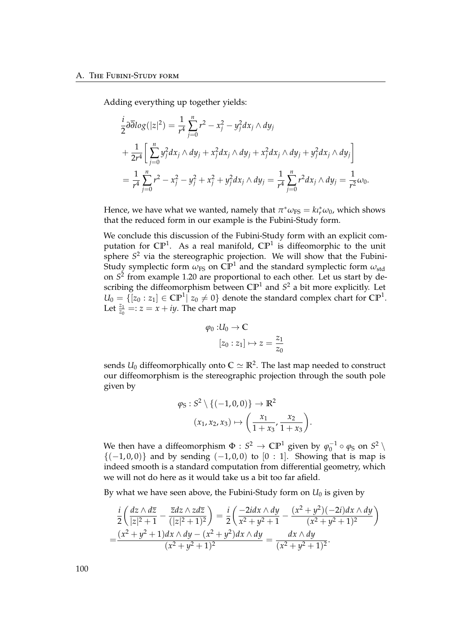Adding everything up together yields:

$$
\frac{i}{2}\partial\overline{\partial} \log(|z|^2) = \frac{1}{r^4} \sum_{j=0}^n r^2 - x_j^2 - y_j^2 dx_j \wedge dy_j \n+ \frac{1}{2r^4} \Big[ \sum_{j=0}^n y_j^2 dx_j \wedge dy_j + x_j^2 dx_j \wedge dy_j + x_j^2 dx_j \wedge dy_j + y_j^2 dx_j \wedge dy_j \Big] \n= \frac{1}{r^4} \sum_{j=0}^n r^2 - x_j^2 - y_j^2 + x_j^2 + y_j^2 dx_j \wedge dy_j = \frac{1}{r^4} \sum_{j=0}^n r^2 dx_j \wedge dy_j = \frac{1}{r^2} \omega_0.
$$

Hence, we have what we wanted, namely that  $\pi^* \omega_{FS} = k \iota_r^* \omega_0$ , which shows that the reduced form in our example is the Fubini-Study form.

We conclude this discussion of the Fubini-Study form with an explicit computation for  $\mathbb{CP}^1$ . As a real manifold,  $\mathbb{CP}^1$  is diffeomorphic to the unit sphere *S* <sup>2</sup> via the stereographic projection. We will show that the Fubini-Study symplectic form  $\omega_{FS}$  on  $\mathbb{CP}^1$  and the standard symplectic form  $\omega_{std}$ on *S* 2 from example [1.20](#page-17-0) are proportional to each other. Let us start by describing the diffeomorphism between **CP**<sup>1</sup> and *S* <sup>2</sup> a bit more explicitly. Let  $U_0 = \{ [z_0 : z_1] \in \mathbb{CP}^1 | z_0 \neq 0 \}$  denote the standard complex chart for  $\mathbb{CP}^1$ . Let  $\frac{z_1}{z_0}$  = :  $z = x + iy$ . The chart map

$$
\varphi_0: U_0 \to \mathbb{C}
$$

$$
[z_0:z_1] \mapsto z = \frac{z_1}{z_0}
$$

sends  $U_0$  diffeomorphically onto  $\mathbb{C} \simeq \mathbb{R}^2$ . The last map needed to construct our diffeomorphism is the stereographic projection through the south pole given by

$$
\varphi_{S}: S^{2} \setminus \{(-1,0,0)\} \to \mathbb{R}^{2}
$$

$$
(x_{1}, x_{2}, x_{3}) \mapsto \left(\frac{x_{1}}{1 + x_{3}}, \frac{x_{2}}{1 + x_{3}}\right)
$$

.

We then have a diffeomorphism  $\Phi: S^2 \to \mathbb{CP}^1$  given by  $\varphi_0^{-1} \circ \varphi_S$  on  $S^2 \setminus \mathbb{CP}^1$  ${(-1,0,0)}$  and by sending  $(-1,0,0)$  to  $[0:1]$ . Showing that is map is indeed smooth is a standard computation from differential geometry, which we will not do here as it would take us a bit too far afield.

By what we have seen above, the Fubini-Study form on  $U_0$  is given by

$$
\frac{i}{2}\left(\frac{dz\wedge d\overline{z}}{|z|^2+1}-\frac{\overline{z}dz\wedge z d\overline{z}}{|z|^2+1}\right)=\frac{i}{2}\left(\frac{-2idx\wedge dy}{x^2+y^2+1}-\frac{(x^2+y^2)(-2i)dx\wedge dy}{(x^2+y^2+1)^2}\right)
$$
\n
$$
=\frac{(x^2+y^2+1)dx\wedge dy-(x^2+y^2)dx\wedge dy}{(x^2+y^2+1)^2}=\frac{dx\wedge dy}{(x^2+y^2+1)^2}.
$$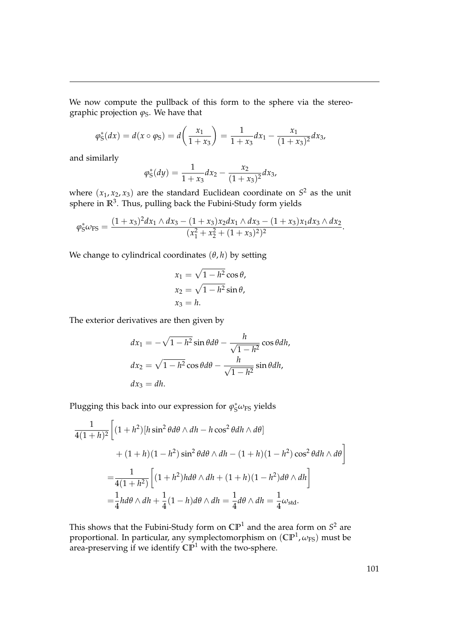We now compute the pullback of this form to the sphere via the stereographic projection  $\varphi_S$ . We have that

$$
\varphi_{\rm S}^*(dx) = d(x \circ \varphi_{\rm S}) = d\left(\frac{x_1}{1+x_3}\right) = \frac{1}{1+x_3}dx_1 - \frac{x_1}{(1+x_3)^2}dx_3,
$$

and similarly

$$
\varphi_{\rm S}^*(dy) = \frac{1}{1+x_3} dx_2 - \frac{x_2}{(1+x_3)^2} dx_3,
$$

where  $(x_1, x_2, x_3)$  are the standard Euclidean coordinate on  $S^2$  as the unit sphere in **R**<sup>3</sup> . Thus, pulling back the Fubini-Study form yields

$$
\varphi_{\rm S}^* \omega_{\rm FS} = \frac{(1+x_3)^2 dx_1 \wedge dx_3 - (1+x_3)x_2 dx_1 \wedge dx_3 - (1+x_3)x_1 dx_3 \wedge dx_2}{(x_1^2 + x_2^2 + (1+x_3)^2)^2}.
$$

We change to cylindrical coordinates  $(\theta, h)$  by setting

$$
x_1 = \sqrt{1 - h^2} \cos \theta,
$$
  
\n
$$
x_2 = \sqrt{1 - h^2} \sin \theta,
$$
  
\n
$$
x_3 = h.
$$

The exterior derivatives are then given by

$$
dx_1 = -\sqrt{1 - h^2} \sin \theta d\theta - \frac{h}{\sqrt{1 - h^2}} \cos \theta dh,
$$
  

$$
dx_2 = \sqrt{1 - h^2} \cos \theta d\theta - \frac{h}{\sqrt{1 - h^2}} \sin \theta dh,
$$
  

$$
dx_3 = dh.
$$

Plugging this back into our expression for  $\varphi_S^* \omega_{\text{FS}}$  yields

$$
\frac{1}{4(1+h)^2} \left[ (1+h^2)[h\sin^2\theta d\theta \wedge dh - h\cos^2\theta dh \wedge d\theta] \right.+ (1+h)(1-h^2)\sin^2\theta d\theta \wedge dh - (1+h)(1-h^2)\cos^2\theta dh \wedge d\theta \right]= \frac{1}{4(1+h^2)} \left[ (1+h^2)hd\theta \wedge dh + (1+h)(1-h^2)d\theta \wedge dh \right]= \frac{1}{4}hd\theta \wedge dh + \frac{1}{4}(1-h)d\theta \wedge dh = \frac{1}{4}d\theta \wedge dh = \frac{1}{4}\omega_{\text{std}}.
$$

This shows that the Fubini-Study form on  $\mathbb{CP}^1$  and the area form on  $S^2$  are proportional. In particular, any symplectomorphism on (CP<sup>1</sup>,  $\omega_{\text{FS}}$ ) must be area-preserving if we identify **CP**<sup>1</sup> with the two-sphere.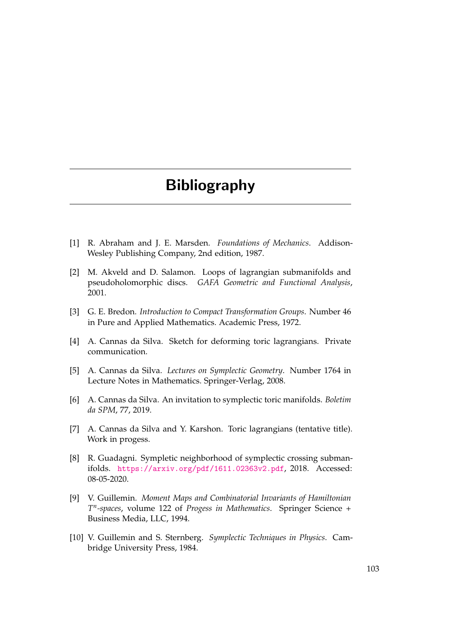## Bibliography

- [1] R. Abraham and J. E. Marsden. *Foundations of Mechanics*. Addison-Wesley Publishing Company, 2nd edition, 1987.
- [2] M. Akveld and D. Salamon. Loops of lagrangian submanifolds and pseudoholomorphic discs. *GAFA Geometric and Functional Analysis*, 2001.
- [3] G. E. Bredon. *Introduction to Compact Transformation Groups*. Number 46 in Pure and Applied Mathematics. Academic Press, 1972.
- [4] A. Cannas da Silva. Sketch for deforming toric lagrangians. Private communication.
- [5] A. Cannas da Silva. *Lectures on Symplectic Geometry*. Number 1764 in Lecture Notes in Mathematics. Springer-Verlag, 2008.
- [6] A. Cannas da Silva. An invitation to symplectic toric manifolds. *Boletim da SPM*, 77, 2019.
- [7] A. Cannas da Silva and Y. Karshon. Toric lagrangians (tentative title). Work in progess.
- [8] R. Guadagni. Sympletic neighborhood of symplectic crossing submanifolds. <https://arxiv.org/pdf/1611.02363v2.pdf>, 2018. Accessed: 08-05-2020.
- [9] V. Guillemin. *Moment Maps and Combinatorial Invariants of Hamiltonian T n -spaces*, volume 122 of *Progess in Mathematics*. Springer Science + Business Media, LLC, 1994.
- [10] V. Guillemin and S. Sternberg. *Symplectic Techniques in Physics*. Cambridge University Press, 1984.